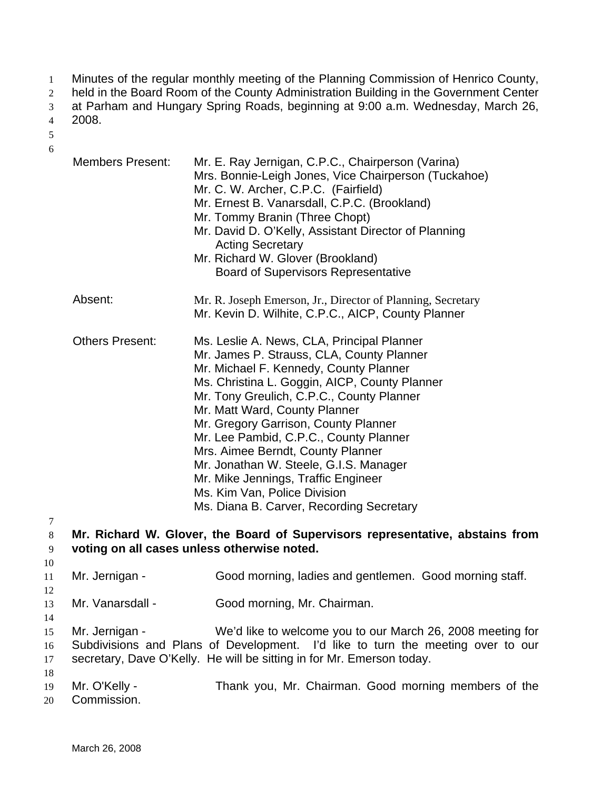- Minutes of the regular monthly meeting of the Planning Commission of Henrico County, 1
- held in the Board Room of the County Administration Building in the Government Center 2
- at Parham and Hungary Spring Roads, beginning at 9:00 a.m. Wednesday, March 26, 3

2008. 4

- 5 6
- Members Present: Mr. E. Ray Jernigan, C.P.C., Chairperson (Varina) Mrs. Bonnie-Leigh Jones, Vice Chairperson (Tuckahoe) Mr. C. W. Archer, C.P.C. (Fairfield) Mr. Ernest B. Vanarsdall, C.P.C. (Brookland) Mr. Tommy Branin (Three Chopt) Mr. David D. O'Kelly, Assistant Director of Planning Acting Secretary Mr. Richard W. Glover (Brookland) Board of Supervisors Representative Absent: Mr. R. Joseph Emerson, Jr., Director of Planning, Secretary Mr. Kevin D. Wilhite, C.P.C., AICP, County Planner Others Present: Ms. Leslie A. News, CLA, Principal Planner Mr. James P. Strauss, CLA, County Planner Mr. Michael F. Kennedy, County Planner Ms. Christina L. Goggin, AICP, County Planner Mr. Tony Greulich, C.P.C., County Planner Mr. Matt Ward, County Planner Mr. Gregory Garrison, County Planner Mr. Lee Pambid, C.P.C., County Planner Mrs. Aimee Berndt, County Planner Mr. Jonathan W. Steele, G.I.S. Manager Mr. Mike Jennings, Traffic Engineer Ms. Kim Van, Police Division Ms. Diana B. Carver, Recording Secretary **Mr. Richard W. Glover, the Board of Supervisors representative, abstains from voting on all cases unless otherwise noted.**  Mr. Jernigan - Good morning, ladies and gentlemen. Good morning staff. Mr. Vanarsdall - Good morning, Mr. Chairman.
- 13 14

15 16 17 18 Mr. Jernigan - We'd like to welcome you to our March 26, 2008 meeting for Subdivisions and Plans of Development. I'd like to turn the meeting over to our secretary, Dave O'Kelly. He will be sitting in for Mr. Emerson today.

- 19 Mr. O'Kelly - Thank you, Mr. Chairman. Good morning members of the
- 20 Commission.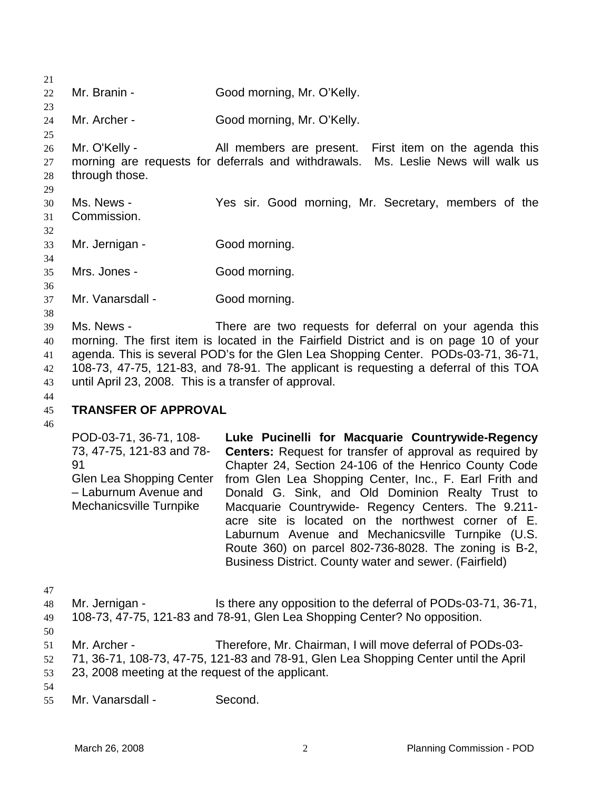| 21 |                                                       |                                                                                        |
|----|-------------------------------------------------------|----------------------------------------------------------------------------------------|
| 22 | Mr. Branin -                                          | Good morning, Mr. O'Kelly.                                                             |
| 23 |                                                       |                                                                                        |
| 24 | Mr. Archer -                                          | Good morning, Mr. O'Kelly.                                                             |
| 25 |                                                       |                                                                                        |
| 26 | Mr. O'Kelly -                                         | All members are present. First item on the agenda this                                 |
| 27 |                                                       | morning are requests for deferrals and withdrawals. Ms. Leslie News will walk us       |
| 28 | through those.                                        |                                                                                        |
| 29 |                                                       |                                                                                        |
| 30 | Ms. News -                                            | Yes sir. Good morning, Mr. Secretary, members of the                                   |
| 31 | Commission.                                           |                                                                                        |
| 32 |                                                       |                                                                                        |
| 33 | Mr. Jernigan -                                        | Good morning.                                                                          |
| 34 |                                                       |                                                                                        |
| 35 | Mrs. Jones -                                          | Good morning.                                                                          |
| 36 |                                                       |                                                                                        |
| 37 | Mr. Vanarsdall -                                      | Good morning.                                                                          |
| 38 |                                                       |                                                                                        |
| 39 | Ms. News -                                            | There are two requests for deferral on your agenda this                                |
| 40 |                                                       | morning. The first item is located in the Fairfield District and is on page 10 of your |
| 41 |                                                       | agenda. This is several POD's for the Glen Lea Shopping Center. PODs-03-71, 36-71,     |
| 42 |                                                       | 108-73, 47-75, 121-83, and 78-91. The applicant is requesting a deferral of this TOA   |
| 43 | until April 23, 2008. This is a transfer of approval. |                                                                                        |
| 44 |                                                       |                                                                                        |
| 45 | <b>TRANSFER OF APPROVAL</b>                           |                                                                                        |

# 46

POD-03-71, 36-71, 108- 73, 47-75, 121-83 and 78- 91 Glen Lea Shopping Center – Laburnum Avenue and Mechanicsville Turnpike **Luke Pucinelli for Macquarie Countrywide-Regency Centers:** Request for transfer of approval as required by Chapter 24, Section 24-106 of the Henrico County Code from Glen Lea Shopping Center, Inc., F. Earl Frith and Donald G. Sink, and Old Dominion Realty Trust to Macquarie Countrywide- Regency Centers. The 9.211 acre site is located on the northwest corner of E. Laburnum Avenue and Mechanicsville Turnpike (U.S. Route 360) on parcel 802-736-8028. The zoning is B-2, Business District. County water and sewer. (Fairfield)

| 47 |                   |                                                                              |
|----|-------------------|------------------------------------------------------------------------------|
|    | 48 Mr. Jernigan - | Is there any opposition to the deferral of PODs-03-71, 36-71,                |
|    |                   | 49 108-73, 47-75, 121-83 and 78-91, Glen Lea Shopping Center? No opposition. |

50

55 Mr. Vanarsdall - Second.

<sup>51</sup>  Mr. Archer - Therefore, Mr. Chairman, I will move deferral of PODs-03-

<sup>52</sup>  53 71, 36-71, 108-73, 47-75, 121-83 and 78-91, Glen Lea Shopping Center until the April 23, 2008 meeting at the request of the applicant.

<sup>54</sup>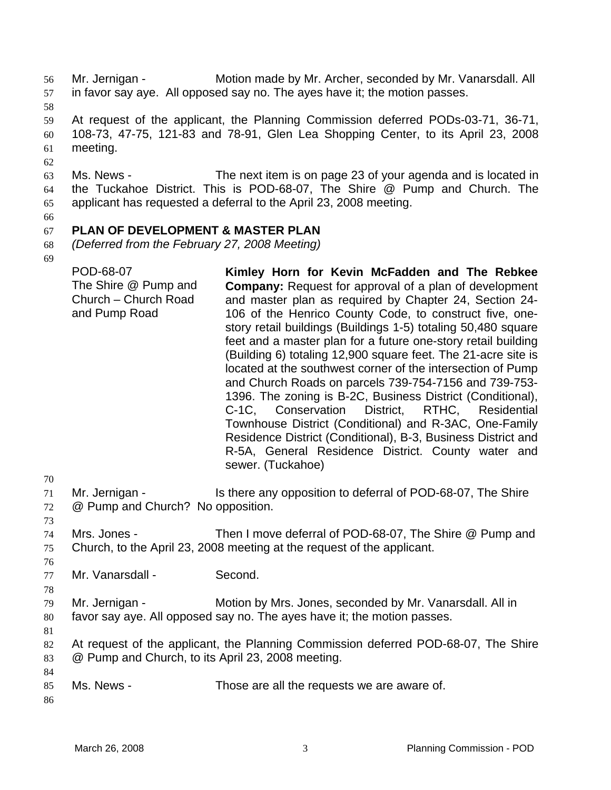Mr. Jernigan - Motion made by Mr. Archer, seconded by Mr. Vanarsdall. All in favor say aye. All opposed say no. The ayes have it; the motion passes. 56 57

58

62

59 60 61 At request of the applicant, the Planning Commission deferred PODs-03-71, 36-71, 108-73, 47-75, 121-83 and 78-91, Glen Lea Shopping Center, to its April 23, 2008 meeting.

63 64 65 Ms. News - The next item is on page 23 of your agenda and is located in the Tuckahoe District. This is POD-68-07, The Shire @ Pump and Church. The applicant has requested a deferral to the April 23, 2008 meeting.

66

#### 67 **PLAN OF DEVELOPMENT & MASTER PLAN**

- 68 *(Deferred from the February 27, 2008 Meeting)*
- 69

| POD-68-07                                                     | Kimley Horn for Kevin McFadden and The Rebkee                                                                                                                                                                                                                                                                                                                                                                                                                                                                                                                                                                                                                                                                                                                                                                                      |
|---------------------------------------------------------------|------------------------------------------------------------------------------------------------------------------------------------------------------------------------------------------------------------------------------------------------------------------------------------------------------------------------------------------------------------------------------------------------------------------------------------------------------------------------------------------------------------------------------------------------------------------------------------------------------------------------------------------------------------------------------------------------------------------------------------------------------------------------------------------------------------------------------------|
| The Shire @ Pump and<br>Church - Church Road<br>and Pump Road | <b>Company:</b> Request for approval of a plan of development<br>and master plan as required by Chapter 24, Section 24-<br>106 of the Henrico County Code, to construct five, one-<br>story retail buildings (Buildings 1-5) totaling 50,480 square<br>feet and a master plan for a future one-story retail building<br>(Building 6) totaling 12,900 square feet. The 21-acre site is<br>located at the southwest corner of the intersection of Pump<br>and Church Roads on parcels 739-754-7156 and 739-753-<br>1396. The zoning is B-2C, Business District (Conditional),<br>C-1C, Conservation District, RTHC, Residential<br>Townhouse District (Conditional) and R-3AC, One-Family<br>Residence District (Conditional), B-3, Business District and<br>R-5A, General Residence District. County water and<br>sewer. (Tuckahoe) |
|                                                               |                                                                                                                                                                                                                                                                                                                                                                                                                                                                                                                                                                                                                                                                                                                                                                                                                                    |

70

71 72 Mr. Jernigan - Is there any opposition to deferral of POD-68-07, The Shire @ Pump and Church? No opposition.

- 73
- 74 75 Mrs. Jones - Then I move deferral of POD-68-07, The Shire @ Pump and Church, to the April 23, 2008 meeting at the request of the applicant.
- 76 77
	- Mr. Vanarsdall Second.
- 79 80 Mr. Jernigan - **Motion by Mrs. Jones, seconded by Mr. Vanarsdall. All in** favor say aye. All opposed say no. The ayes have it; the motion passes.
- 81

78

82 83 At request of the applicant, the Planning Commission deferred POD-68-07, The Shire @ Pump and Church, to its April 23, 2008 meeting.

- 85 Ms. News - Those are all the requests we are aware of.
- 86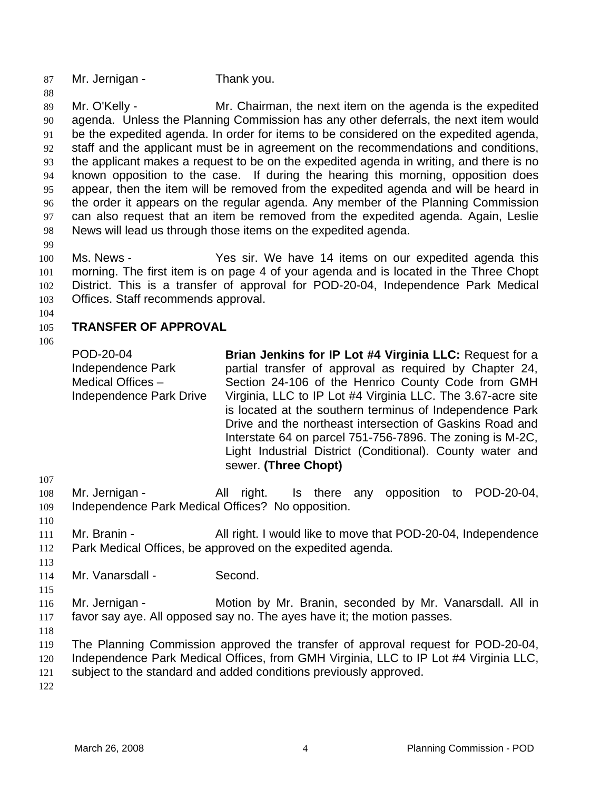87 Mr. Jernigan - Thank you.

89 90 91 92 93 94 95 96 97 98 Mr. O'Kelly - Mr. Chairman, the next item on the agenda is the expedited agenda. Unless the Planning Commission has any other deferrals, the next item would be the expedited agenda. In order for items to be considered on the expedited agenda, staff and the applicant must be in agreement on the recommendations and conditions, the applicant makes a request to be on the expedited agenda in writing, and there is no known opposition to the case. If during the hearing this morning, opposition does appear, then the item will be removed from the expedited agenda and will be heard in the order it appears on the regular agenda. Any member of the Planning Commission can also request that an item be removed from the expedited agenda. Again, Leslie News will lead us through those items on the expedited agenda.

99

88

100 101 102 103 Ms. News - The Yes sir. We have 14 items on our expedited agenda this morning. The first item is on page 4 of your agenda and is located in the Three Chopt District. This is a transfer of approval for POD-20-04, Independence Park Medical Offices. Staff recommends approval.

104

#### 105 **TRANSFER OF APPROVAL**

106

POD-20-04 Independence Park Medical Offices – Independence Park Drive **Brian Jenkins for IP Lot #4 Virginia LLC:** Request for a partial transfer of approval as required by Chapter 24, Section 24-106 of the Henrico County Code from GMH Virginia, LLC to IP Lot #4 Virginia LLC. The 3.67-acre site is located at the southern terminus of Independence Park Drive and the northeast intersection of Gaskins Road and Interstate 64 on parcel 751-756-7896. The zoning is M-2C, Light Industrial District (Conditional). County water and sewer. **(Three Chopt)**

107

108 109 Mr. Jernigan - All right. Is there any opposition to POD-20-04, Independence Park Medical Offices? No opposition.

- 110
- 111 112 Mr. Branin - All right. I would like to move that POD-20-04, Independence Park Medical Offices, be approved on the expedited agenda.
- 113

115

114 Mr. Vanarsdall - Second.

116 117 Mr. Jernigan - **Motion by Mr. Branin, seconded by Mr. Vanarsdall. All in** favor say aye. All opposed say no. The ayes have it; the motion passes.

118

119 The Planning Commission approved the transfer of approval request for POD-20-04,

120 Independence Park Medical Offices, from GMH Virginia, LLC to IP Lot #4 Virginia LLC,

121 subject to the standard and added conditions previously approved.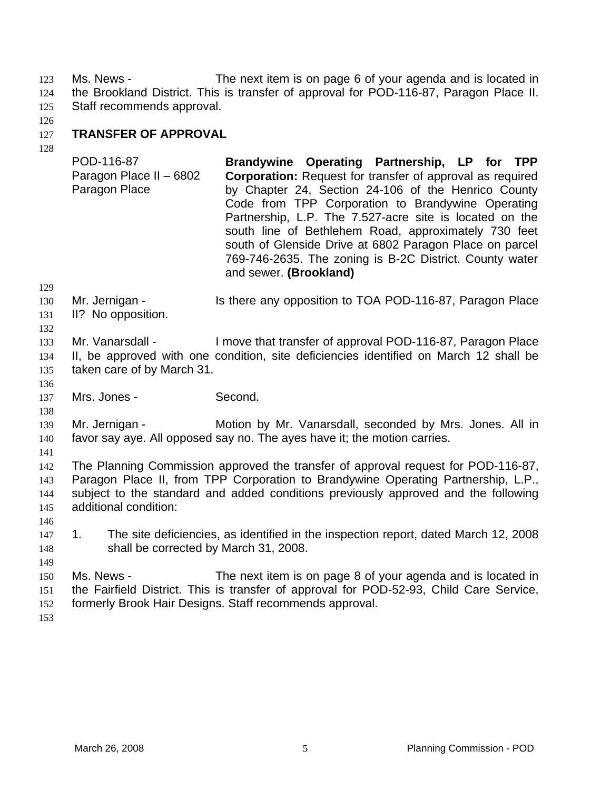Ms. News - The next item is on page 6 of your agenda and is located in the Brookland District. This is transfer of approval for POD-116-87, Paragon Place II. Staff recommends approval. 123 124 125

126

### 127 **TRANSFER OF APPROVAL**

128

129

POD-116-87 Paragon Place II – 6802 Paragon Place **Brandywine Operating Partnership, LP for TPP Corporation:** Request for transfer of approval as required by Chapter 24, Section 24-106 of the Henrico County Code from TPP Corporation to Brandywine Operating Partnership, L.P. The 7.527-acre site is located on the south line of Bethlehem Road, approximately 730 feet south of Glenside Drive at 6802 Paragon Place on parcel 769-746-2635. The zoning is B-2C District. County water and sewer. **(Brookland)**

130 Mr. Jernigan - Is there any opposition to TOA POD-116-87, Paragon Place

131 II? No opposition.

132 133 134 135 Mr. Vanarsdall - I move that transfer of approval POD-116-87, Paragon Place II, be approved with one condition, site deficiencies identified on March 12 shall be taken care of by March 31.

137 Mrs. Jones - Second.

139 140 Mr. Jernigan - The Motion by Mr. Vanarsdall, seconded by Mrs. Jones. All in favor say aye. All opposed say no. The ayes have it; the motion carries.

141

136

138

142 143 144 145 The Planning Commission approved the transfer of approval request for POD-116-87, Paragon Place II, from TPP Corporation to Brandywine Operating Partnership, L.P., subject to the standard and added conditions previously approved and the following additional condition:

- 146
- 147 148 1. The site deficiencies, as identified in the inspection report, dated March 12, 2008 shall be corrected by March 31, 2008.
- 149

150 151 152 Ms. News - The next item is on page 8 of your agenda and is located in the Fairfield District. This is transfer of approval for POD-52-93, Child Care Service, formerly Brook Hair Designs. Staff recommends approval.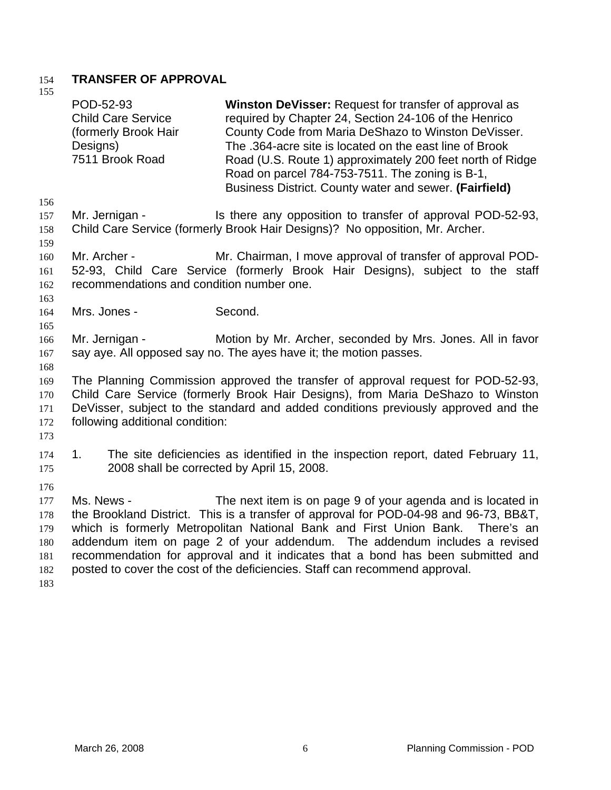### 154 **TRANSFER OF APPROVAL** 155

| 1 J J                                                | POD-52-93<br><b>Child Care Service</b><br>(formerly Brook Hair<br>Designs)<br>7511 Brook Road | Winston DeVisser: Request for transfer of approval as<br>required by Chapter 24, Section 24-106 of the Henrico<br>County Code from Maria DeShazo to Winston DeVisser.<br>The .364-acre site is located on the east line of Brook<br>Road (U.S. Route 1) approximately 200 feet north of Ridge<br>Road on parcel 784-753-7511. The zoning is B-1,<br>Business District. County water and sewer. (Fairfield)                                                                           |
|------------------------------------------------------|-----------------------------------------------------------------------------------------------|--------------------------------------------------------------------------------------------------------------------------------------------------------------------------------------------------------------------------------------------------------------------------------------------------------------------------------------------------------------------------------------------------------------------------------------------------------------------------------------|
| 156<br>157<br>158                                    | Mr. Jernigan -                                                                                | Is there any opposition to transfer of approval POD-52-93,<br>Child Care Service (formerly Brook Hair Designs)? No opposition, Mr. Archer.                                                                                                                                                                                                                                                                                                                                           |
| 159<br>160<br>161<br>162<br>163                      | Mr. Archer -<br>recommendations and condition number one.                                     | Mr. Chairman, I move approval of transfer of approval POD-<br>52-93, Child Care Service (formerly Brook Hair Designs), subject to the staff                                                                                                                                                                                                                                                                                                                                          |
| 164<br>165                                           | Mrs. Jones -                                                                                  | Second.                                                                                                                                                                                                                                                                                                                                                                                                                                                                              |
| 166<br>167<br>168                                    | Mr. Jernigan -                                                                                | Motion by Mr. Archer, seconded by Mrs. Jones. All in favor<br>say aye. All opposed say no. The ayes have it; the motion passes.                                                                                                                                                                                                                                                                                                                                                      |
| 169<br>170<br>171<br>172<br>173                      | following additional condition:                                                               | The Planning Commission approved the transfer of approval request for POD-52-93,<br>Child Care Service (formerly Brook Hair Designs), from Maria DeShazo to Winston<br>DeVisser, subject to the standard and added conditions previously approved and the                                                                                                                                                                                                                            |
| 174<br>175                                           | 1.<br>2008 shall be corrected by April 15, 2008.                                              | The site deficiencies as identified in the inspection report, dated February 11,                                                                                                                                                                                                                                                                                                                                                                                                     |
| 176<br>177<br>178<br>179<br>180<br>181<br>182<br>183 | Ms. News -                                                                                    | The next item is on page 9 of your agenda and is located in<br>the Brookland District. This is a transfer of approval for POD-04-98 and 96-73, BB&T,<br>which is formerly Metropolitan National Bank and First Union Bank. There's an<br>addendum item on page 2 of your addendum. The addendum includes a revised<br>recommendation for approval and it indicates that a bond has been submitted and<br>posted to cover the cost of the deficiencies. Staff can recommend approval. |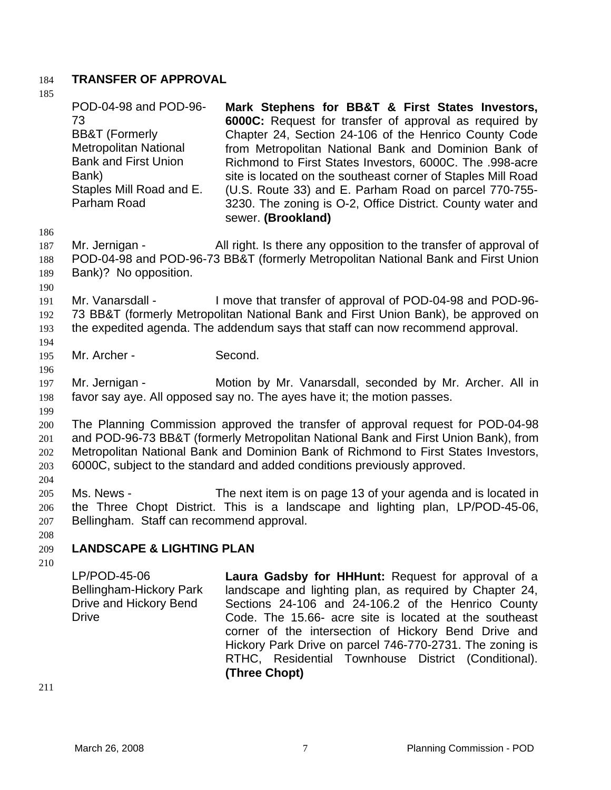## 184 **TRANSFER OF APPROVAL**

| 185                             |                                                                                                                                                                                                                                                                                                                                           |                                                                                                                                                                                                                                                                                                                                                                                                                                                                                                      |  |  |
|---------------------------------|-------------------------------------------------------------------------------------------------------------------------------------------------------------------------------------------------------------------------------------------------------------------------------------------------------------------------------------------|------------------------------------------------------------------------------------------------------------------------------------------------------------------------------------------------------------------------------------------------------------------------------------------------------------------------------------------------------------------------------------------------------------------------------------------------------------------------------------------------------|--|--|
|                                 | POD-04-98 and POD-96-<br>73<br><b>BB&amp;T</b> (Formerly<br><b>Metropolitan National</b><br><b>Bank and First Union</b><br>Bank)<br>Staples Mill Road and E.<br>Parham Road                                                                                                                                                               | Mark Stephens for BB&T & First States Investors,<br>6000C: Request for transfer of approval as required by<br>Chapter 24, Section 24-106 of the Henrico County Code<br>from Metropolitan National Bank and Dominion Bank of<br>Richmond to First States Investors, 6000C. The .998-acre<br>site is located on the southeast corner of Staples Mill Road<br>(U.S. Route 33) and E. Parham Road on parcel 770-755-<br>3230. The zoning is O-2, Office District. County water and<br>sewer. (Brookland) |  |  |
| 186<br>187<br>188<br>189<br>190 | Mr. Jernigan -<br>Bank)? No opposition.                                                                                                                                                                                                                                                                                                   | All right. Is there any opposition to the transfer of approval of<br>POD-04-98 and POD-96-73 BB&T (formerly Metropolitan National Bank and First Union                                                                                                                                                                                                                                                                                                                                               |  |  |
| 191<br>192<br>193<br>194        | Mr. Vanarsdall -                                                                                                                                                                                                                                                                                                                          | I move that transfer of approval of POD-04-98 and POD-96-<br>73 BB&T (formerly Metropolitan National Bank and First Union Bank), be approved on<br>the expedited agenda. The addendum says that staff can now recommend approval.                                                                                                                                                                                                                                                                    |  |  |
| 195                             | Mr. Archer -                                                                                                                                                                                                                                                                                                                              | Second.                                                                                                                                                                                                                                                                                                                                                                                                                                                                                              |  |  |
| 196<br>197<br>198               | Mr. Jernigan -                                                                                                                                                                                                                                                                                                                            | Motion by Mr. Vanarsdall, seconded by Mr. Archer. All in<br>favor say aye. All opposed say no. The ayes have it; the motion passes.                                                                                                                                                                                                                                                                                                                                                                  |  |  |
| 199<br>200<br>201<br>202<br>203 | The Planning Commission approved the transfer of approval request for POD-04-98<br>and POD-96-73 BB&T (formerly Metropolitan National Bank and First Union Bank), from<br>Metropolitan National Bank and Dominion Bank of Richmond to First States Investors,<br>6000C, subject to the standard and added conditions previously approved. |                                                                                                                                                                                                                                                                                                                                                                                                                                                                                                      |  |  |
| 204<br>205<br>206<br>207<br>208 | Ms. News -<br>Bellingham. Staff can recommend approval.                                                                                                                                                                                                                                                                                   | The next item is on page 13 of your agenda and is located in<br>the Three Chopt District. This is a landscape and lighting plan, LP/POD-45-06,                                                                                                                                                                                                                                                                                                                                                       |  |  |
| 209                             | <b>LANDSCAPE &amp; LIGHTING PLAN</b>                                                                                                                                                                                                                                                                                                      |                                                                                                                                                                                                                                                                                                                                                                                                                                                                                                      |  |  |
| 210                             | LP/POD-45-06<br>Bellingham-Hickory Park<br>Drive and Hickory Bend<br><b>Drive</b>                                                                                                                                                                                                                                                         | Laura Gadsby for HHHunt: Request for approval of a<br>landscape and lighting plan, as required by Chapter 24,<br>Sections 24-106 and 24-106.2 of the Henrico County<br>Code. The 15.66- acre site is located at the southeast<br>corner of the intersection of Hickory Bend Drive and<br>Hickory Park Drive on parcel 746-770-2731. The zoning is<br>RTHC, Residential Townhouse District (Conditional).<br>(Three Chopt)                                                                            |  |  |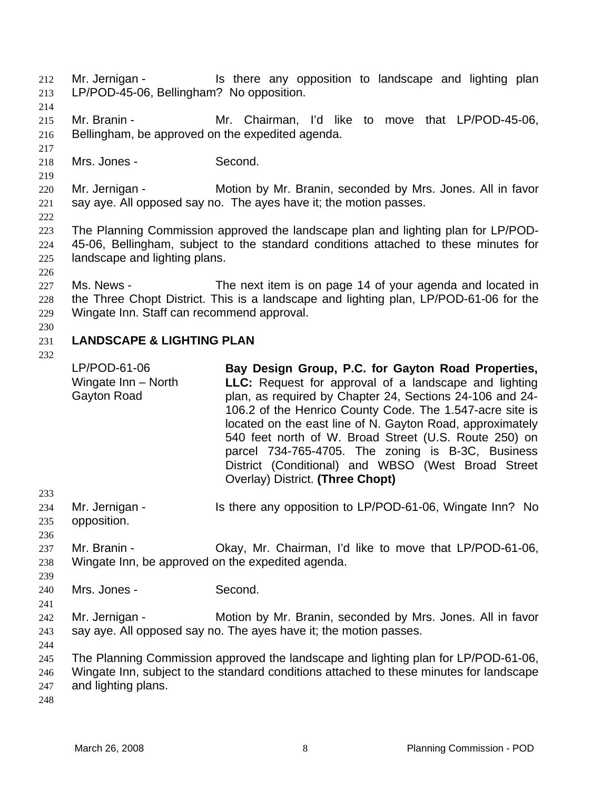Mr. Jernigan - Is there any opposition to landscape and lighting plan LP/POD-45-06, Bellingham? No opposition. 212 213

214

217

219

222

215 216 Mr. Branin - The Mr. Chairman, I'd like to move that LP/POD-45-06, Bellingham, be approved on the expedited agenda.

218 Mrs. Jones - Second.

220 221 Mr. Jernigan - Motion by Mr. Branin, seconded by Mrs. Jones. All in favor say aye. All opposed say no. The ayes have it; the motion passes.

- 223 224 225 The Planning Commission approved the landscape plan and lighting plan for LP/POD-45-06, Bellingham, subject to the standard conditions attached to these minutes for landscape and lighting plans.
- 226

227 228 229 Ms. News - The next item is on page 14 of your agenda and located in the Three Chopt District. This is a landscape and lighting plan, LP/POD-61-06 for the Wingate Inn. Staff can recommend approval.

### 231 **LANDSCAPE & LIGHTING PLAN**

232

|     | LP/POD-61-06<br>Wingate Inn - North<br>Gayton Road | Bay Design Group, P.C. for Gayton Road Properties,<br><b>LLC:</b> Request for approval of a landscape and lighting<br>plan, as required by Chapter 24, Sections 24-106 and 24-<br>106.2 of the Henrico County Code. The 1.547-acre site is<br>located on the east line of N. Gayton Road, approximately<br>540 feet north of W. Broad Street (U.S. Route 250) on<br>parcel 734-765-4705. The zoning is B-3C, Business<br>District (Conditional) and WBSO (West Broad Street<br>Overlay) District. (Three Chopt) |
|-----|----------------------------------------------------|-----------------------------------------------------------------------------------------------------------------------------------------------------------------------------------------------------------------------------------------------------------------------------------------------------------------------------------------------------------------------------------------------------------------------------------------------------------------------------------------------------------------|
| 233 |                                                    |                                                                                                                                                                                                                                                                                                                                                                                                                                                                                                                 |
| 234 | Mr. Jernigan -                                     | Is there any opposition to LP/POD-61-06, Wingate Inn? No                                                                                                                                                                                                                                                                                                                                                                                                                                                        |
| 235 | opposition.                                        |                                                                                                                                                                                                                                                                                                                                                                                                                                                                                                                 |
| 236 |                                                    |                                                                                                                                                                                                                                                                                                                                                                                                                                                                                                                 |
| 237 | Mr. Branin -                                       | Okay, Mr. Chairman, I'd like to move that LP/POD-61-06,                                                                                                                                                                                                                                                                                                                                                                                                                                                         |
| 238 | Wingate Inn, be approved on the expedited agenda.  |                                                                                                                                                                                                                                                                                                                                                                                                                                                                                                                 |
| 239 |                                                    |                                                                                                                                                                                                                                                                                                                                                                                                                                                                                                                 |
| 240 | Mrs. Jones -                                       | Second.                                                                                                                                                                                                                                                                                                                                                                                                                                                                                                         |
| 241 |                                                    |                                                                                                                                                                                                                                                                                                                                                                                                                                                                                                                 |
| 242 | Mr. Jernigan -                                     | Motion by Mr. Branin, seconded by Mrs. Jones. All in favor                                                                                                                                                                                                                                                                                                                                                                                                                                                      |
| 243 |                                                    | say aye. All opposed say no. The ayes have it; the motion passes.                                                                                                                                                                                                                                                                                                                                                                                                                                               |
| 244 |                                                    |                                                                                                                                                                                                                                                                                                                                                                                                                                                                                                                 |
| 245 |                                                    | The Planning Commission approved the landscape and lighting plan for LP/POD-61-06,                                                                                                                                                                                                                                                                                                                                                                                                                              |
| 246 |                                                    | Wingate Inn, subject to the standard conditions attached to these minutes for landscape                                                                                                                                                                                                                                                                                                                                                                                                                         |
| 247 | and lighting plans.                                |                                                                                                                                                                                                                                                                                                                                                                                                                                                                                                                 |
| 248 |                                                    |                                                                                                                                                                                                                                                                                                                                                                                                                                                                                                                 |
|     |                                                    |                                                                                                                                                                                                                                                                                                                                                                                                                                                                                                                 |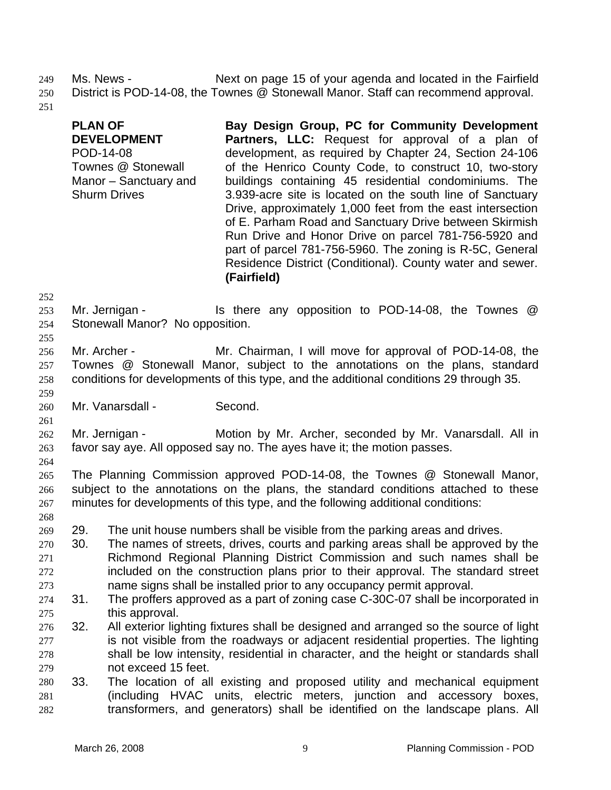249

Ms. News - Next on page 15 of your agenda and located in the Fairfield District is POD-14-08, the Townes @ Stonewall Manor. Staff can recommend approval. 250

251

- **PLAN OF DEVELOPMENT** POD-14-08 Townes @ Stonewall Manor – Sanctuary and Shurm Drives **Bay Design Group, PC for Community Development Partners, LLC:** Request for approval of a plan of development, as required by Chapter 24, Section 24-106 of the Henrico County Code, to construct 10, two-story buildings containing 45 residential condominiums. The 3.939-acre site is located on the south line of Sanctuary Drive, approximately 1,000 feet from the east intersection of E. Parham Road and Sanctuary Drive between Skirmish Run Drive and Honor Drive on parcel 781-756-5920 and part of parcel 781-756-5960. The zoning is R-5C, General Residence District (Conditional). County water and sewer. **(Fairfield)** Mr. Jernigan - Is there any opposition to POD-14-08, the Townes @ Stonewall Manor? No opposition. Mr. Archer - The Mr. Chairman, I will move for approval of POD-14-08, the Townes @ Stonewall Manor, subject to the annotations on the plans, standard conditions for developments of this type, and the additional conditions 29 through 35. Mr. Vanarsdall - Second. Mr. Jernigan - The Motion by Mr. Archer, seconded by Mr. Vanarsdall. All in favor say aye. All opposed say no. The ayes have it; the motion passes. The Planning Commission approved POD-14-08, the Townes @ Stonewall Manor, subject to the annotations on the plans, the standard conditions attached to these minutes for developments of this type, and the following additional conditions: 29. The unit house numbers shall be visible from the parking areas and drives. 30. The names of streets, drives, courts and parking areas shall be approved by the
- 270 271 272 273 Richmond Regional Planning District Commission and such names shall be included on the construction plans prior to their approval. The standard street name signs shall be installed prior to any occupancy permit approval.
- 274 275 31. The proffers approved as a part of zoning case C-30C-07 shall be incorporated in this approval.
- 276 277 278 279 32. All exterior lighting fixtures shall be designed and arranged so the source of light is not visible from the roadways or adjacent residential properties. The lighting shall be low intensity, residential in character, and the height or standards shall not exceed 15 feet.
- 280 281 282 33. The location of all existing and proposed utility and mechanical equipment (including HVAC units, electric meters, junction and accessory boxes, transformers, and generators) shall be identified on the landscape plans. All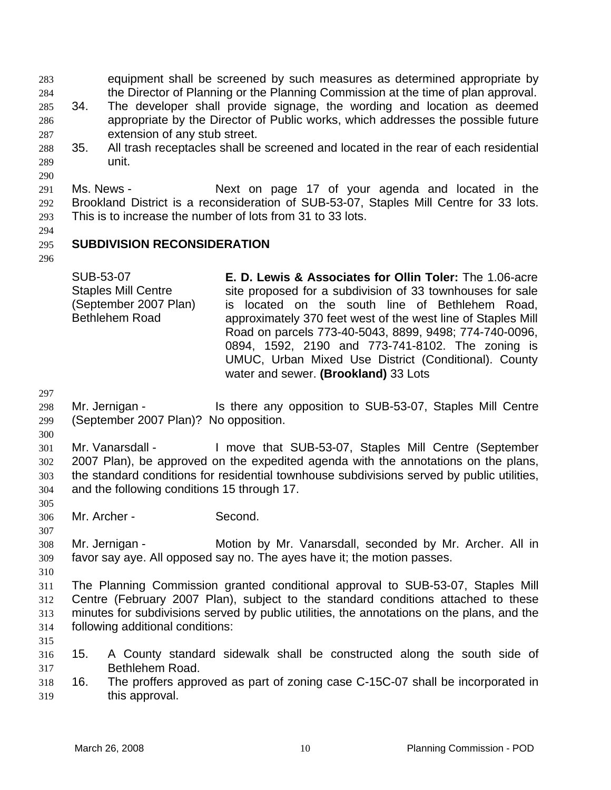equipment shall be screened by such measures as determined appropriate by the Director of Planning or the Planning Commission at the time of plan approval. 283 284

- 285 286 287 34. The developer shall provide signage, the wording and location as deemed appropriate by the Director of Public works, which addresses the possible future extension of any stub street.
- 288 289 35. All trash receptacles shall be screened and located in the rear of each residential unit.

291 292 293 Ms. News - The Mext on page 17 of your agenda and located in the Brookland District is a reconsideration of SUB-53-07, Staples Mill Centre for 33 lots. This is to increase the number of lots from 31 to 33 lots.

- 295 **SUBDIVISION RECONSIDERATION**
- 296

294

290

SUB-53-07 Staples Mill Centre (September 2007 Plan) Bethlehem Road **E. D. Lewis & Associates for Ollin Toler:** The 1.06-acre site proposed for a subdivision of 33 townhouses for sale is located on the south line of Bethlehem Road, approximately 370 feet west of the west line of Staples Mill Road on parcels 773-40-5043, 8899, 9498; 774-740-0096, 0894, 1592, 2190 and 773-741-8102. The zoning is UMUC, Urban Mixed Use District (Conditional). County water and sewer. **(Brookland)** 33 Lots

297

298 299 Mr. Jernigan - Is there any opposition to SUB-53-07, Staples Mill Centre (September 2007 Plan)? No opposition.

300

301 302 303 304 Mr. Vanarsdall - I move that SUB-53-07, Staples Mill Centre (September 2007 Plan), be approved on the expedited agenda with the annotations on the plans, the standard conditions for residential townhouse subdivisions served by public utilities, and the following conditions 15 through 17.

305 306

307

Mr. Archer - Second.

308 309 Mr. Jernigan - **Motion by Mr. Vanarsdall, seconded by Mr. Archer. All in** favor say aye. All opposed say no. The ayes have it; the motion passes.

310

315

311 312 313 314 The Planning Commission granted conditional approval to SUB-53-07, Staples Mill Centre (February 2007 Plan), subject to the standard conditions attached to these minutes for subdivisions served by public utilities, the annotations on the plans, and the following additional conditions:

- 316 317 15. A County standard sidewalk shall be constructed along the south side of Bethlehem Road.
- 318 319 16. The proffers approved as part of zoning case C-15C-07 shall be incorporated in this approval.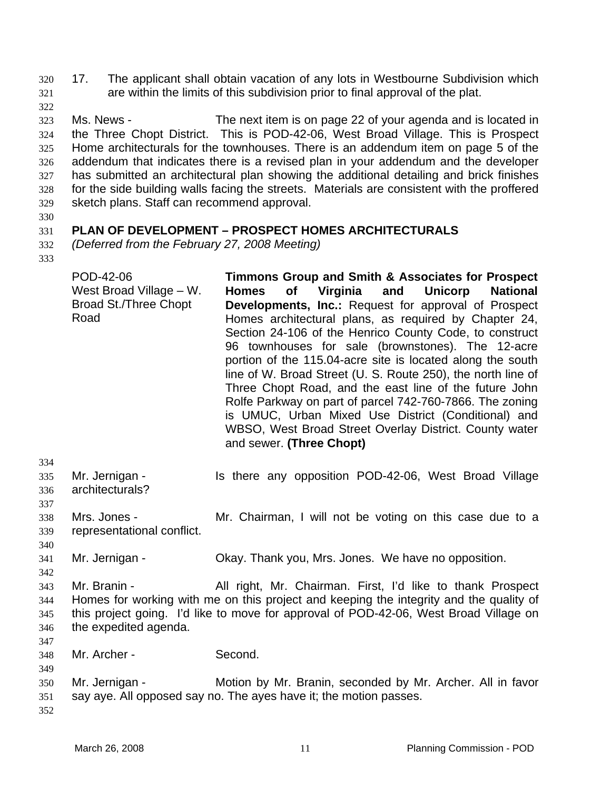17. The applicant shall obtain vacation of any lots in Westbourne Subdivision which are within the limits of this subdivision prior to final approval of the plat. 320 321

323 324 325 326 327 328 329 Ms. News - The next item is on page 22 of your agenda and is located in the Three Chopt District. This is POD-42-06, West Broad Village. This is Prospect Home architecturals for the townhouses. There is an addendum item on page 5 of the addendum that indicates there is a revised plan in your addendum and the developer has submitted an architectural plan showing the additional detailing and brick finishes for the side building walls facing the streets. Materials are consistent with the proffered sketch plans. Staff can recommend approval.

330

322

### 331 **PLAN OF DEVELOPMENT – PROSPECT HOMES ARCHITECTURALS**

332 *(Deferred from the February 27, 2008 Meeting)*

333

334

340

342

| POD-42-06<br>West Broad Village – W.<br><b>Broad St./Three Chopt</b><br>Road | Timmons Group and Smith & Associates for Prospect<br>Homes of Virginia and Unicorp National<br><b>Developments, Inc.:</b> Request for approval of Prospect<br>Homes architectural plans, as required by Chapter 24,<br>Section 24-106 of the Henrico County Code, to construct<br>96 townhouses for sale (brownstones). The 12-acre<br>portion of the 115.04-acre site is located along the south<br>line of W. Broad Street (U. S. Route 250), the north line of<br>Three Chopt Road, and the east line of the future John<br>Rolfe Parkway on part of parcel 742-760-7866. The zoning<br>is UMUC, Urban Mixed Use District (Conditional) and<br>WBSO, West Broad Street Overlay District. County water |
|------------------------------------------------------------------------------|----------------------------------------------------------------------------------------------------------------------------------------------------------------------------------------------------------------------------------------------------------------------------------------------------------------------------------------------------------------------------------------------------------------------------------------------------------------------------------------------------------------------------------------------------------------------------------------------------------------------------------------------------------------------------------------------------------|
|                                                                              | and sewer. (Three Chopt)                                                                                                                                                                                                                                                                                                                                                                                                                                                                                                                                                                                                                                                                                 |

- 335 336 337 Mr. Jernigan - Is there any opposition POD-42-06, West Broad Village architecturals?
- 338 339 Mrs. Jones - The Mr. Chairman, I will not be voting on this case due to a representational conflict.
- 341 Mr. Jernigan - Ckay. Thank you, Mrs. Jones. We have no opposition.
- 343 344 345 346 347 Mr. Branin - All right, Mr. Chairman. First, I'd like to thank Prospect Homes for working with me on this project and keeping the integrity and the quality of this project going. I'd like to move for approval of POD-42-06, West Broad Village on the expedited agenda.
- 348 Mr. Archer - Second.
- 350 351 Mr. Jernigan - Motion by Mr. Branin, seconded by Mr. Archer. All in favor say aye. All opposed say no. The ayes have it; the motion passes.
- 352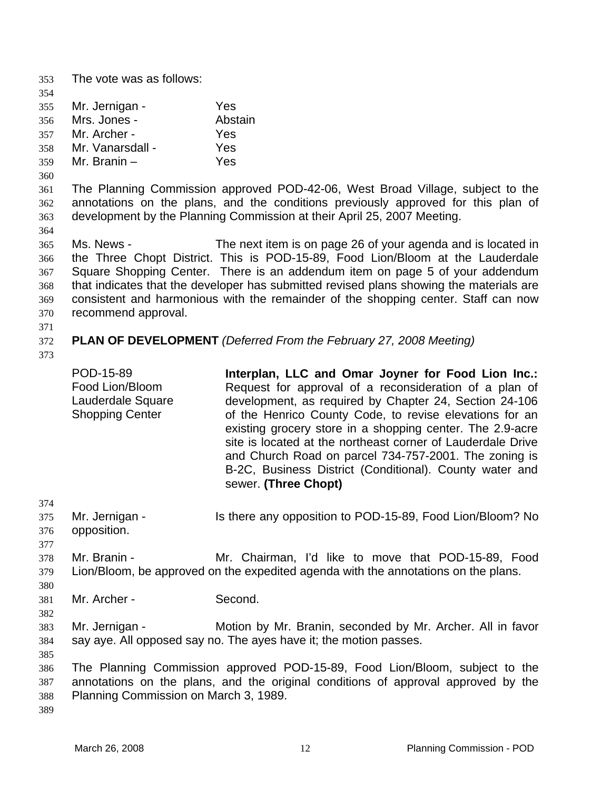353 The vote was as follows: 354 355 356 357 358 359 360 361 362 363 364 365 366 367 368 369 370 371 372 373 374 375 376 377 378 379 380 381 382 383 384 385 386 387 388 Mr. Jernigan - Yes Mrs. Jones - **Abstain** Mr. Archer - Yes Mr. Vanarsdall - Yes Mr. Branin – Yes The Planning Commission approved POD-42-06, West Broad Village, subject to the annotations on the plans, and the conditions previously approved for this plan of development by the Planning Commission at their April 25, 2007 Meeting. Ms. News - The next item is on page 26 of your agenda and is located in the Three Chopt District. This is POD-15-89, Food Lion/Bloom at the Lauderdale Square Shopping Center. There is an addendum item on page 5 of your addendum that indicates that the developer has submitted revised plans showing the materials are consistent and harmonious with the remainder of the shopping center. Staff can now recommend approval. **PLAN OF DEVELOPMENT** *(Deferred From the February 27, 2008 Meeting)* POD-15-89 Food Lion/Bloom Lauderdale Square Shopping Center **Interplan, LLC and Omar Joyner for Food Lion Inc.:** Request for approval of a reconsideration of a plan of development, as required by Chapter 24, Section 24-106 of the Henrico County Code, to revise elevations for an existing grocery store in a shopping center. The 2.9-acre site is located at the northeast corner of Lauderdale Drive and Church Road on parcel 734-757-2001. The zoning is B-2C, Business District (Conditional). County water and sewer. **(Three Chopt)** Mr. Jernigan - The Is there any opposition to POD-15-89, Food Lion/Bloom? No opposition. Mr. Branin - The Mr. Chairman, I'd like to move that POD-15-89, Food Lion/Bloom, be approved on the expedited agenda with the annotations on the plans. Mr. Archer - Second. Mr. Jernigan - **Motion by Mr. Branin, seconded by Mr. Archer. All in favor** say aye. All opposed say no. The ayes have it; the motion passes. The Planning Commission approved POD-15-89, Food Lion/Bloom, subject to the annotations on the plans, and the original conditions of approval approved by the Planning Commission on March 3, 1989.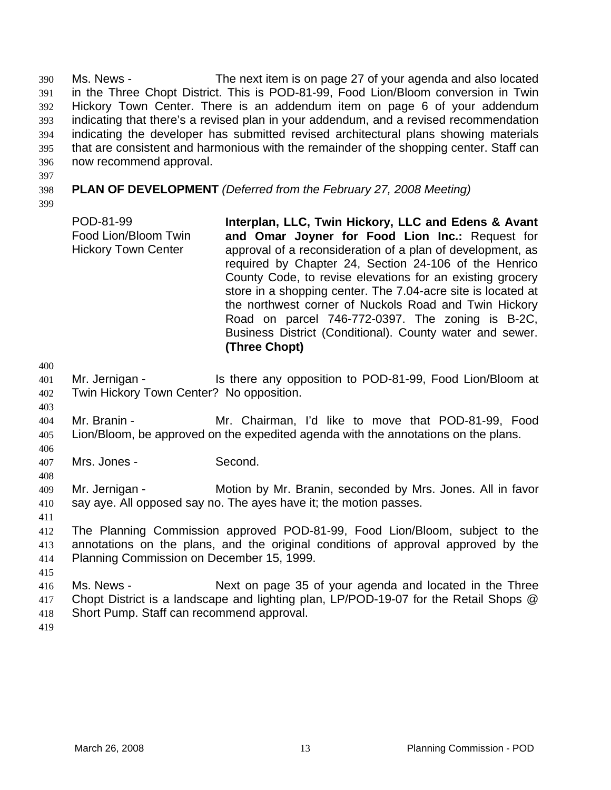Ms. News - The next item is on page 27 of your agenda and also located in the Three Chopt District. This is POD-81-99, Food Lion/Bloom conversion in Twin Hickory Town Center. There is an addendum item on page 6 of your addendum indicating that there's a revised plan in your addendum, and a revised recommendation indicating the developer has submitted revised architectural plans showing materials that are consistent and harmonious with the remainder of the shopping center. Staff can now recommend approval. 390 391 392 393 394 395 396

- 397
- 398

**PLAN OF DEVELOPMENT** *(Deferred from the February 27, 2008 Meeting)*

399

POD-81-99 Food Lion/Bloom Twin Hickory Town Center **Interplan, LLC, Twin Hickory, LLC and Edens & Avant and Omar Joyner for Food Lion Inc.:** Request for approval of a reconsideration of a plan of development, as required by Chapter 24, Section 24-106 of the Henrico County Code, to revise elevations for an existing grocery store in a shopping center. The 7.04-acre site is located at the northwest corner of Nuckols Road and Twin Hickory Road on parcel 746-772-0397. The zoning is B-2C, Business District (Conditional). County water and sewer. **(Three Chopt)**

400

403

406

408

- 401 402 Mr. Jernigan - Is there any opposition to POD-81-99, Food Lion/Bloom at Twin Hickory Town Center? No opposition.
- 404 405 Mr. Branin - Mr. Chairman, I'd like to move that POD-81-99, Food Lion/Bloom, be approved on the expedited agenda with the annotations on the plans.
- 407 Mrs. Jones - Second.
- 409 410 Mr. Jernigan - **Motion by Mr. Branin, seconded by Mrs. Jones. All in favor** say aye. All opposed say no. The ayes have it; the motion passes.
- 411

412 413 414 The Planning Commission approved POD-81-99, Food Lion/Bloom, subject to the annotations on the plans, and the original conditions of approval approved by the Planning Commission on December 15, 1999.

416 417 418 Ms. News - Next on page 35 of your agenda and located in the Three Chopt District is a landscape and lighting plan, LP/POD-19-07 for the Retail Shops @ Short Pump. Staff can recommend approval.

419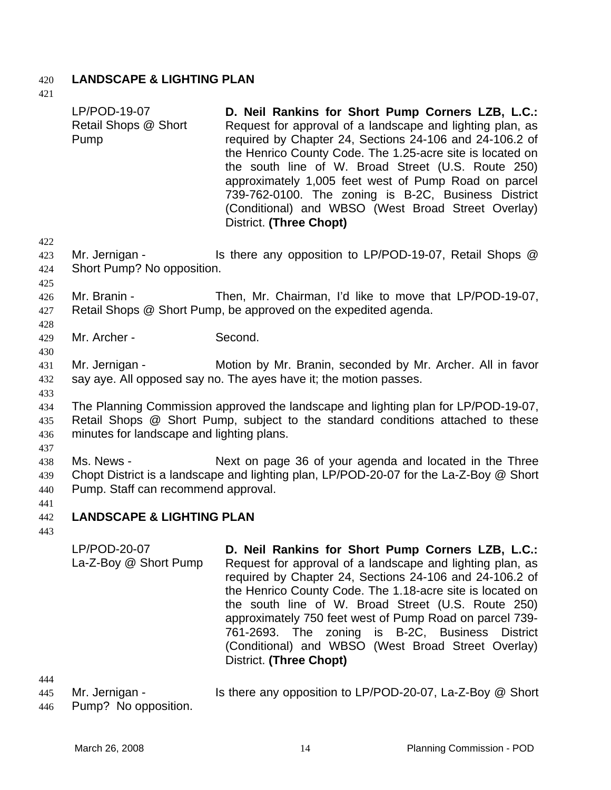## 420 **LANDSCAPE & LIGHTING PLAN**

421

|     | LP/POD-19-07<br>Retail Shops @ Short<br>Pump                                    | D. Neil Rankins for Short Pump Corners LZB, L.C.:<br>Request for approval of a landscape and lighting plan, as<br>required by Chapter 24, Sections 24-106 and 24-106.2 of<br>the Henrico County Code. The 1.25-acre site is located on<br>the south line of W. Broad Street (U.S. Route 250)<br>approximately 1,005 feet west of Pump Road on parcel<br>739-762-0100. The zoning is B-2C, Business District<br>(Conditional) and WBSO (West Broad Street Overlay)<br>District. (Three Chopt) |  |  |
|-----|---------------------------------------------------------------------------------|----------------------------------------------------------------------------------------------------------------------------------------------------------------------------------------------------------------------------------------------------------------------------------------------------------------------------------------------------------------------------------------------------------------------------------------------------------------------------------------------|--|--|
| 422 |                                                                                 |                                                                                                                                                                                                                                                                                                                                                                                                                                                                                              |  |  |
| 423 | Mr. Jernigan -                                                                  | Is there any opposition to LP/POD-19-07, Retail Shops @                                                                                                                                                                                                                                                                                                                                                                                                                                      |  |  |
| 424 | Short Pump? No opposition.                                                      |                                                                                                                                                                                                                                                                                                                                                                                                                                                                                              |  |  |
| 425 |                                                                                 |                                                                                                                                                                                                                                                                                                                                                                                                                                                                                              |  |  |
| 426 | Mr. Branin -                                                                    | Then, Mr. Chairman, I'd like to move that LP/POD-19-07,                                                                                                                                                                                                                                                                                                                                                                                                                                      |  |  |
| 427 |                                                                                 | Retail Shops @ Short Pump, be approved on the expedited agenda.                                                                                                                                                                                                                                                                                                                                                                                                                              |  |  |
| 428 |                                                                                 |                                                                                                                                                                                                                                                                                                                                                                                                                                                                                              |  |  |
| 429 | Mr. Archer -                                                                    | Second.                                                                                                                                                                                                                                                                                                                                                                                                                                                                                      |  |  |
| 430 |                                                                                 |                                                                                                                                                                                                                                                                                                                                                                                                                                                                                              |  |  |
| 431 | Mr. Jernigan -                                                                  | Motion by Mr. Branin, seconded by Mr. Archer. All in favor                                                                                                                                                                                                                                                                                                                                                                                                                                   |  |  |
| 432 | say aye. All opposed say no. The ayes have it; the motion passes.               |                                                                                                                                                                                                                                                                                                                                                                                                                                                                                              |  |  |
| 433 |                                                                                 |                                                                                                                                                                                                                                                                                                                                                                                                                                                                                              |  |  |
| 434 |                                                                                 | The Planning Commission approved the landscape and lighting plan for LP/POD-19-07,                                                                                                                                                                                                                                                                                                                                                                                                           |  |  |
| 435 | Retail Shops @ Short Pump, subject to the standard conditions attached to these |                                                                                                                                                                                                                                                                                                                                                                                                                                                                                              |  |  |
| 436 | minutes for landscape and lighting plans.                                       |                                                                                                                                                                                                                                                                                                                                                                                                                                                                                              |  |  |
| 437 |                                                                                 |                                                                                                                                                                                                                                                                                                                                                                                                                                                                                              |  |  |
| 438 | Ms. News -                                                                      | Next on page 36 of your agenda and located in the Three                                                                                                                                                                                                                                                                                                                                                                                                                                      |  |  |
| 439 |                                                                                 | Chopt District is a landscape and lighting plan, LP/POD-20-07 for the La-Z-Boy @ Short                                                                                                                                                                                                                                                                                                                                                                                                       |  |  |
| 440 | Pump. Staff can recommend approval.                                             |                                                                                                                                                                                                                                                                                                                                                                                                                                                                                              |  |  |
| 441 |                                                                                 |                                                                                                                                                                                                                                                                                                                                                                                                                                                                                              |  |  |
| 442 | <b>LANDSCAPE &amp; LIGHTING PLAN</b>                                            |                                                                                                                                                                                                                                                                                                                                                                                                                                                                                              |  |  |
| 443 |                                                                                 |                                                                                                                                                                                                                                                                                                                                                                                                                                                                                              |  |  |
|     | LP/POD-20-07<br>La-Z-Boy @ Short Pump                                           | D. Neil Rankins for Short Pump Corners LZB, L.C.:<br>Request for approval of a landscape and lighting plan, as<br>$\sim$ 11 0 $\sim$ 400 0 $\sim$ 0 $\sim$ 0 400 $\sim$ 100 400 $\sim$ 1                                                                                                                                                                                                                                                                                                     |  |  |

## 442

required by Chapter 24, Sections 24-106 and 24-106.2 of the Henrico County Code. The 1.18-acre site is located on the south line of W. Broad Street (U.S. Route 250) approximately 750 feet west of Pump Road on parcel 739- 761-2693. The zoning is B-2C, Business District (Conditional) and WBSO (West Broad Street Overlay) District. **(Three Chopt)**

444

445 446 Mr. Jernigan - Is there any opposition to LP/POD-20-07, La-Z-Boy @ Short Pump? No opposition.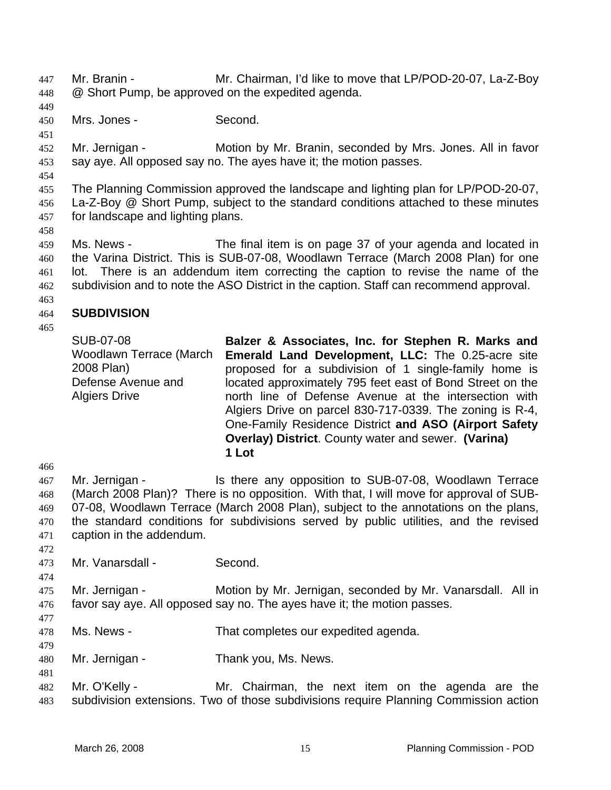- Mr. Branin Mr. Chairman, I'd like to move that LP/POD-20-07, La-Z-Boy @ Short Pump, be approved on the expedited agenda. 447 448
- 449
- 450 Mrs. Jones - Second.
- 451

452 453 Mr. Jernigan - **Motion by Mr. Branin, seconded by Mrs. Jones. All in favor** say aye. All opposed say no. The ayes have it; the motion passes.

454

455 456 457 The Planning Commission approved the landscape and lighting plan for LP/POD-20-07, La-Z-Boy @ Short Pump, subject to the standard conditions attached to these minutes for landscape and lighting plans.

458

459 460 461 462 Ms. News - The final item is on page 37 of your agenda and located in the Varina District. This is SUB-07-08, Woodlawn Terrace (March 2008 Plan) for one lot. There is an addendum item correcting the caption to revise the name of the subdivision and to note the ASO District in the caption. Staff can recommend approval.

463

465

### 464 **SUBDIVISION**

SUB-07-08 Woodlawn Terrace (March 2008 Plan) Defense Avenue and Algiers Drive **Balzer & Associates, Inc. for Stephen R. Marks and Emerald Land Development, LLC:** The 0.25-acre site proposed for a subdivision of 1 single-family home is located approximately 795 feet east of Bond Street on the north line of Defense Avenue at the intersection with Algiers Drive on parcel 830-717-0339. The zoning is R-4, One-Family Residence District **and ASO (Airport Safety Overlay) District**. County water and sewer. **(Varina) 1 Lot** 

467 468 469 470 471 Mr. Jernigan - The Is there any opposition to SUB-07-08, Woodlawn Terrace (March 2008 Plan)? There is no opposition. With that, I will move for approval of SUB-07-08, Woodlawn Terrace (March 2008 Plan), subject to the annotations on the plans, the standard conditions for subdivisions served by public utilities, and the revised caption in the addendum.

- 473 Mr. Vanarsdall - Second.
- 474

472

466

475 Mr. Jernigan - **Motion by Mr. Jernigan, seconded by Mr. Vanarsdall.** All in

- 476 favor say aye. All opposed say no. The ayes have it; the motion passes.
- 477

479

- 478 Ms. News - That completes our expedited agenda.
- 480 Mr. Jernigan - Thank you, Ms. News.
- 482 483 Mr. O'Kelly - Mr. Chairman, the next item on the agenda are the subdivision extensions. Two of those subdivisions require Planning Commission action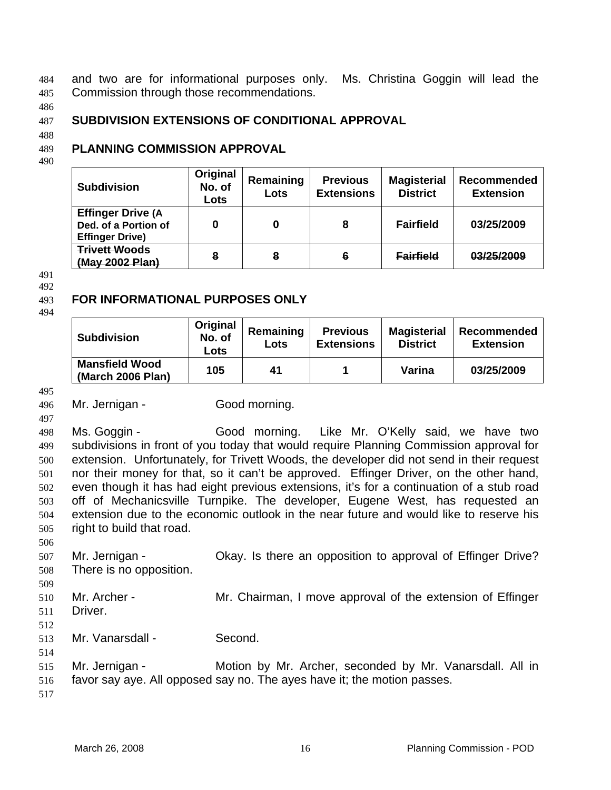and two are for informational purposes only. Ms. Christina Goggin will lead the Commission through those recommendations. 484 485

486

### 487 **SUBDIVISION EXTENSIONS OF CONDITIONAL APPROVAL**

488

### 489 **PLANNING COMMISSION APPROVAL**

490

| <b>Subdivision</b>                                                         | Original<br>No. of<br>Lots | Remaining<br>Lots | <b>Previous</b><br><b>Extensions</b> | <b>Magisterial</b><br><b>District</b> | Recommended<br><b>Extension</b> |
|----------------------------------------------------------------------------|----------------------------|-------------------|--------------------------------------|---------------------------------------|---------------------------------|
| <b>Effinger Drive (A</b><br>Ded. of a Portion of<br><b>Effinger Drive)</b> | 0                          | 0                 | 8                                    | <b>Fairfield</b>                      | 03/25/2009                      |
| <b>Trivett Woods</b><br>(May 2002 Plan)                                    | 8                          | 8                 | 6                                    | <b>Fairfield</b>                      | 03/25/2009                      |

491 492

### 493 **FOR INFORMATIONAL PURPOSES ONLY**

494

| <b>Subdivision</b>                         | Original<br>No. of<br>Lots | Remaining<br>Lots | <b>Previous</b><br><b>Extensions</b> | <b>Magisterial</b><br><b>District</b> | Recommended<br><b>Extension</b> |
|--------------------------------------------|----------------------------|-------------------|--------------------------------------|---------------------------------------|---------------------------------|
| <b>Mansfield Wood</b><br>(March 2006 Plan) | 105                        | 41                |                                      | Varina                                | 03/25/2009                      |

495

497

498 499 500 501 502 503 504 505 Ms. Goggin - Good morning. Like Mr. O'Kelly said, we have two subdivisions in front of you today that would require Planning Commission approval for extension. Unfortunately, for Trivett Woods, the developer did not send in their request nor their money for that, so it can't be approved. Effinger Driver, on the other hand, even though it has had eight previous extensions, it's for a continuation of a stub road off of Mechanicsville Turnpike. The developer, Eugene West, has requested an extension due to the economic outlook in the near future and would like to reserve his right to build that road.

507 508 Mr. Jernigan - Okay. Is there an opposition to approval of Effinger Drive? There is no opposition.

- 509 510 Mr. Archer - **Mr. Chairman, I move approval of the extension of Effinger**
- 511 Driver.
- 512 513

506

Mr. Vanarsdall - Second.

514

<sup>496</sup>  Mr. Jernigan - Good morning.

<sup>515</sup>  516 Mr. Jernigan - Motion by Mr. Archer, seconded by Mr. Vanarsdall. All in favor say aye. All opposed say no. The ayes have it; the motion passes.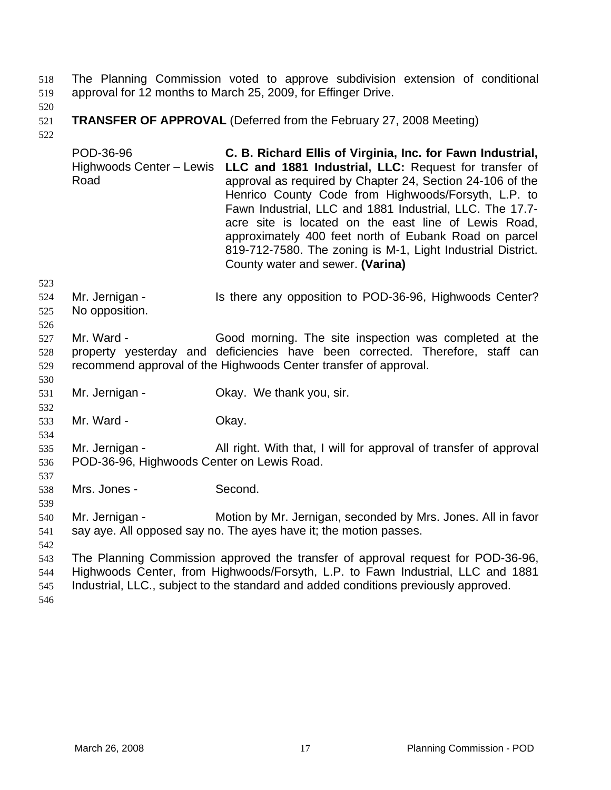The Planning Commission voted to approve subdivision extension of conditional approval for 12 months to March 25, 2009, for Effinger Drive. 518 519

- 520
- 521 **TRANSFER OF APPROVAL** (Deferred from the February 27, 2008 Meeting)
- 522

523

530

532

534

537

539

POD-36-96 Highwoods Center - Lewis LLC and 1881 Industrial, LLC: Request for transfer of Road **C. B. Richard Ellis of Virginia, Inc. for Fawn Industrial,**  approval as required by Chapter 24, Section 24-106 of the Henrico County Code from Highwoods/Forsyth, L.P. to Fawn Industrial, LLC and 1881 Industrial, LLC. The 17.7 acre site is located on the east line of Lewis Road, approximately 400 feet north of Eubank Road on parcel 819-712-7580. The zoning is M-1, Light Industrial District. County water and sewer. **(Varina)**

524 525 Mr. Jernigan - Is there any opposition to POD-36-96, Highwoods Center? No opposition.

- 527 528 529 Mr. Ward - The Good morning. The site inspection was completed at the property yesterday and deficiencies have been corrected. Therefore, staff can recommend approval of the Highwoods Center transfer of approval.
- 531 Mr. Jernigan - Ckay. We thank you, sir.
- 533 Mr. Ward - Chay.
- 535 536 Mr. Jernigan - All right. With that, I will for approval of transfer of approval POD-36-96, Highwoods Center on Lewis Road.
- 538 Mrs. Jones - Second.
- 540 541 Mr. Jernigan - Motion by Mr. Jernigan, seconded by Mrs. Jones. All in favor say aye. All opposed say no. The ayes have it; the motion passes.
- 542
- 543 544 545 The Planning Commission approved the transfer of approval request for POD-36-96, Highwoods Center, from Highwoods/Forsyth, L.P. to Fawn Industrial, LLC and 1881 Industrial, LLC., subject to the standard and added conditions previously approved.
- 546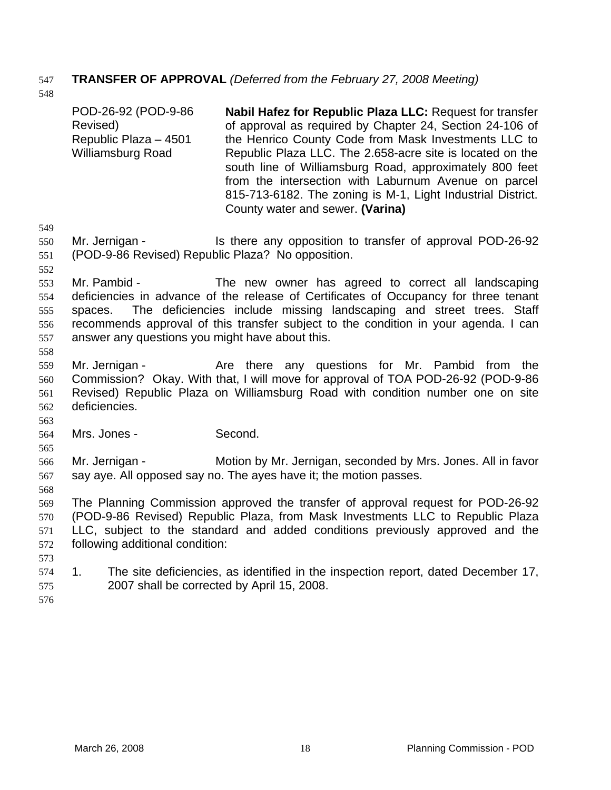# 547 **TRANSFER OF APPROVAL** *(Deferred from the February 27, 2008 Meeting)*

548

|                   | POD-26-92 (POD-9-86<br>Revised)<br>Republic Plaza - 4501<br>Williamsburg Road | Nabil Hafez for Republic Plaza LLC: Request for transfer<br>of approval as required by Chapter 24, Section 24-106 of<br>the Henrico County Code from Mask Investments LLC to<br>Republic Plaza LLC. The 2.658-acre site is located on the<br>south line of Williamsburg Road, approximately 800 feet<br>from the intersection with Laburnum Avenue on parcel<br>815-713-6182. The zoning is M-1, Light Industrial District.<br>County water and sewer. (Varina) |
|-------------------|-------------------------------------------------------------------------------|-----------------------------------------------------------------------------------------------------------------------------------------------------------------------------------------------------------------------------------------------------------------------------------------------------------------------------------------------------------------------------------------------------------------------------------------------------------------|
| 549               |                                                                               |                                                                                                                                                                                                                                                                                                                                                                                                                                                                 |
| 550<br>551<br>552 | Mr. Jernigan -<br>(POD-9-86 Revised) Republic Plaza? No opposition.           | Is there any opposition to transfer of approval POD-26-92                                                                                                                                                                                                                                                                                                                                                                                                       |
|                   | Mr. Pambid -                                                                  |                                                                                                                                                                                                                                                                                                                                                                                                                                                                 |
| 553<br>554        |                                                                               | The new owner has agreed to correct all landscaping<br>deficiencies in advance of the release of Certificates of Occupancy for three tenant                                                                                                                                                                                                                                                                                                                     |
| 555               | spaces.                                                                       | The deficiencies include missing landscaping and street trees. Staff                                                                                                                                                                                                                                                                                                                                                                                            |
| 556               |                                                                               | recommends approval of this transfer subject to the condition in your agenda. I can                                                                                                                                                                                                                                                                                                                                                                             |
| 557               | answer any questions you might have about this.                               |                                                                                                                                                                                                                                                                                                                                                                                                                                                                 |
| 558               |                                                                               |                                                                                                                                                                                                                                                                                                                                                                                                                                                                 |
| 559               | Mr. Jernigan -                                                                | Are there any questions for Mr. Pambid from the                                                                                                                                                                                                                                                                                                                                                                                                                 |
| 560               |                                                                               | Commission? Okay. With that, I will move for approval of TOA POD-26-92 (POD-9-86                                                                                                                                                                                                                                                                                                                                                                                |
| 561               |                                                                               | Revised) Republic Plaza on Williamsburg Road with condition number one on site                                                                                                                                                                                                                                                                                                                                                                                  |
| 562               | deficiencies.                                                                 |                                                                                                                                                                                                                                                                                                                                                                                                                                                                 |
| 563               |                                                                               |                                                                                                                                                                                                                                                                                                                                                                                                                                                                 |
| 564               | Mrs. Jones -                                                                  | Second.                                                                                                                                                                                                                                                                                                                                                                                                                                                         |
| 565<br>566        | Mr. Jernigan -                                                                | Motion by Mr. Jernigan, seconded by Mrs. Jones. All in favor                                                                                                                                                                                                                                                                                                                                                                                                    |
| 567               |                                                                               | say aye. All opposed say no. The ayes have it; the motion passes.                                                                                                                                                                                                                                                                                                                                                                                               |
| 568               |                                                                               |                                                                                                                                                                                                                                                                                                                                                                                                                                                                 |
| 569               |                                                                               | The Planning Commission approved the transfer of approval request for POD-26-92                                                                                                                                                                                                                                                                                                                                                                                 |
| 570               |                                                                               | (POD-9-86 Revised) Republic Plaza, from Mask Investments LLC to Republic Plaza                                                                                                                                                                                                                                                                                                                                                                                  |
| 571               |                                                                               | LLC, subject to the standard and added conditions previously approved and the                                                                                                                                                                                                                                                                                                                                                                                   |
| 572               | following additional condition:                                               |                                                                                                                                                                                                                                                                                                                                                                                                                                                                 |
| 573               |                                                                               |                                                                                                                                                                                                                                                                                                                                                                                                                                                                 |
| 574               | 1.                                                                            | The site deficiencies, as identified in the inspection report, dated December 17,                                                                                                                                                                                                                                                                                                                                                                               |
| 575               | 2007 shall be corrected by April 15, 2008.                                    |                                                                                                                                                                                                                                                                                                                                                                                                                                                                 |
| 576               |                                                                               |                                                                                                                                                                                                                                                                                                                                                                                                                                                                 |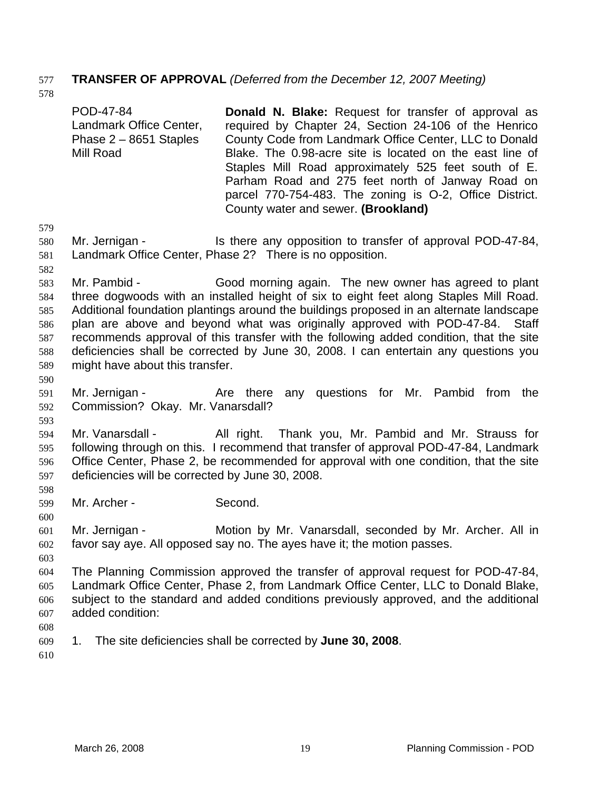## 577 **TRANSFER OF APPROVAL** *(Deferred from the December 12, 2007 Meeting)*

578

POD-47-84 Landmark Office Center, Phase 2 – 8651 Staples Mill Road **Donald N. Blake:** Request for transfer of approval as required by Chapter 24, Section 24-106 of the Henrico County Code from Landmark Office Center, LLC to Donald Blake. The 0.98-acre site is located on the east line of Staples Mill Road approximately 525 feet south of E. Parham Road and 275 feet north of Janway Road on parcel 770-754-483. The zoning is O-2, Office District. County water and sewer. **(Brookland)**

- 579 580 581 Mr. Jernigan - Is there any opposition to transfer of approval POD-47-84, Landmark Office Center, Phase 2? There is no opposition.
- 582

583 584 585 586 587 588 589 590 Mr. Pambid - Good morning again. The new owner has agreed to plant three dogwoods with an installed height of six to eight feet along Staples Mill Road. Additional foundation plantings around the buildings proposed in an alternate landscape plan are above and beyond what was originally approved with POD-47-84. Staff recommends approval of this transfer with the following added condition, that the site deficiencies shall be corrected by June 30, 2008. I can entertain any questions you might have about this transfer.

- 591 592 Mr. Jernigan - Are there any questions for Mr. Pambid from the Commission? Okay. Mr. Vanarsdall?
- 594 595 596 597 Mr. Vanarsdall - All right. Thank you, Mr. Pambid and Mr. Strauss for following through on this. I recommend that transfer of approval POD-47-84, Landmark Office Center, Phase 2, be recommended for approval with one condition, that the site deficiencies will be corrected by June 30, 2008.
- 599 Mr. Archer - Second.
- 600 601 602 Mr. Jernigan - **Motion by Mr. Vanarsdall, seconded by Mr. Archer. All in** favor say aye. All opposed say no. The ayes have it; the motion passes.
- 603

593

598

- 604 605 606 607 The Planning Commission approved the transfer of approval request for POD-47-84, Landmark Office Center, Phase 2, from Landmark Office Center, LLC to Donald Blake, subject to the standard and added conditions previously approved, and the additional added condition:
- 608
- 609 1. The site deficiencies shall be corrected by **June 30, 2008**.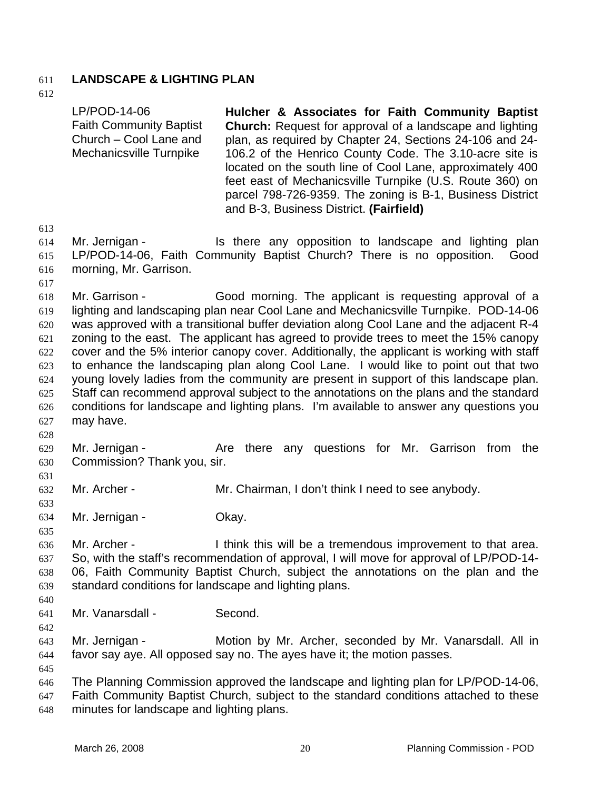## 611 **LANDSCAPE & LIGHTING PLAN**

612

613 614 615 616 617 618 619 620 621 622 623 624 625 626 627 628 629 630 631 632 633 634 635 636 637 638 639 640 641 642 643 644 645 646 647 648 LP/POD-14-06 Faith Community Baptist Church – Cool Lane and Mechanicsville Turnpike **Hulcher & Associates for Faith Community Baptist Church:** Request for approval of a landscape and lighting plan, as required by Chapter 24, Sections 24-106 and 24- 106.2 of the Henrico County Code. The 3.10-acre site is located on the south line of Cool Lane, approximately 400 feet east of Mechanicsville Turnpike (U.S. Route 360) on parcel 798-726-9359. The zoning is B-1, Business District and B-3, Business District. **(Fairfield)** Mr. Jernigan - Is there any opposition to landscape and lighting plan LP/POD-14-06, Faith Community Baptist Church? There is no opposition. Good morning, Mr. Garrison. Mr. Garrison - Good morning. The applicant is requesting approval of a lighting and landscaping plan near Cool Lane and Mechanicsville Turnpike. POD-14-06 was approved with a transitional buffer deviation along Cool Lane and the adjacent R-4 zoning to the east. The applicant has agreed to provide trees to meet the 15% canopy cover and the 5% interior canopy cover. Additionally, the applicant is working with staff to enhance the landscaping plan along Cool Lane. I would like to point out that two young lovely ladies from the community are present in support of this landscape plan. Staff can recommend approval subject to the annotations on the plans and the standard conditions for landscape and lighting plans. I'm available to answer any questions you may have. Mr. Jernigan - Are there any questions for Mr. Garrison from the Commission? Thank you, sir. Mr. Archer - Mr. Chairman, I don't think I need to see anybody. Mr. Jernigan - **Okay.** Mr. Archer - I think this will be a tremendous improvement to that area. So, with the staff's recommendation of approval, I will move for approval of LP/POD-14- 06, Faith Community Baptist Church, subject the annotations on the plan and the standard conditions for landscape and lighting plans. Mr. Vanarsdall - Second. Mr. Jernigan - Motion by Mr. Archer, seconded by Mr. Vanarsdall. All in favor say aye. All opposed say no. The ayes have it; the motion passes. The Planning Commission approved the landscape and lighting plan for LP/POD-14-06, Faith Community Baptist Church, subject to the standard conditions attached to these minutes for landscape and lighting plans.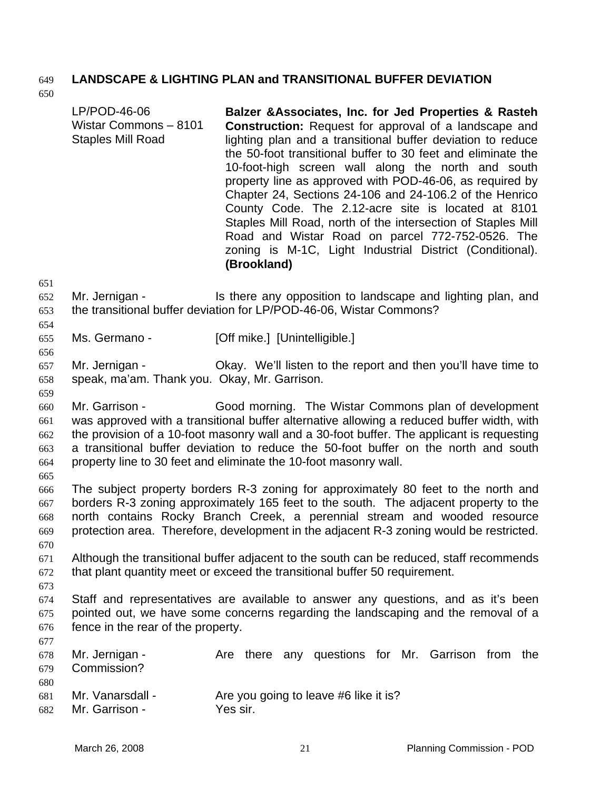## 649 **LANDSCAPE & LIGHTING PLAN and TRANSITIONAL BUFFER DEVIATION**

650

| LP/POD-46-06<br>Wistar Commons - 8101<br><b>Staples Mill Road</b>                                                                                                                                                                                                                                                                                                                                                           | Balzer & Associates, Inc. for Jed Properties & Rasteh<br><b>Construction:</b> Request for approval of a landscape and<br>lighting plan and a transitional buffer deviation to reduce<br>the 50-foot transitional buffer to 30 feet and eliminate the<br>10-foot-high screen wall along the north and south<br>property line as approved with POD-46-06, as required by<br>Chapter 24, Sections 24-106 and 24-106.2 of the Henrico<br>County Code. The 2.12-acre site is located at 8101<br>Staples Mill Road, north of the intersection of Staples Mill<br>Road and Wistar Road on parcel 772-752-0526. The<br>zoning is M-1C, Light Industrial District (Conditional).<br>(Brookland) |  |  |
|-----------------------------------------------------------------------------------------------------------------------------------------------------------------------------------------------------------------------------------------------------------------------------------------------------------------------------------------------------------------------------------------------------------------------------|----------------------------------------------------------------------------------------------------------------------------------------------------------------------------------------------------------------------------------------------------------------------------------------------------------------------------------------------------------------------------------------------------------------------------------------------------------------------------------------------------------------------------------------------------------------------------------------------------------------------------------------------------------------------------------------|--|--|
| Mr. Jernigan -                                                                                                                                                                                                                                                                                                                                                                                                              | Is there any opposition to landscape and lighting plan, and<br>the transitional buffer deviation for LP/POD-46-06, Wistar Commons?                                                                                                                                                                                                                                                                                                                                                                                                                                                                                                                                                     |  |  |
| Ms. Germano -                                                                                                                                                                                                                                                                                                                                                                                                               | [Off mike.] [Unintelligible.]                                                                                                                                                                                                                                                                                                                                                                                                                                                                                                                                                                                                                                                          |  |  |
| Mr. Jernigan -<br>speak, ma'am. Thank you. Okay, Mr. Garrison.                                                                                                                                                                                                                                                                                                                                                              | Okay. We'll listen to the report and then you'll have time to                                                                                                                                                                                                                                                                                                                                                                                                                                                                                                                                                                                                                          |  |  |
| Mr. Garrison -<br>Good morning. The Wistar Commons plan of development<br>was approved with a transitional buffer alternative allowing a reduced buffer width, with<br>the provision of a 10-foot masonry wall and a 30-foot buffer. The applicant is requesting<br>a transitional buffer deviation to reduce the 50-foot buffer on the north and south<br>property line to 30 feet and eliminate the 10-foot masonry wall. |                                                                                                                                                                                                                                                                                                                                                                                                                                                                                                                                                                                                                                                                                        |  |  |
| The subject property borders R-3 zoning for approximately 80 feet to the north and<br>borders R-3 zoning approximately 165 feet to the south. The adjacent property to the<br>north contains Rocky Branch Creek, a perennial stream and wooded resource<br>protection area. Therefore, development in the adjacent R-3 zoning would be restricted.                                                                          |                                                                                                                                                                                                                                                                                                                                                                                                                                                                                                                                                                                                                                                                                        |  |  |
|                                                                                                                                                                                                                                                                                                                                                                                                                             | A like a coale the a thousand benefit and a discover that the coaccile open because developed at affine a coal                                                                                                                                                                                                                                                                                                                                                                                                                                                                                                                                                                         |  |  |

- 671 672 Although the transitional buffer adjacent to the south can be reduced, staff recommends that plant quantity meet or exceed the transitional buffer 50 requirement.
- 673
- 674 675 676 677 Staff and representatives are available to answer any questions, and as it's been pointed out, we have some concerns regarding the landscaping and the removal of a fence in the rear of the property.
- 678 679 680 681 682 Mr. Jernigan - The Are there any questions for Mr. Garrison from the Commission? Mr. Vanarsdall - Are you going to leave #6 like it is? Mr. Garrison - Yes sir.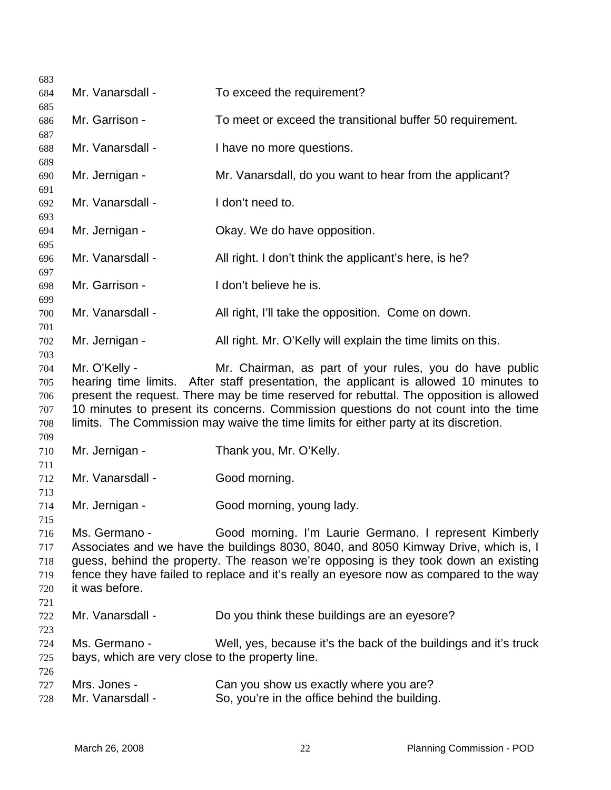Mr. Vanarsdall - To exceed the requirement? Mr. Garrison - To meet or exceed the transitional buffer 50 requirement. Mr. Vanarsdall - I have no more questions. Mr. Jernigan - Mr. Vanarsdall, do you want to hear from the applicant? Mr. Vanarsdall - I don't need to. Mr. Jernigan - Ckay. We do have opposition. Mr. Vanarsdall - All right. I don't think the applicant's here, is he? Mr. Garrison - The loop't believe he is. Mr. Vanarsdall - All right, I'll take the opposition. Come on down. Mr. Jernigan - All right. Mr. O'Kelly will explain the time limits on this. Mr. O'Kelly - Mr. Chairman, as part of your rules, you do have public hearing time limits. After staff presentation, the applicant is allowed 10 minutes to present the request. There may be time reserved for rebuttal. The opposition is allowed 10 minutes to present its concerns. Commission questions do not count into the time limits. The Commission may waive the time limits for either party at its discretion. Mr. Jernigan - Thank you, Mr. O'Kelly. Mr. Vanarsdall - Good morning. Mr. Jernigan - Good morning, young lady. Ms. Germano - Good morning. I'm Laurie Germano. I represent Kimberly Associates and we have the buildings 8030, 8040, and 8050 Kimway Drive, which is, I guess, behind the property. The reason we're opposing is they took down an existing fence they have failed to replace and it's really an eyesore now as compared to the way it was before. Mr. Vanarsdall - Do you think these buildings are an eyesore? Ms. Germano - Well, yes, because it's the back of the buildings and it's truck bays, which are very close to the property line. Mrs. Jones - Can you show us exactly where you are? Mr. Vanarsdall - So, you're in the office behind the building.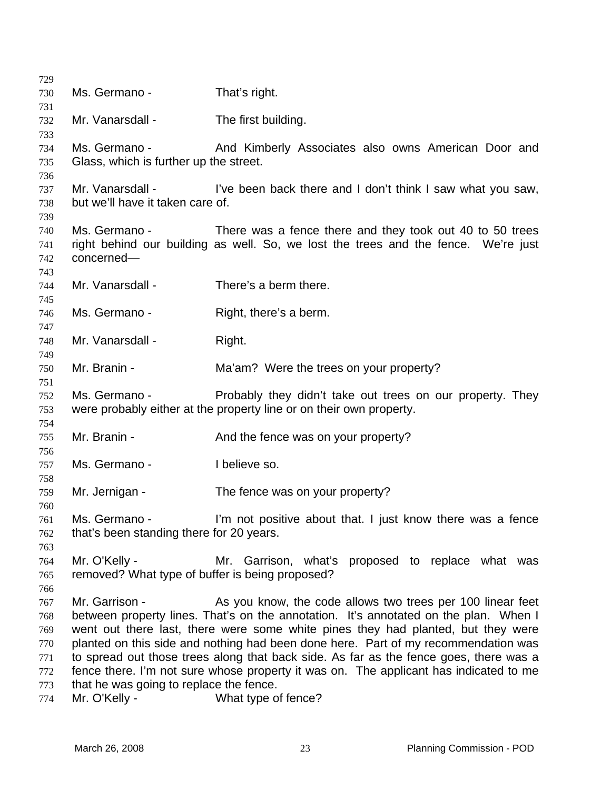| 729        |                                                 |                                                                                       |
|------------|-------------------------------------------------|---------------------------------------------------------------------------------------|
| 730        | Ms. Germano -                                   | That's right.                                                                         |
| 731        |                                                 |                                                                                       |
| 732        | Mr. Vanarsdall -                                | The first building.                                                                   |
| 733        |                                                 |                                                                                       |
| 734        | Ms. Germano -                                   | And Kimberly Associates also owns American Door and                                   |
| 735        | Glass, which is further up the street.          |                                                                                       |
| 736        |                                                 |                                                                                       |
| 737        | Mr. Vanarsdall -                                | I've been back there and I don't think I saw what you saw,                            |
| 738        | but we'll have it taken care of.                |                                                                                       |
| 739        |                                                 |                                                                                       |
| 740        | Ms. Germano -                                   | There was a fence there and they took out 40 to 50 trees                              |
| 741        |                                                 | right behind our building as well. So, we lost the trees and the fence. We're just    |
| 742        | concerned-                                      |                                                                                       |
| 743        |                                                 |                                                                                       |
| 744        | Mr. Vanarsdall -                                | There's a berm there.                                                                 |
| 745        |                                                 |                                                                                       |
| 746        | Ms. Germano -                                   | Right, there's a berm.                                                                |
| 747        |                                                 |                                                                                       |
| 748        | Mr. Vanarsdall -                                | Right.                                                                                |
| 749        |                                                 |                                                                                       |
| 750        | Mr. Branin -                                    | Ma'am? Were the trees on your property?                                               |
| 751        |                                                 |                                                                                       |
| 752        | Ms. Germano -                                   | Probably they didn't take out trees on our property. They                             |
| 753        |                                                 | were probably either at the property line or on their own property.                   |
| 754        |                                                 |                                                                                       |
| 755        | Mr. Branin -                                    | And the fence was on your property?                                                   |
| 756        | Ms. Germano -                                   | I believe so.                                                                         |
| 757<br>758 |                                                 |                                                                                       |
| 759        | Mr. Jernigan -                                  | The fence was on your property?                                                       |
| 760        |                                                 |                                                                                       |
| 761        | Ms. Germano -                                   | I'm not positive about that. I just know there was a fence                            |
| 762        | that's been standing there for 20 years.        |                                                                                       |
| 763        |                                                 |                                                                                       |
| 764        | Mr. O'Kelly -                                   | Mr. Garrison, what's proposed to replace what was                                     |
| 765        | removed? What type of buffer is being proposed? |                                                                                       |
| 766        |                                                 |                                                                                       |
| 767        | Mr. Garrison -                                  | As you know, the code allows two trees per 100 linear feet                            |
| 768        |                                                 | between property lines. That's on the annotation. It's annotated on the plan. When I  |
| 769        |                                                 | went out there last, there were some white pines they had planted, but they were      |
| 770        |                                                 | planted on this side and nothing had been done here. Part of my recommendation was    |
| 771        |                                                 | to spread out those trees along that back side. As far as the fence goes, there was a |
| 772        |                                                 | fence there. I'm not sure whose property it was on. The applicant has indicated to me |
| 773        | that he was going to replace the fence.         |                                                                                       |
| 774        | Mr. O'Kelly -                                   | What type of fence?                                                                   |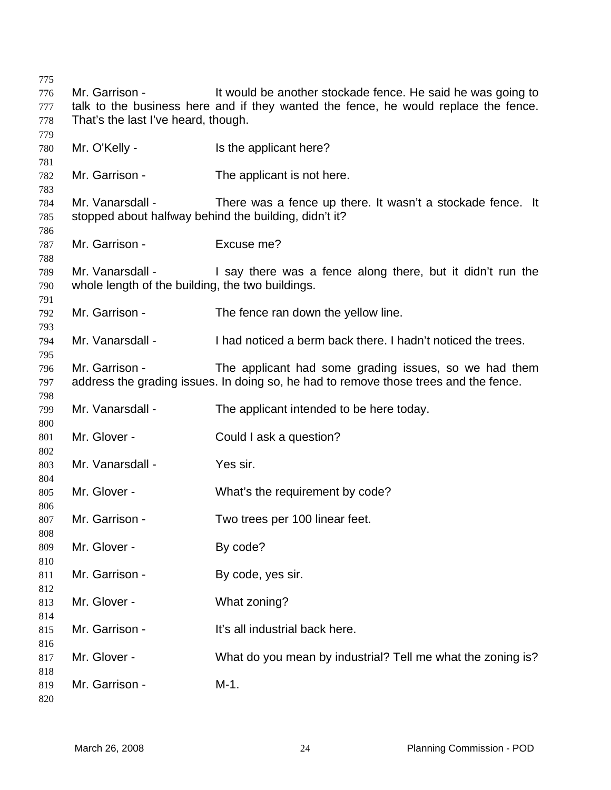Mr. Garrison - It would be another stockade fence. He said he was going to talk to the business here and if they wanted the fence, he would replace the fence. That's the last I've heard, though. Mr. O'Kelly - Is the applicant here? Mr. Garrison - The applicant is not here. Mr. Vanarsdall - There was a fence up there. It wasn't a stockade fence. It stopped about halfway behind the building, didn't it? Mr. Garrison - Excuse me? Mr. Vanarsdall - I say there was a fence along there, but it didn't run the whole length of the building, the two buildings. Mr. Garrison - The fence ran down the yellow line. Mr. Vanarsdall - I had noticed a berm back there. I hadn't noticed the trees. Mr. Garrison - The applicant had some grading issues, so we had them address the grading issues. In doing so, he had to remove those trees and the fence. Mr. Vanarsdall - The applicant intended to be here today. Mr. Glover - Could I ask a question? Mr. Vanarsdall - Yes sir. Mr. Glover - What's the requirement by code? Mr. Garrison - Two trees per 100 linear feet. Mr. Glover - By code? Mr. Garrison - By code, yes sir. Mr. Glover - What zoning? Mr. Garrison - The It's all industrial back here. Mr. Glover - What do you mean by industrial? Tell me what the zoning is? Mr. Garrison - M-1.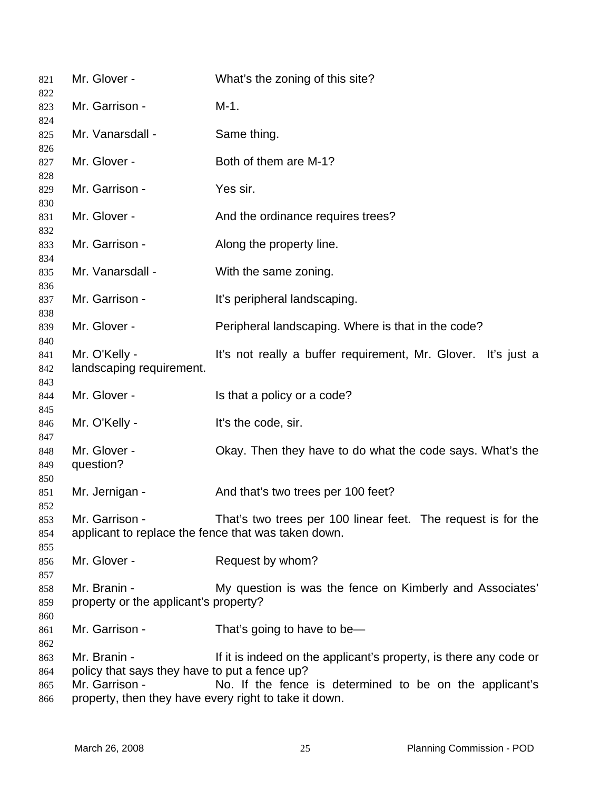| 821<br>822               | Mr. Glover -                                                                                                                             | What's the zoning of this site?                                                                                              |
|--------------------------|------------------------------------------------------------------------------------------------------------------------------------------|------------------------------------------------------------------------------------------------------------------------------|
| 823<br>824               | Mr. Garrison -                                                                                                                           | $M-1.$                                                                                                                       |
| 825<br>826               | Mr. Vanarsdall -                                                                                                                         | Same thing.                                                                                                                  |
| 827<br>828               | Mr. Glover -                                                                                                                             | Both of them are M-1?                                                                                                        |
| 829<br>830               | Mr. Garrison -                                                                                                                           | Yes sir.                                                                                                                     |
| 831<br>832               | Mr. Glover -                                                                                                                             | And the ordinance requires trees?                                                                                            |
| 833<br>834               | Mr. Garrison -                                                                                                                           | Along the property line.                                                                                                     |
| 835<br>836               | Mr. Vanarsdall -                                                                                                                         | With the same zoning.                                                                                                        |
| 837<br>838               | Mr. Garrison -                                                                                                                           | It's peripheral landscaping.                                                                                                 |
| 839<br>840               | Mr. Glover -                                                                                                                             | Peripheral landscaping. Where is that in the code?                                                                           |
| 841<br>842               | Mr. O'Kelly -<br>landscaping requirement.                                                                                                | It's not really a buffer requirement, Mr. Glover. It's just a                                                                |
| 843<br>844               | Mr. Glover -                                                                                                                             | Is that a policy or a code?                                                                                                  |
| 845<br>846<br>847        | Mr. O'Kelly -                                                                                                                            | It's the code, sir.                                                                                                          |
| 848<br>849<br>850        | Mr. Glover -<br>question?                                                                                                                | Okay. Then they have to do what the code says. What's the                                                                    |
| 851<br>852               | Mr. Jernigan -                                                                                                                           | And that's two trees per 100 feet?                                                                                           |
| 853<br>854<br>855        | Mr. Garrison -<br>applicant to replace the fence that was taken down.                                                                    | That's two trees per 100 linear feet. The request is for the                                                                 |
| 856<br>857               | Mr. Glover -                                                                                                                             | Request by whom?                                                                                                             |
| 858<br>859<br>860        | Mr. Branin -<br>property or the applicant's property?                                                                                    | My question is was the fence on Kimberly and Associates'                                                                     |
| 861<br>862               | Mr. Garrison -                                                                                                                           | That's going to have to be-                                                                                                  |
| 863<br>864<br>865<br>866 | Mr. Branin -<br>policy that says they have to put a fence up?<br>Mr. Garrison -<br>property, then they have every right to take it down. | If it is indeed on the applicant's property, is there any code or<br>No. If the fence is determined to be on the applicant's |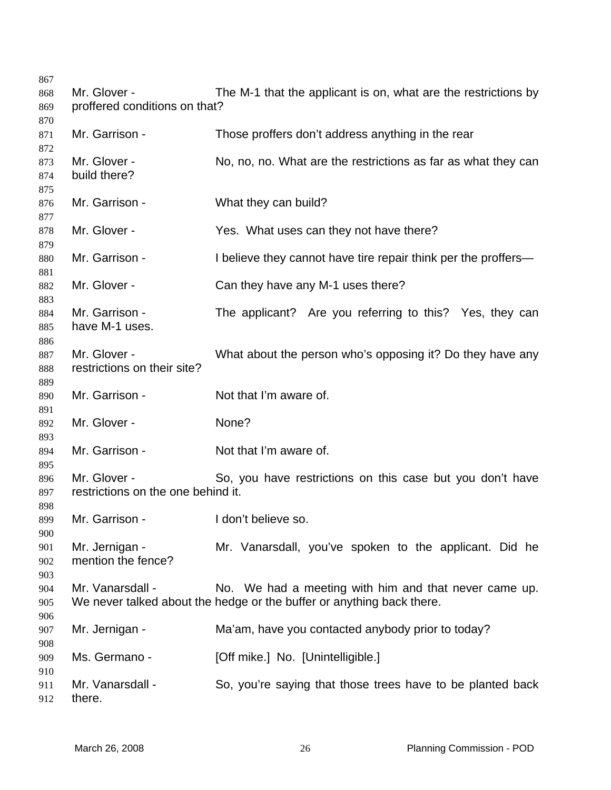| 868<br>869<br>870 | Mr. Glover -<br>proffered conditions on that?      | The M-1 that the applicant is on, what are the restrictions by                                                                 |
|-------------------|----------------------------------------------------|--------------------------------------------------------------------------------------------------------------------------------|
| 871<br>872        | Mr. Garrison -                                     | Those proffers don't address anything in the rear                                                                              |
| 873<br>874<br>875 | Mr. Glover -<br>build there?                       | No, no, no. What are the restrictions as far as what they can                                                                  |
| 876<br>877        | Mr. Garrison -                                     | What they can build?                                                                                                           |
| 878<br>879        | Mr. Glover -                                       | Yes. What uses can they not have there?                                                                                        |
| 880<br>881        | Mr. Garrison -                                     | I believe they cannot have tire repair think per the proffers—                                                                 |
| 882<br>883        | Mr. Glover -                                       | Can they have any M-1 uses there?                                                                                              |
| 884<br>885<br>886 | Mr. Garrison -<br>have M-1 uses.                   | The applicant? Are you referring to this? Yes, they can                                                                        |
| 887<br>888<br>889 | Mr. Glover -<br>restrictions on their site?        | What about the person who's opposing it? Do they have any                                                                      |
| 890<br>891        | Mr. Garrison -                                     | Not that I'm aware of.                                                                                                         |
| 892<br>893        | Mr. Glover -                                       | None?                                                                                                                          |
| 894<br>895        | Mr. Garrison -                                     | Not that I'm aware of.                                                                                                         |
| 896<br>897<br>898 | Mr. Glover -<br>restrictions on the one behind it. | So, you have restrictions on this case but you don't have                                                                      |
| 899<br>900        | Mr. Garrison -                                     | I don't believe so.                                                                                                            |
| 901<br>902<br>903 | Mr. Jernigan -<br>mention the fence?               | Mr. Vanarsdall, you've spoken to the applicant. Did he                                                                         |
| 904<br>905<br>906 | Mr. Vanarsdall -                                   | No. We had a meeting with him and that never came up.<br>We never talked about the hedge or the buffer or anything back there. |
| 907<br>908        | Mr. Jernigan -                                     | Ma'am, have you contacted anybody prior to today?                                                                              |
| 909<br>910        | Ms. Germano -                                      | [Off mike.] No. [Unintelligible.]                                                                                              |
| 911<br>912        | Mr. Vanarsdall -<br>there.                         | So, you're saying that those trees have to be planted back                                                                     |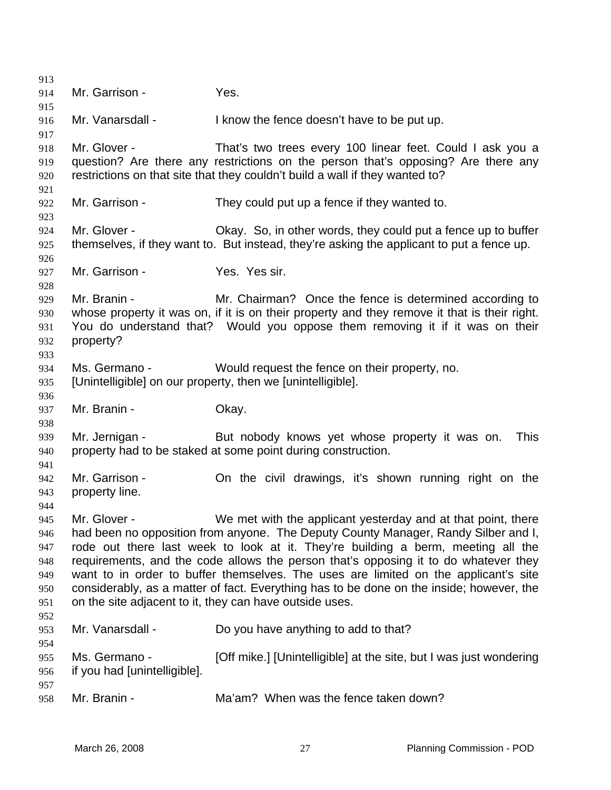913 914 915 916 917 918 919 920 921 922 923 924 925 926 927 928 929 930 931 932 933 934 935 936 937 938 939 940 941 942 943 944 945 946 947 948 949 950 951 952 953 954 955 956 957 958 Mr. Garrison - Yes. Mr. Vanarsdall - I know the fence doesn't have to be put up. Mr. Glover - That's two trees every 100 linear feet. Could I ask you a question? Are there any restrictions on the person that's opposing? Are there any restrictions on that site that they couldn't build a wall if they wanted to? Mr. Garrison - They could put up a fence if they wanted to. Mr. Glover - Chay. So, in other words, they could put a fence up to buffer themselves, if they want to. But instead, they're asking the applicant to put a fence up. Mr. Garrison - Yes. Yes sir. Mr. Branin - Mr. Chairman? Once the fence is determined according to whose property it was on, if it is on their property and they remove it that is their right. You do understand that? Would you oppose them removing it if it was on their property? Ms. Germano - Would request the fence on their property, no. [Unintelligible] on our property, then we [unintelligible]. Mr. Branin - Ckay. Mr. Jernigan - But nobody knows yet whose property it was on. This property had to be staked at some point during construction. Mr. Garrison - **On the civil drawings, it's shown running right on the** property line. Mr. Glover - We met with the applicant yesterday and at that point, there had been no opposition from anyone. The Deputy County Manager, Randy Silber and I, rode out there last week to look at it. They're building a berm, meeting all the requirements, and the code allows the person that's opposing it to do whatever they want to in order to buffer themselves. The uses are limited on the applicant's site considerably, as a matter of fact. Everything has to be done on the inside; however, the on the site adjacent to it, they can have outside uses. Mr. Vanarsdall - Do you have anything to add to that? Ms. Germano - [Off mike.] [Unintelligible] at the site, but I was just wondering if you had [unintelligible]. Mr. Branin - The Ma'am? When was the fence taken down?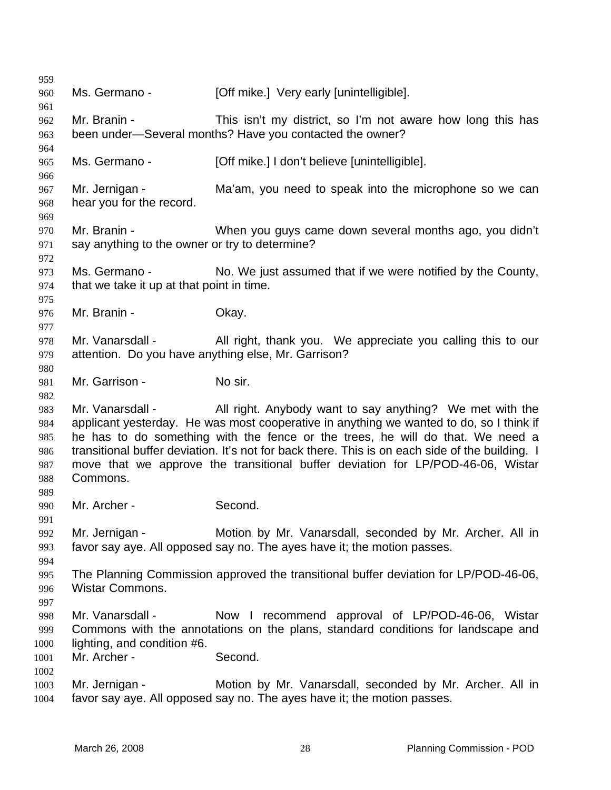| 959        |                                                     |                                                                                                 |
|------------|-----------------------------------------------------|-------------------------------------------------------------------------------------------------|
| 960        | Ms. Germano -                                       | [Off mike.] Very early [unintelligible].                                                        |
| 961        |                                                     |                                                                                                 |
| 962        | Mr. Branin -                                        | This isn't my district, so I'm not aware how long this has                                      |
| 963        |                                                     | been under-Several months? Have you contacted the owner?                                        |
| 964        |                                                     |                                                                                                 |
| 965        | Ms. Germano -                                       | [Off mike.] I don't believe [unintelligible].                                                   |
| 966        |                                                     |                                                                                                 |
| 967        | Mr. Jernigan -                                      | Ma'am, you need to speak into the microphone so we can                                          |
| 968        | hear you for the record.                            |                                                                                                 |
| 969<br>970 | Mr. Branin -                                        | When you guys came down several months ago, you didn't                                          |
| 971        | say anything to the owner or try to determine?      |                                                                                                 |
| 972        |                                                     |                                                                                                 |
| 973        | Ms. Germano -                                       | No. We just assumed that if we were notified by the County,                                     |
| 974        | that we take it up at that point in time.           |                                                                                                 |
| 975        |                                                     |                                                                                                 |
| 976        | Mr. Branin -                                        | Okay.                                                                                           |
| 977        |                                                     |                                                                                                 |
| 978        | Mr. Vanarsdall -                                    | All right, thank you. We appreciate you calling this to our                                     |
| 979        | attention. Do you have anything else, Mr. Garrison? |                                                                                                 |
| 980        |                                                     |                                                                                                 |
| 981        | Mr. Garrison -                                      | No sir.                                                                                         |
| 982        |                                                     |                                                                                                 |
| 983        |                                                     | Mr. Vanarsdall - All right. Anybody want to say anything? We met with the                       |
| 984        |                                                     | applicant yesterday. He was most cooperative in anything we wanted to do, so I think if         |
| 985        |                                                     | he has to do something with the fence or the trees, he will do that. We need a                  |
| 986        |                                                     | transitional buffer deviation. It's not for back there. This is on each side of the building. I |
| 987<br>988 | Commons.                                            | move that we approve the transitional buffer deviation for LP/POD-46-06, Wistar                 |
| 989        |                                                     |                                                                                                 |
| 990        | Mr. Archer -                                        | Second.                                                                                         |
| 991        |                                                     |                                                                                                 |
| 992        | Mr. Jernigan -                                      | Motion by Mr. Vanarsdall, seconded by Mr. Archer. All in                                        |
| 993        |                                                     | favor say aye. All opposed say no. The ayes have it; the motion passes.                         |
| 994        |                                                     |                                                                                                 |
| 995        |                                                     | The Planning Commission approved the transitional buffer deviation for LP/POD-46-06,            |
| 996        | <b>Wistar Commons.</b>                              |                                                                                                 |
| 997        |                                                     |                                                                                                 |
| 998        | Mr. Vanarsdall -                                    | Now I recommend approval of LP/POD-46-06, Wistar                                                |
| 999        |                                                     | Commons with the annotations on the plans, standard conditions for landscape and                |
| 1000       | lighting, and condition #6.                         |                                                                                                 |
| 1001       | Mr. Archer -                                        | Second.                                                                                         |
| 1002       |                                                     |                                                                                                 |
| 1003       | Mr. Jernigan -                                      | Motion by Mr. Vanarsdall, seconded by Mr. Archer. All in                                        |
| 1004       |                                                     | favor say aye. All opposed say no. The ayes have it; the motion passes.                         |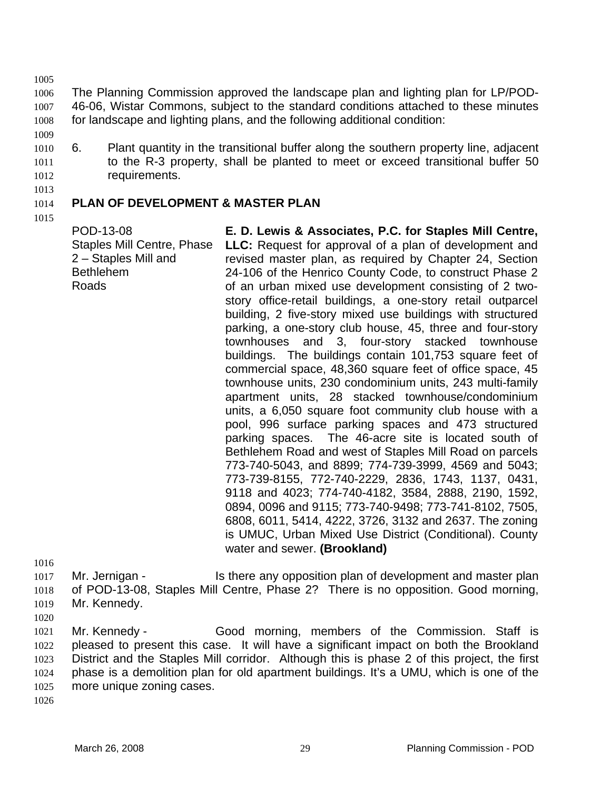1005

1006 1007 1008 The Planning Commission approved the landscape plan and lighting plan for LP/POD-46-06, Wistar Commons, subject to the standard conditions attached to these minutes for landscape and lighting plans, and the following additional condition:

- 1009
- 1010 1011 1012 6. Plant quantity in the transitional buffer along the southern property line, adjacent to the R-3 property, shall be planted to meet or exceed transitional buffer 50 requirements.
- 1013

### 1014 **PLAN OF DEVELOPMENT & MASTER PLAN**

1015

POD-13-08 Staples Mill Centre, Phase 2 – Staples Mill and Bethlehem Roads

**E. D. Lewis & Associates, P.C. for Staples Mill Centre, LLC:** Request for approval of a plan of development and revised master plan, as required by Chapter 24, Section 24-106 of the Henrico County Code, to construct Phase 2 of an urban mixed use development consisting of 2 twostory office-retail buildings, a one-story retail outparcel building, 2 five-story mixed use buildings with structured parking, a one-story club house, 45, three and four-story townhouses and 3, four-story stacked townhouse buildings. The buildings contain 101,753 square feet of commercial space, 48,360 square feet of office space, 45 townhouse units, 230 condominium units, 243 multi-family apartment units, 28 stacked townhouse/condominium units, a 6,050 square foot community club house with a pool, 996 surface parking spaces and 473 structured parking spaces. The 46-acre site is located south of Bethlehem Road and west of Staples Mill Road on parcels 773-740-5043, and 8899; 774-739-3999, 4569 and 5043; 773-739-8155, 772-740-2229, 2836, 1743, 1137, 0431, 9118 and 4023; 774-740-4182, 3584, 2888, 2190, 1592, 0894, 0096 and 9115; 773-740-9498; 773-741-8102, 7505, 6808, 6011, 5414, 4222, 3726, 3132 and 2637. The zoning is UMUC, Urban Mixed Use District (Conditional). County water and sewer. **(Brookland)** 

1016

1017 1018 1019 Mr. Jernigan - Is there any opposition plan of development and master plan of POD-13-08, Staples Mill Centre, Phase 2? There is no opposition. Good morning, Mr. Kennedy.

1020

1021 1022 1023 1024 1025 Mr. Kennedy - Good morning, members of the Commission. Staff is pleased to present this case. It will have a significant impact on both the Brookland District and the Staples Mill corridor. Although this is phase 2 of this project, the first phase is a demolition plan for old apartment buildings. It's a UMU, which is one of the more unique zoning cases.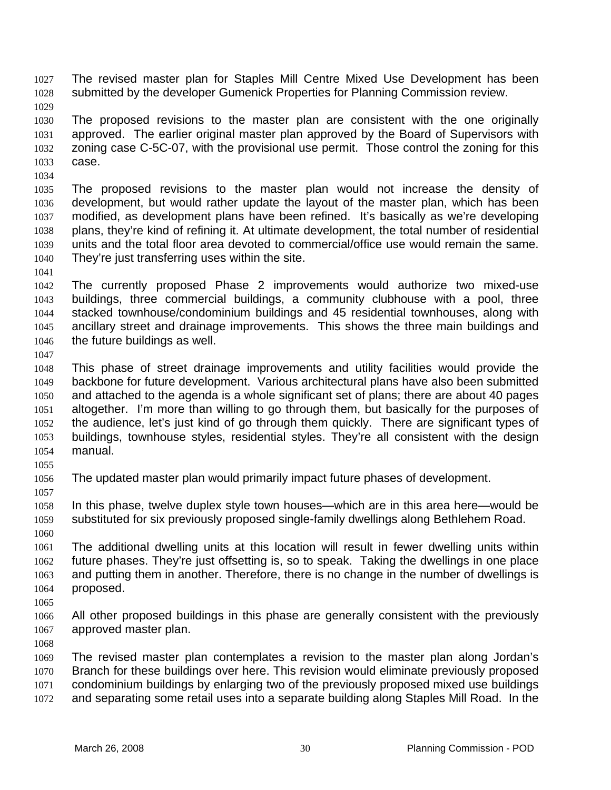The revised master plan for Staples Mill Centre Mixed Use Development has been submitted by the developer Gumenick Properties for Planning Commission review. 1027 1028

1029

1030 1031 1032 1033 The proposed revisions to the master plan are consistent with the one originally approved. The earlier original master plan approved by the Board of Supervisors with zoning case C-5C-07, with the provisional use permit. Those control the zoning for this case.

1034

1035 1036 1037 1038 1039 1040 The proposed revisions to the master plan would not increase the density of development, but would rather update the layout of the master plan, which has been modified, as development plans have been refined. It's basically as we're developing plans, they're kind of refining it. At ultimate development, the total number of residential units and the total floor area devoted to commercial/office use would remain the same. They're just transferring uses within the site.

1041

1042 1043 1044 1045 1046 The currently proposed Phase 2 improvements would authorize two mixed-use buildings, three commercial buildings, a community clubhouse with a pool, three stacked townhouse/condominium buildings and 45 residential townhouses, along with ancillary street and drainage improvements. This shows the three main buildings and the future buildings as well.

1047

1048 1049 1050 1051 1052 1053 1054 This phase of street drainage improvements and utility facilities would provide the backbone for future development. Various architectural plans have also been submitted and attached to the agenda is a whole significant set of plans; there are about 40 pages altogether. I'm more than willing to go through them, but basically for the purposes of the audience, let's just kind of go through them quickly. There are significant types of buildings, townhouse styles, residential styles. They're all consistent with the design manual.

1055

1056 The updated master plan would primarily impact future phases of development.

1057

1058 1059 1060 In this phase, twelve duplex style town houses—which are in this area here—would be substituted for six previously proposed single-family dwellings along Bethlehem Road.

1061 1062 1063 1064 The additional dwelling units at this location will result in fewer dwelling units within future phases. They're just offsetting is, so to speak. Taking the dwellings in one place and putting them in another. Therefore, there is no change in the number of dwellings is proposed.

1065

1066 1067 All other proposed buildings in this phase are generally consistent with the previously approved master plan.

1068

1069 1070 1071 The revised master plan contemplates a revision to the master plan along Jordan's Branch for these buildings over here. This revision would eliminate previously proposed condominium buildings by enlarging two of the previously proposed mixed use buildings

1072 and separating some retail uses into a separate building along Staples Mill Road. In the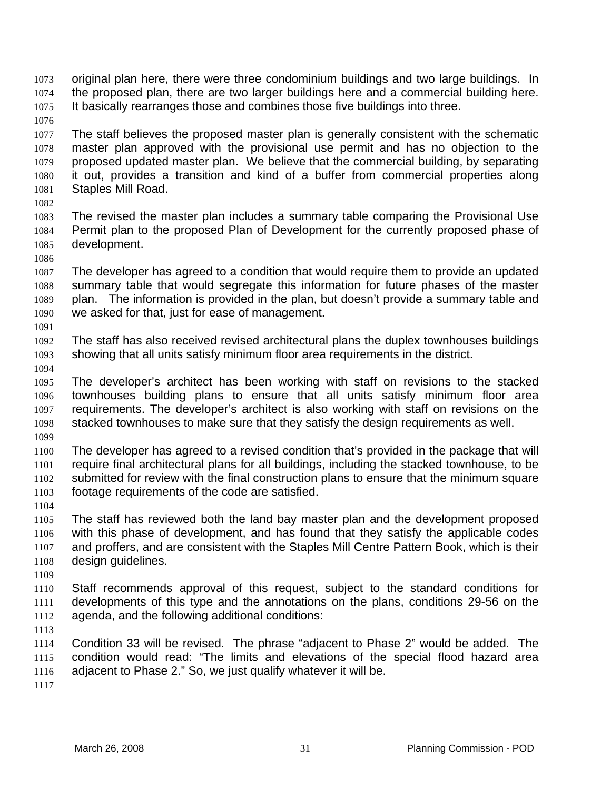- original plan here, there were three condominium buildings and two large buildings. In the proposed plan, there are two larger buildings here and a commercial building here. It basically rearranges those and combines those five buildings into three. 1073 1074 1075
- 1077 1078 1079 1080 1081 The staff believes the proposed master plan is generally consistent with the schematic master plan approved with the provisional use permit and has no objection to the proposed updated master plan. We believe that the commercial building, by separating it out, provides a transition and kind of a buffer from commercial properties along Staples Mill Road.
- 1082

1086

1076

- 1083 1084 1085 The revised the master plan includes a summary table comparing the Provisional Use Permit plan to the proposed Plan of Development for the currently proposed phase of development.
- 1087 1088 1089 1090 The developer has agreed to a condition that would require them to provide an updated summary table that would segregate this information for future phases of the master plan. The information is provided in the plan, but doesn't provide a summary table and we asked for that, just for ease of management.
- 1092 1093 The staff has also received revised architectural plans the duplex townhouses buildings showing that all units satisfy minimum floor area requirements in the district.
- 1094

- 1095 1096 1097 1098 1099 The developer's architect has been working with staff on revisions to the stacked townhouses building plans to ensure that all units satisfy minimum floor area requirements. The developer's architect is also working with staff on revisions on the stacked townhouses to make sure that they satisfy the design requirements as well.
- 1100 1101 1102 1103 The developer has agreed to a revised condition that's provided in the package that will require final architectural plans for all buildings, including the stacked townhouse, to be submitted for review with the final construction plans to ensure that the minimum square footage requirements of the code are satisfied.
- 1104
- 1105 1106 1107 1108 The staff has reviewed both the land bay master plan and the development proposed with this phase of development, and has found that they satisfy the applicable codes and proffers, and are consistent with the Staples Mill Centre Pattern Book, which is their design guidelines.
- 1109
- 1110 1111 1112 Staff recommends approval of this request, subject to the standard conditions for developments of this type and the annotations on the plans, conditions 29-56 on the agenda, and the following additional conditions:
- 1113
- 1114 1115 1116 Condition 33 will be revised. The phrase "adjacent to Phase 2" would be added. The condition would read: "The limits and elevations of the special flood hazard area adjacent to Phase 2." So, we just qualify whatever it will be.
- 1117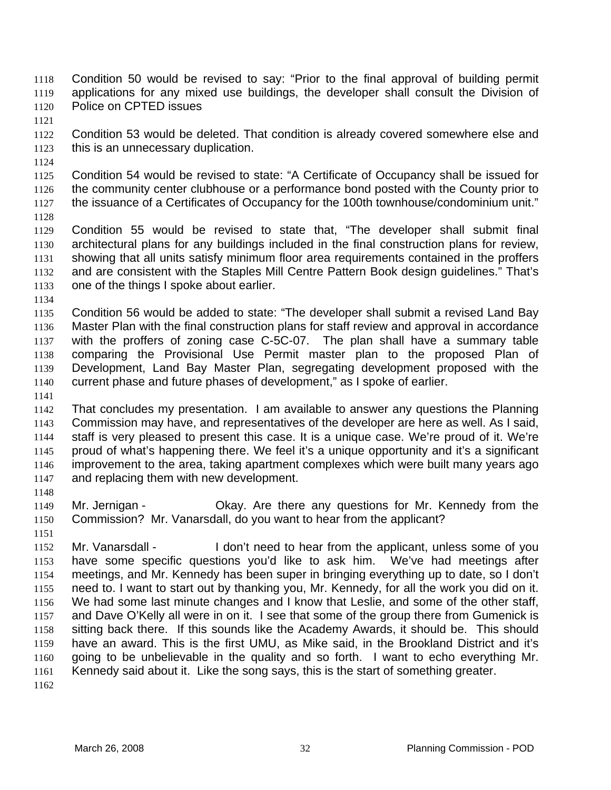Condition 50 would be revised to say: "Prior to the final approval of building permit applications for any mixed use buildings, the developer shall consult the Division of Police on CPTED issues 1118 1119 1120

1121

1122 1123 Condition 53 would be deleted. That condition is already covered somewhere else and this is an unnecessary duplication.

1124

1125 1126 1127 Condition 54 would be revised to state: "A Certificate of Occupancy shall be issued for the community center clubhouse or a performance bond posted with the County prior to the issuance of a Certificates of Occupancy for the 100th townhouse/condominium unit."

1128

1129 1130 1131 1132 1133 Condition 55 would be revised to state that, "The developer shall submit final architectural plans for any buildings included in the final construction plans for review, showing that all units satisfy minimum floor area requirements contained in the proffers and are consistent with the Staples Mill Centre Pattern Book design guidelines." That's one of the things I spoke about earlier.

1134

1135 1136 1137 1138 1139 1140 Condition 56 would be added to state: "The developer shall submit a revised Land Bay Master Plan with the final construction plans for staff review and approval in accordance with the proffers of zoning case C-5C-07. The plan shall have a summary table comparing the Provisional Use Permit master plan to the proposed Plan of Development, Land Bay Master Plan, segregating development proposed with the current phase and future phases of development," as I spoke of earlier.

1141

1142 1143 1144 1145 1146 1147 That concludes my presentation. I am available to answer any questions the Planning Commission may have, and representatives of the developer are here as well. As I said, staff is very pleased to present this case. It is a unique case. We're proud of it. We're proud of what's happening there. We feel it's a unique opportunity and it's a significant improvement to the area, taking apartment complexes which were built many years ago and replacing them with new development.

1149 1150 Mr. Jernigan - Okay. Are there any questions for Mr. Kennedy from the Commission? Mr. Vanarsdall, do you want to hear from the applicant?

1151

1148

1152 1153 1154 1155 1156 1157 1158 1159 1160 1161 Mr. Vanarsdall - I don't need to hear from the applicant, unless some of you have some specific questions you'd like to ask him. We've had meetings after meetings, and Mr. Kennedy has been super in bringing everything up to date, so I don't need to. I want to start out by thanking you, Mr. Kennedy, for all the work you did on it. We had some last minute changes and I know that Leslie, and some of the other staff, and Dave O'Kelly all were in on it. I see that some of the group there from Gumenick is sitting back there. If this sounds like the Academy Awards, it should be. This should have an award. This is the first UMU, as Mike said, in the Brookland District and it's going to be unbelievable in the quality and so forth. I want to echo everything Mr. Kennedy said about it. Like the song says, this is the start of something greater.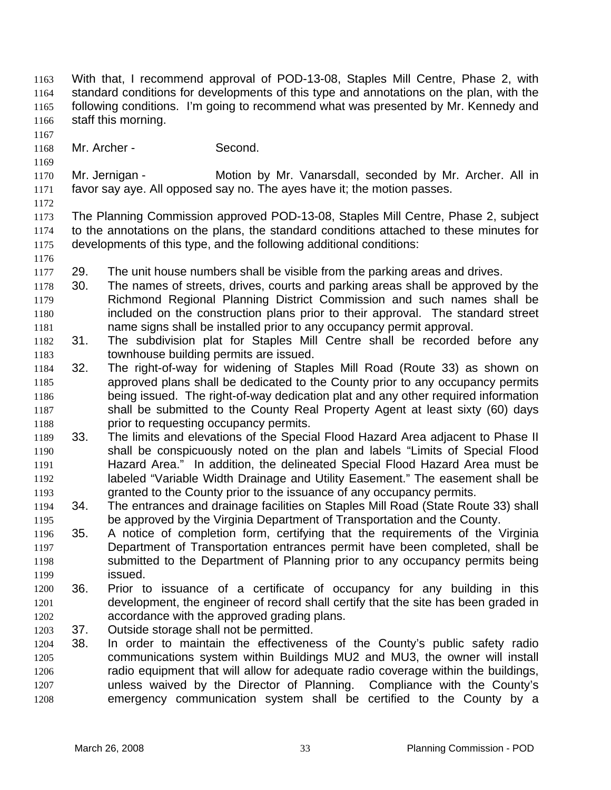- With that, I recommend approval of POD-13-08, Staples Mill Centre, Phase 2, with standard conditions for developments of this type and annotations on the plan, with the following conditions. I'm going to recommend what was presented by Mr. Kennedy and staff this morning. 1163 1164 1165 1166
- 1167

1169

- 1168 Mr. Archer - Second.
- 1170 1171 Mr. Jernigan - **Motion by Mr. Vanarsdall, seconded by Mr. Archer. All in** favor say aye. All opposed say no. The ayes have it; the motion passes.
- 1172

- 1173 1174 1175 The Planning Commission approved POD-13-08, Staples Mill Centre, Phase 2, subject to the annotations on the plans, the standard conditions attached to these minutes for developments of this type, and the following additional conditions:
- 1177 29. The unit house numbers shall be visible from the parking areas and drives.
- 1179 1180 1181 1178 30. The names of streets, drives, courts and parking areas shall be approved by the Richmond Regional Planning District Commission and such names shall be included on the construction plans prior to their approval. The standard street name signs shall be installed prior to any occupancy permit approval.
- 1182 1183 31. The subdivision plat for Staples Mill Centre shall be recorded before any townhouse building permits are issued.
- 1184 1185 1186 1187 1188 32. The right-of-way for widening of Staples Mill Road (Route 33) as shown on approved plans shall be dedicated to the County prior to any occupancy permits being issued. The right-of-way dedication plat and any other required information shall be submitted to the County Real Property Agent at least sixty (60) days prior to requesting occupancy permits.
- 1189 1190 1191 1192 1193 33. The limits and elevations of the Special Flood Hazard Area adjacent to Phase II shall be conspicuously noted on the plan and labels "Limits of Special Flood Hazard Area." In addition, the delineated Special Flood Hazard Area must be labeled "Variable Width Drainage and Utility Easement." The easement shall be granted to the County prior to the issuance of any occupancy permits.
- 1194 1195 34. The entrances and drainage facilities on Staples Mill Road (State Route 33) shall be approved by the Virginia Department of Transportation and the County.
- 1196 1197 1198 1199 35. A notice of completion form, certifying that the requirements of the Virginia Department of Transportation entrances permit have been completed, shall be submitted to the Department of Planning prior to any occupancy permits being issued.
- 1200 1201 1202 36. Prior to issuance of a certificate of occupancy for any building in this development, the engineer of record shall certify that the site has been graded in accordance with the approved grading plans.
- 1203 37. Outside storage shall not be permitted.
- 1204 1205 1206 1207 1208 38. In order to maintain the effectiveness of the County's public safety radio communications system within Buildings MU2 and MU3, the owner will install radio equipment that will allow for adequate radio coverage within the buildings, unless waived by the Director of Planning. Compliance with the County's emergency communication system shall be certified to the County by a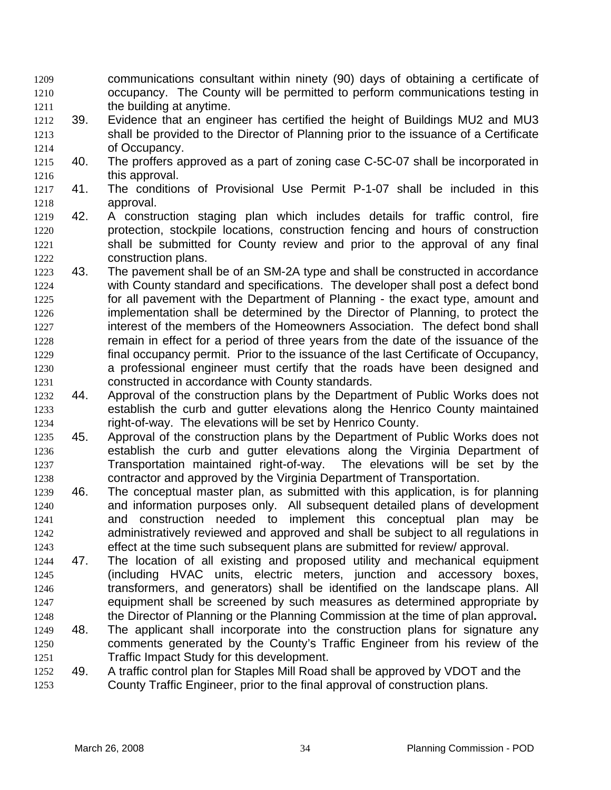- communications consultant within ninety (90) days of obtaining a certificate of occupancy. The County will be permitted to perform communications testing in the building at anytime. 1209 1210 1211
- 1212 1213 1214 39. Evidence that an engineer has certified the height of Buildings MU2 and MU3 shall be provided to the Director of Planning prior to the issuance of a Certificate of Occupancy.
- 1215 1216 40. The proffers approved as a part of zoning case C-5C-07 shall be incorporated in this approval.
- 1217 1218 41. The conditions of Provisional Use Permit P-1-07 shall be included in this approval.
- 1219 1220 1221 1222 42. A construction staging plan which includes details for traffic control, fire protection, stockpile locations, construction fencing and hours of construction shall be submitted for County review and prior to the approval of any final construction plans.
- 1223 1224 1225 1226 1227 1228 1229 1230 1231 43. The pavement shall be of an SM-2A type and shall be constructed in accordance with County standard and specifications. The developer shall post a defect bond for all pavement with the Department of Planning - the exact type, amount and implementation shall be determined by the Director of Planning, to protect the interest of the members of the Homeowners Association. The defect bond shall remain in effect for a period of three years from the date of the issuance of the final occupancy permit. Prior to the issuance of the last Certificate of Occupancy, a professional engineer must certify that the roads have been designed and constructed in accordance with County standards.
- 1232 1233 1234 44. Approval of the construction plans by the Department of Public Works does not establish the curb and gutter elevations along the Henrico County maintained right-of-way. The elevations will be set by Henrico County.
- 1235 1236 1237 1238 45. Approval of the construction plans by the Department of Public Works does not establish the curb and gutter elevations along the Virginia Department of Transportation maintained right-of-way. The elevations will be set by the contractor and approved by the Virginia Department of Transportation.
- 1239 1240 1241 1242 1243 46. The conceptual master plan, as submitted with this application, is for planning and information purposes only. All subsequent detailed plans of development and construction needed to implement this conceptual plan may be administratively reviewed and approved and shall be subject to all regulations in effect at the time such subsequent plans are submitted for review/ approval.
- 1244 1245 1246 1247 1248 47. The location of all existing and proposed utility and mechanical equipment (including HVAC units, electric meters, junction and accessory boxes, transformers, and generators) shall be identified on the landscape plans. All equipment shall be screened by such measures as determined appropriate by the Director of Planning or the Planning Commission at the time of plan approval**.**
- 1249 1250 1251 48. The applicant shall incorporate into the construction plans for signature any comments generated by the County's Traffic Engineer from his review of the Traffic Impact Study for this development.
- 1252 1253 49. A traffic control plan for Staples Mill Road shall be approved by VDOT and the County Traffic Engineer, prior to the final approval of construction plans.
	-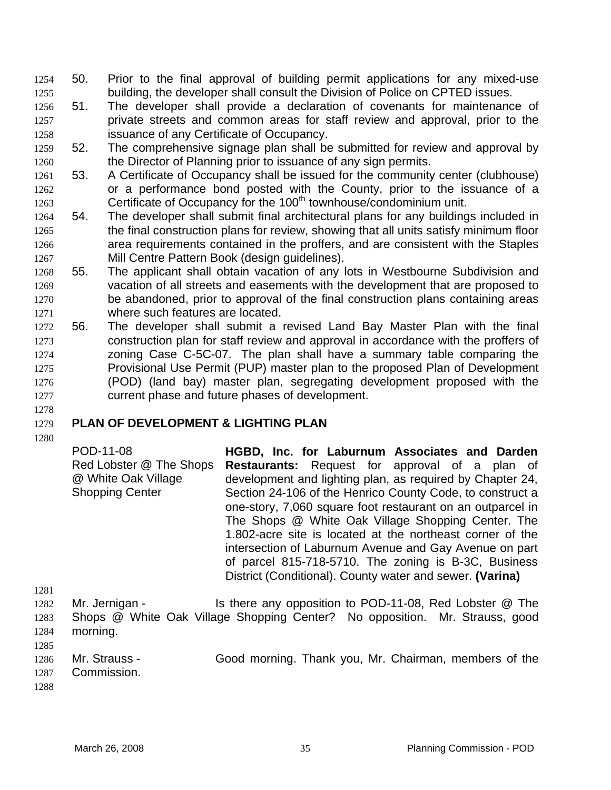- 1254 50. Prior to the final approval of building permit applications for any mixed-use 1255 building, the developer shall consult the Division of Police on CPTED issues.
- 1257 1258 1256 51. The developer shall provide a declaration of covenants for maintenance of private streets and common areas for staff review and approval, prior to the issuance of any Certificate of Occupancy.
- 1260 1259 52. The comprehensive signage plan shall be submitted for review and approval by the Director of Planning prior to issuance of any sign permits.
- 1262 1263 1261 53. A Certificate of Occupancy shall be issued for the community center (clubhouse) or a performance bond posted with the County, prior to the issuance of a Certificate of Occupancy for the 100<sup>th</sup> townhouse/condominium unit.
- 1265 1266 1267 1264 54. The developer shall submit final architectural plans for any buildings included in the final construction plans for review, showing that all units satisfy minimum floor area requirements contained in the proffers, and are consistent with the Staples Mill Centre Pattern Book (design guidelines).
- 1269 1270 1271 1268 55. The applicant shall obtain vacation of any lots in Westbourne Subdivision and vacation of all streets and easements with the development that are proposed to be abandoned, prior to approval of the final construction plans containing areas where such features are located.
- 1273 1274 1275 1276 1277 1272 56. The developer shall submit a revised Land Bay Master Plan with the final construction plan for staff review and approval in accordance with the proffers of zoning Case C-5C-07. The plan shall have a summary table comparing the Provisional Use Permit (PUP) master plan to the proposed Plan of Development (POD) (land bay) master plan, segregating development proposed with the current phase and future phases of development.

### 1279 **PLAN OF DEVELOPMENT & LIGHTING PLAN**

1280

1278

| POD-11-08                                                                | HGBD, Inc. for Laburnum Associates and Darden                                                                                                                                                                                                                                                                                                                                                                                                                                                                                                  |
|--------------------------------------------------------------------------|------------------------------------------------------------------------------------------------------------------------------------------------------------------------------------------------------------------------------------------------------------------------------------------------------------------------------------------------------------------------------------------------------------------------------------------------------------------------------------------------------------------------------------------------|
| Red Lobster @ The Shops<br>@ White Oak Village<br><b>Shopping Center</b> | <b>Restaurants:</b> Request for approval of a plan of<br>development and lighting plan, as required by Chapter 24,<br>Section 24-106 of the Henrico County Code, to construct a<br>one-story, 7,060 square foot restaurant on an outparcel in<br>The Shops @ White Oak Village Shopping Center. The<br>1.802-acre site is located at the northeast corner of the<br>intersection of Laburnum Avenue and Gay Avenue on part<br>of parcel 815-718-5710. The zoning is B-3C, Business<br>District (Conditional). County water and sewer. (Varina) |
| Ma Jampingo                                                              | $\overline{a}$ there envention to DOD 44.00. Ded Lebeter $\otimes$ The                                                                                                                                                                                                                                                                                                                                                                                                                                                                         |

- 1282 1283 1284 1285 Mr. Jernigan - Is there any opposition to POD-11-08, Red Lobster @ The Shops @ White Oak Village Shopping Center? No opposition. Mr. Strauss, good morning.
- 1286 1287 Mr. Strauss - Good morning. Thank you, Mr. Chairman, members of the Commission.
- 1288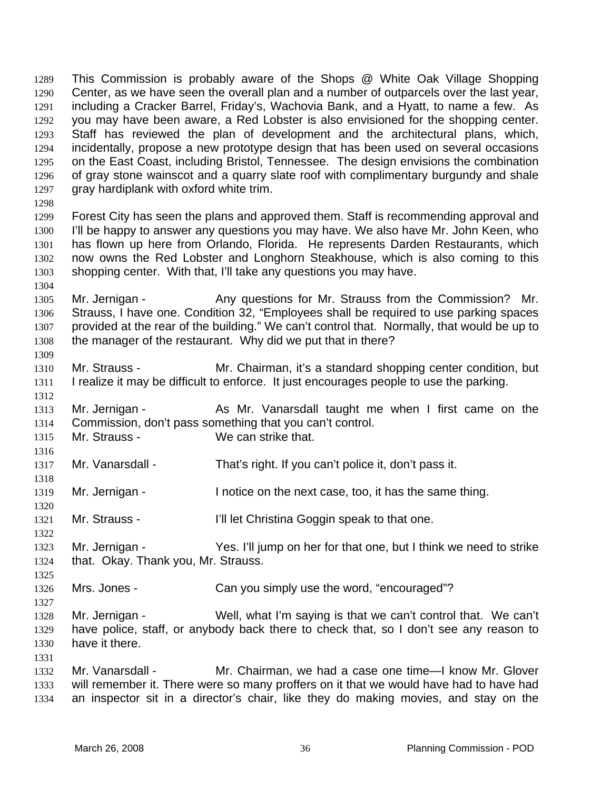This Commission is probably aware of the Shops @ White Oak Village Shopping Center, as we have seen the overall plan and a number of outparcels over the last year, including a Cracker Barrel, Friday's, Wachovia Bank, and a Hyatt, to name a few. As you may have been aware, a Red Lobster is also envisioned for the shopping center. Staff has reviewed the plan of development and the architectural plans, which, incidentally, propose a new prototype design that has been used on several occasions on the East Coast, including Bristol, Tennessee. The design envisions the combination of gray stone wainscot and a quarry slate roof with complimentary burgundy and shale gray hardiplank with oxford white trim. 1289 1290 1291 1292 1293 1294 1295 1296 1297

1298

1304

1309

1312

1316

1318

1320

1322

1325

1327

1331

1299 1300 1301 1302 1303 Forest City has seen the plans and approved them. Staff is recommending approval and I'll be happy to answer any questions you may have. We also have Mr. John Keen, who has flown up here from Orlando, Florida. He represents Darden Restaurants, which now owns the Red Lobster and Longhorn Steakhouse, which is also coming to this shopping center. With that, I'll take any questions you may have.

1305 1306 1307 1308 Mr. Jernigan - Any questions for Mr. Strauss from the Commission? Mr. Strauss, I have one. Condition 32, "Employees shall be required to use parking spaces provided at the rear of the building." We can't control that. Normally, that would be up to the manager of the restaurant. Why did we put that in there?

- 1310 1311 Mr. Strauss - The Mr. Chairman, it's a standard shopping center condition, but I realize it may be difficult to enforce. It just encourages people to use the parking.
- 1313 1314 Mr. Jernigan - As Mr. Vanarsdall taught me when I first came on the Commission, don't pass something that you can't control.
- 1315 Mr. Strauss - We can strike that.
- 1317 Mr. Vanarsdall - That's right. If you can't police it, don't pass it.
- 1319 Mr. Jernigan - The otice on the next case, too, it has the same thing.
- 1321 Mr. Strauss - I'll let Christina Goggin speak to that one.
- 1323 1324 Mr. Jernigan - Yes. I'll jump on her for that one, but I think we need to strike that. Okay. Thank you, Mr. Strauss.
- 1326 Mrs. Jones - Can you simply use the word, "encouraged"?
- 1328 1329 1330 Mr. Jernigan - Well, what I'm saying is that we can't control that. We can't have police, staff, or anybody back there to check that, so I don't see any reason to have it there.
- 1332 1333 1334 Mr. Vanarsdall - Mr. Chairman, we had a case one time—I know Mr. Glover will remember it. There were so many proffers on it that we would have had to have had an inspector sit in a director's chair, like they do making movies, and stay on the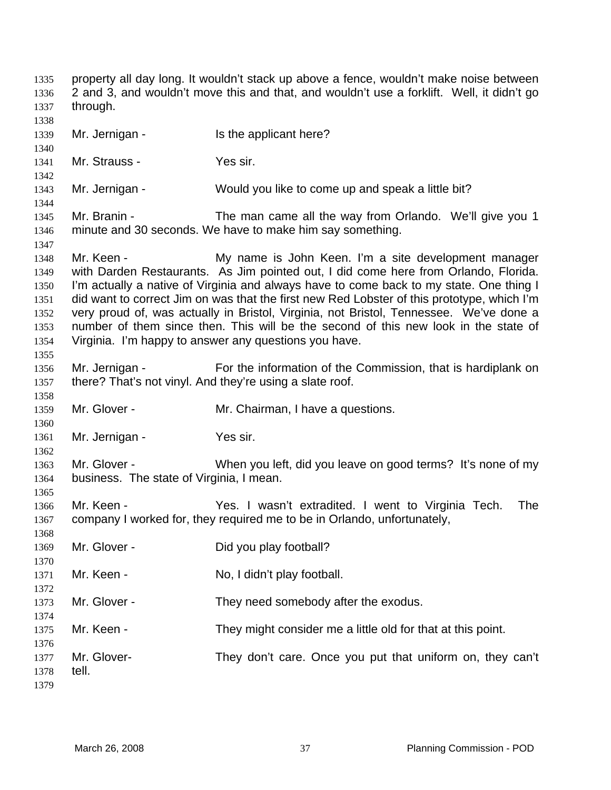property all day long. It wouldn't stack up above a fence, wouldn't make noise between 2 and 3, and wouldn't move this and that, and wouldn't use a forklift. Well, it didn't go through. 1335 1336 1337 1338 1339 1340 1341 1342 1343 1344 1345 1346 1347 1348 1349 1350 1351 1352 1353 1354 1355 1356 1357 1358 1359 1360 1361 1362 1363 1364 1365 1366 1367 1368 1369 1370 1371 1372 1373 1374 1375 1376 1377 1378 1379 Mr. Jernigan - Is the applicant here? Mr. Strauss - Yes sir. Mr. Jernigan - Would you like to come up and speak a little bit? Mr. Branin - The man came all the way from Orlando. We'll give you 1 minute and 30 seconds. We have to make him say something. Mr. Keen - **My name is John Keen.** I'm a site development manager with Darden Restaurants. As Jim pointed out, I did come here from Orlando, Florida. I'm actually a native of Virginia and always have to come back to my state. One thing I did want to correct Jim on was that the first new Red Lobster of this prototype, which I'm very proud of, was actually in Bristol, Virginia, not Bristol, Tennessee. We've done a number of them since then. This will be the second of this new look in the state of Virginia. I'm happy to answer any questions you have. Mr. Jernigan - For the information of the Commission, that is hardiplank on there? That's not vinyl. And they're using a slate roof. Mr. Glover - **Mr. Chairman, I have a questions.** Mr. Jernigan - Yes sir. Mr. Glover - When you left, did you leave on good terms? It's none of my business. The state of Virginia, I mean. Mr. Keen - The Yes. I wasn't extradited. I went to Virginia Tech. The company I worked for, they required me to be in Orlando, unfortunately, Mr. Glover - Did you play football? Mr. Keen - No, I didn't play football. Mr. Glover - They need somebody after the exodus. Mr. Keen - They might consider me a little old for that at this point. Mr. Glover- They don't care. Once you put that uniform on, they can't tell.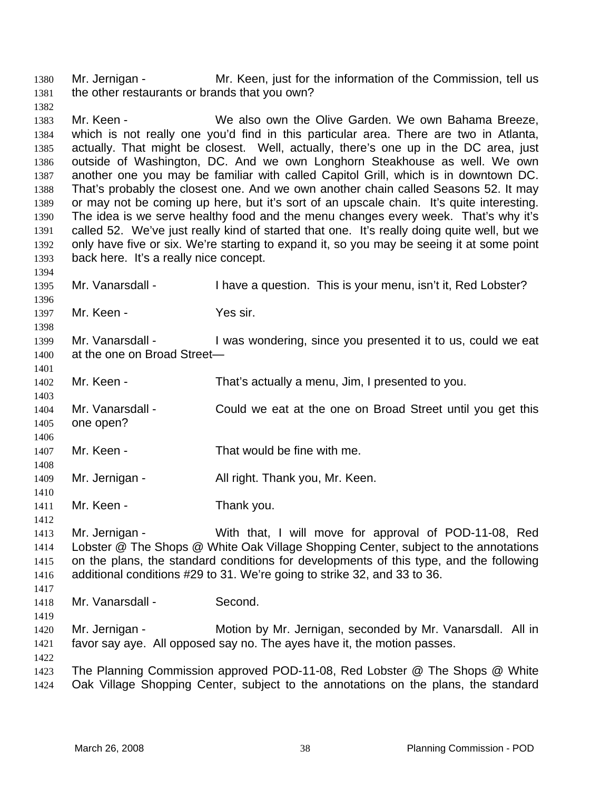Mr. Jernigan - Mr. Keen, just for the information of the Commission, tell us the other restaurants or brands that you own? 1380 1381

1383 1384 1385 1386 1387 1388 1389 1390 1391 1392 1393 Mr. Keen - We also own the Olive Garden. We own Bahama Breeze, which is not really one you'd find in this particular area. There are two in Atlanta, actually. That might be closest. Well, actually, there's one up in the DC area, just outside of Washington, DC. And we own Longhorn Steakhouse as well. We own another one you may be familiar with called Capitol Grill, which is in downtown DC. That's probably the closest one. And we own another chain called Seasons 52. It may or may not be coming up here, but it's sort of an upscale chain. It's quite interesting. The idea is we serve healthy food and the menu changes every week. That's why it's called 52. We've just really kind of started that one. It's really doing quite well, but we only have five or six. We're starting to expand it, so you may be seeing it at some point back here. It's a really nice concept.

1395 Mr. Vanarsdall - I have a question. This is your menu, isn't it, Red Lobster?

1397 Mr. Keen - Yes sir.

1399 1400 1401 Mr. Vanarsdall - I was wondering, since you presented it to us, could we eat at the one on Broad Street—

1402 Mr. Keen - That's actually a menu, Jim, I presented to you.

1404 1405 Mr. Vanarsdall - Could we eat at the one on Broad Street until you get this one open?

1407 Mr. Keen - That would be fine with me.

1409 Mr. Jernigan - All right. Thank you, Mr. Keen.

1411 Mr. Keen - Thank you.

1412

1417

1419

1422

1382

1394

1396

1398

1403

1406

1408

1410

1413 1414 1415 1416 Mr. Jernigan - With that, I will move for approval of POD-11-08, Red Lobster @ The Shops @ White Oak Village Shopping Center, subject to the annotations on the plans, the standard conditions for developments of this type, and the following additional conditions #29 to 31. We're going to strike 32, and 33 to 36.

1418 Mr. Vanarsdall - Second.

1420 1421 Mr. Jernigan - Motion by Mr. Jernigan, seconded by Mr. Vanarsdall. All in favor say aye. All opposed say no. The ayes have it, the motion passes.

1423 1424 The Planning Commission approved POD-11-08, Red Lobster @ The Shops @ White Oak Village Shopping Center, subject to the annotations on the plans, the standard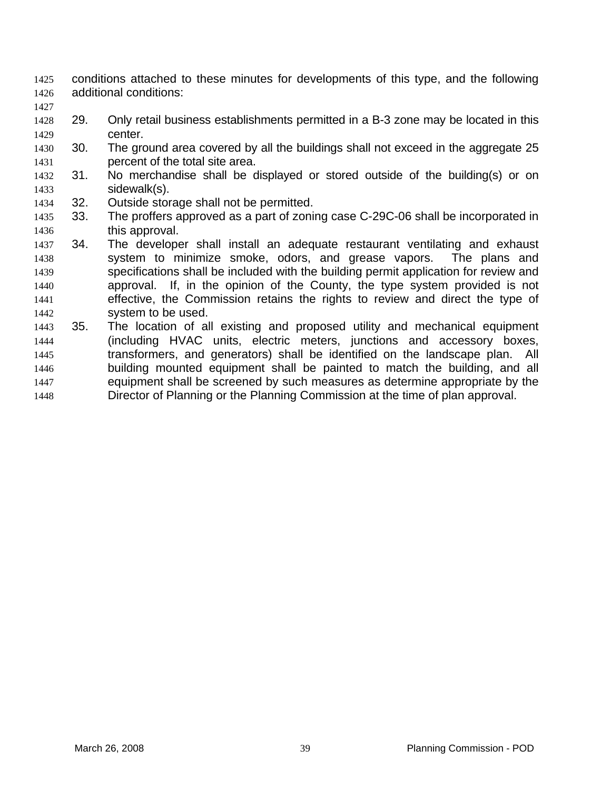- conditions attached to these minutes for developments of this type, and the following additional conditions: 1425 1426
- 1428 1429 29. Only retail business establishments permitted in a B-3 zone may be located in this center.
- 1430 1431 30. The ground area covered by all the buildings shall not exceed in the aggregate 25 percent of the total site area.
- 1432 1433 31. No merchandise shall be displayed or stored outside of the building(s) or on sidewalk(s).
- 1434 32. Outside storage shall not be permitted.

- 1435 1436 33. The proffers approved as a part of zoning case C-29C-06 shall be incorporated in this approval.
- 1437 1438 1439 1440 1441 1442 34. The developer shall install an adequate restaurant ventilating and exhaust system to minimize smoke, odors, and grease vapors. The plans and specifications shall be included with the building permit application for review and approval. If, in the opinion of the County, the type system provided is not effective, the Commission retains the rights to review and direct the type of system to be used.
- 1443 1444 1445 1446 1447 1448 35. The location of all existing and proposed utility and mechanical equipment (including HVAC units, electric meters, junctions and accessory boxes, transformers, and generators) shall be identified on the landscape plan. All building mounted equipment shall be painted to match the building, and all equipment shall be screened by such measures as determine appropriate by the Director of Planning or the Planning Commission at the time of plan approval.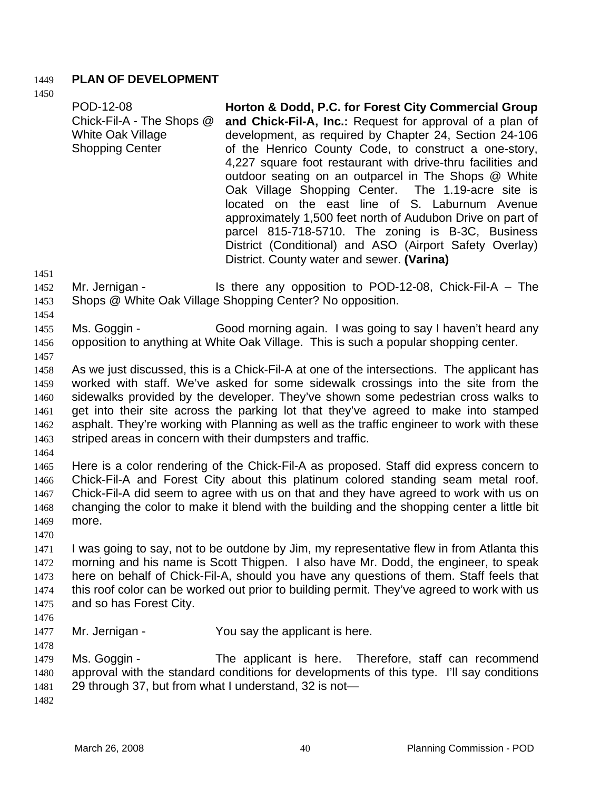## 1449 **PLAN OF DEVELOPMENT**

1450

| POD-12-08<br>Chick-Fil-A - The Shops @<br><b>White Oak Village</b><br><b>Shopping Center</b>                                                                                                                                                                                                                                                                                                                                                                                                                           | Horton & Dodd, P.C. for Forest City Commercial Group<br>and Chick-Fil-A, Inc.: Request for approval of a plan of<br>development, as required by Chapter 24, Section 24-106<br>of the Henrico County Code, to construct a one-story,<br>4,227 square foot restaurant with drive-thru facilities and<br>outdoor seating on an outparcel in The Shops @ White<br>Oak Village Shopping Center. The 1.19-acre site is<br>located on the east line of S. Laburnum Avenue<br>approximately 1,500 feet north of Audubon Drive on part of<br>parcel 815-718-5710. The zoning is B-3C, Business<br>District (Conditional) and ASO (Airport Safety Overlay)<br>District. County water and sewer. (Varina) |
|------------------------------------------------------------------------------------------------------------------------------------------------------------------------------------------------------------------------------------------------------------------------------------------------------------------------------------------------------------------------------------------------------------------------------------------------------------------------------------------------------------------------|------------------------------------------------------------------------------------------------------------------------------------------------------------------------------------------------------------------------------------------------------------------------------------------------------------------------------------------------------------------------------------------------------------------------------------------------------------------------------------------------------------------------------------------------------------------------------------------------------------------------------------------------------------------------------------------------|
| Mr. Jernigan -                                                                                                                                                                                                                                                                                                                                                                                                                                                                                                         | Is there any opposition to POD-12-08, Chick-Fil-A $-$ The<br>Shops @ White Oak Village Shopping Center? No opposition.                                                                                                                                                                                                                                                                                                                                                                                                                                                                                                                                                                         |
| Ms. Goggin -                                                                                                                                                                                                                                                                                                                                                                                                                                                                                                           | Good morning again. I was going to say I haven't heard any<br>opposition to anything at White Oak Village. This is such a popular shopping center.                                                                                                                                                                                                                                                                                                                                                                                                                                                                                                                                             |
| As we just discussed, this is a Chick-Fil-A at one of the intersections. The applicant has<br>worked with staff. We've asked for some sidewalk crossings into the site from the<br>sidewalks provided by the developer. They've shown some pedestrian cross walks to<br>get into their site across the parking lot that they've agreed to make into stamped<br>asphalt. They're working with Planning as well as the traffic engineer to work with these<br>striped areas in concern with their dumpsters and traffic. |                                                                                                                                                                                                                                                                                                                                                                                                                                                                                                                                                                                                                                                                                                |
|                                                                                                                                                                                                                                                                                                                                                                                                                                                                                                                        | The contract of the contract of the City of the Contract of City of City of the contract of the contract of the                                                                                                                                                                                                                                                                                                                                                                                                                                                                                                                                                                                |

1465 1466 1467 1468 1469 Here is a color rendering of the Chick-Fil-A as proposed. Staff did express concern to Chick-Fil-A and Forest City about this platinum colored standing seam metal roof. Chick-Fil-A did seem to agree with us on that and they have agreed to work with us on changing the color to make it blend with the building and the shopping center a little bit more.

- 1471 1472 1473 1474 1475 I was going to say, not to be outdone by Jim, my representative flew in from Atlanta this morning and his name is Scott Thigpen. I also have Mr. Dodd, the engineer, to speak here on behalf of Chick-Fil-A, should you have any questions of them. Staff feels that this roof color can be worked out prior to building permit. They've agreed to work with us and so has Forest City.
- 1476

1478

1470

1477 Mr. Jernigan - You say the applicant is here.

1479 1480 1481 Ms. Goggin - The applicant is here. Therefore, staff can recommend approval with the standard conditions for developments of this type. I'll say conditions 29 through 37, but from what I understand, 32 is not—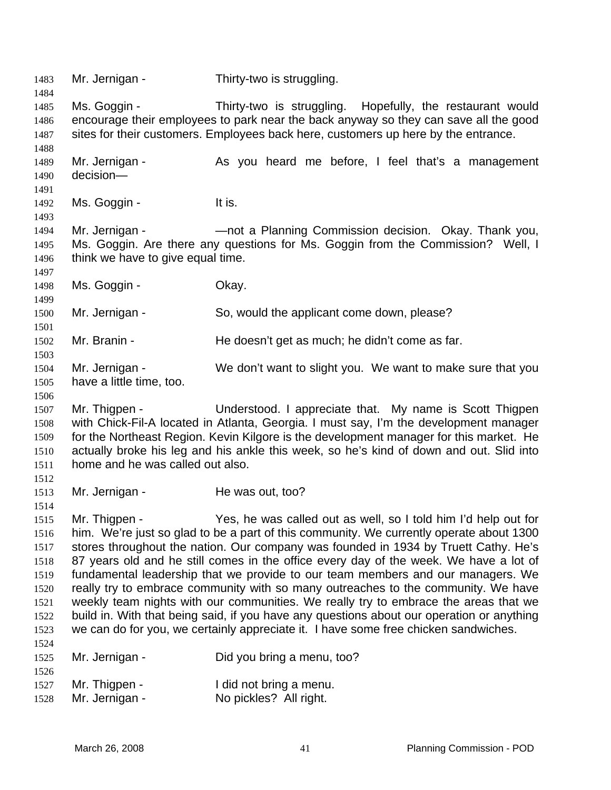1483 Mr. Jernigan - Thirty-two is struggling. 1484 1485 1486 1487 1488 1489 1490 1491 1492 1493 1494 1495 1496 1497 1498 1499 1500 1501 1502 1503 1504 1505 1506 1507 1508 1509 1510 1511 1512 1513 1514 1515 1516 1517 1518 1519 1520 1521 1522 1523 1524 1525 1526 1527 1528 Ms. Goggin - Thirty-two is struggling. Hopefully, the restaurant would encourage their employees to park near the back anyway so they can save all the good sites for their customers. Employees back here, customers up here by the entrance. Mr. Jernigan - As you heard me before, I feel that's a management decision— Ms. Goggin - The Music Control of the Music Control of the Music Control of the Music Control of the Music Control of the Music Control of the Music Control of the Music Control of the Music Control of the Music Control of Mr. Jernigan - — — — — not a Planning Commission decision. Okay. Thank you, Ms. Goggin. Are there any questions for Ms. Goggin from the Commission? Well, I think we have to give equal time. Ms. Goggin - Chay. Mr. Jernigan - So, would the applicant come down, please? Mr. Branin - He doesn't get as much; he didn't come as far. Mr. Jernigan - We don't want to slight you. We want to make sure that you have a little time, too. Mr. Thigpen - The Understood. I appreciate that. My name is Scott Thigpen with Chick-Fil-A located in Atlanta, Georgia. I must say, I'm the development manager for the Northeast Region. Kevin Kilgore is the development manager for this market. He actually broke his leg and his ankle this week, so he's kind of down and out. Slid into home and he was called out also. Mr. Jernigan - He was out, too? Mr. Thigpen - Yes, he was called out as well, so I told him I'd help out for him. We're just so glad to be a part of this community. We currently operate about 1300 stores throughout the nation. Our company was founded in 1934 by Truett Cathy. He's 87 years old and he still comes in the office every day of the week. We have a lot of fundamental leadership that we provide to our team members and our managers. We really try to embrace community with so many outreaches to the community. We have weekly team nights with our communities. We really try to embrace the areas that we build in. With that being said, if you have any questions about our operation or anything we can do for you, we certainly appreciate it. I have some free chicken sandwiches. Mr. Jernigan - Did you bring a menu, too? Mr. Thigpen - The I did not bring a menu. Mr. Jernigan - No pickles? All right.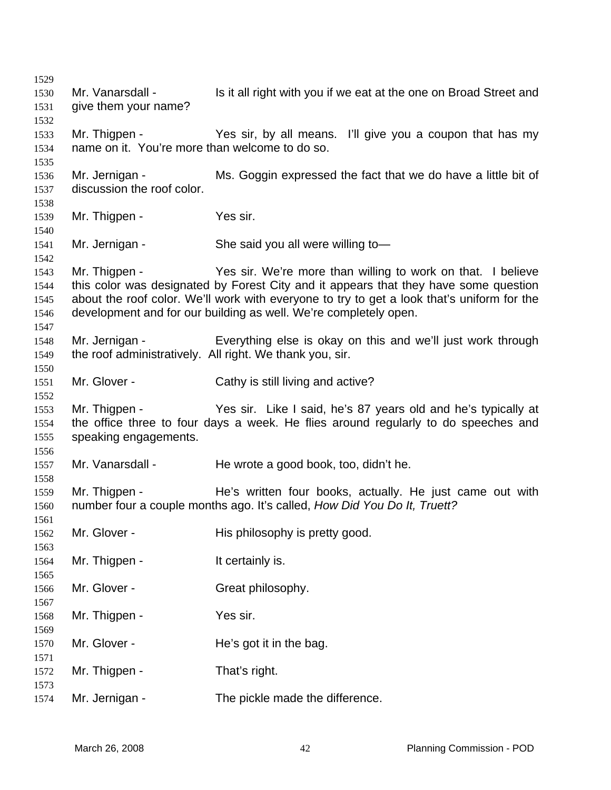Mr. Vanarsdall - Is it all right with you if we eat at the one on Broad Street and give them your name? Mr. Thigpen - Yes sir, by all means. I'll give you a coupon that has my name on it. You're more than welcome to do so. Mr. Jernigan - Ms. Goggin expressed the fact that we do have a little bit of discussion the roof color. Mr. Thigpen - Yes sir. Mr. Jernigan - She said you all were willing to — Mr. Thigpen - Yes sir. We're more than willing to work on that. I believe this color was designated by Forest City and it appears that they have some question about the roof color. We'll work with everyone to try to get a look that's uniform for the development and for our building as well. We're completely open. Mr. Jernigan - Everything else is okay on this and we'll just work through the roof administratively. All right. We thank you, sir. Mr. Glover - Cathy is still living and active? Mr. Thigpen - Yes sir. Like I said, he's 87 years old and he's typically at the office three to four days a week. He flies around regularly to do speeches and speaking engagements. Mr. Vanarsdall - He wrote a good book, too, didn't he. Mr. Thigpen - He's written four books, actually. He just came out with number four a couple months ago. It's called, *How Did You Do It, Truett?* Mr. Glover - His philosophy is pretty good. Mr. Thigpen - The Mr. This is a set of the Mr. This is a set of the Mr. The Mr. The Mr. The Mr. The Mr. The Mr Mr. Glover - Great philosophy. Mr. Thigpen - Yes sir. Mr. Glover - The's got it in the bag. Mr. Thigpen - That's right. Mr. Jernigan - The pickle made the difference.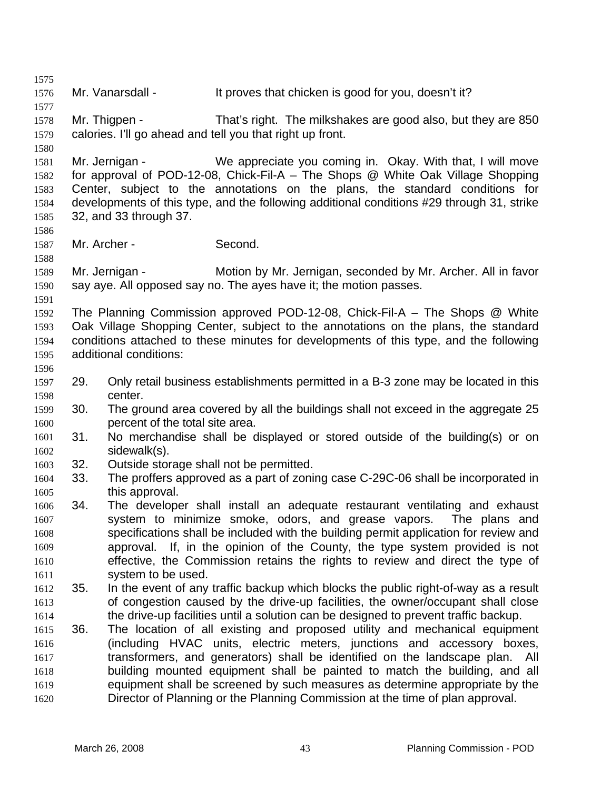1575 1576 1577 1578 1579 1580 1581 1582 1583 1584 1585 1586 1587 1588 1589 1590 1591 1592 1593 1594 1595 1596 1597 1598 1599 1600 1601 1602 1603 1604 1605 1606 1607 1608 1609 1610 1611 1612 1613 1614 1615 1616 1617 1618 1619 1620 Mr. Vanarsdall - It proves that chicken is good for you, doesn't it? Mr. Thigpen - That's right. The milkshakes are good also, but they are 850 calories. I'll go ahead and tell you that right up front. Mr. Jernigan - We appreciate you coming in. Okay. With that, I will move for approval of POD-12-08, Chick-Fil-A – The Shops @ White Oak Village Shopping Center, subject to the annotations on the plans, the standard conditions for developments of this type, and the following additional conditions #29 through 31, strike 32, and 33 through 37. Mr. Archer - Second. Mr. Jernigan - Motion by Mr. Jernigan, seconded by Mr. Archer. All in favor say aye. All opposed say no. The ayes have it; the motion passes. The Planning Commission approved POD-12-08, Chick-Fil-A – The Shops @ White Oak Village Shopping Center, subject to the annotations on the plans, the standard conditions attached to these minutes for developments of this type, and the following additional conditions: 29. Only retail business establishments permitted in a B-3 zone may be located in this center. 30. The ground area covered by all the buildings shall not exceed in the aggregate 25 percent of the total site area. 31. No merchandise shall be displayed or stored outside of the building(s) or on sidewalk(s). 32. Outside storage shall not be permitted. 33. The proffers approved as a part of zoning case C-29C-06 shall be incorporated in this approval. 34. The developer shall install an adequate restaurant ventilating and exhaust system to minimize smoke, odors, and grease vapors. The plans and specifications shall be included with the building permit application for review and approval. If, in the opinion of the County, the type system provided is not effective, the Commission retains the rights to review and direct the type of system to be used. 35. In the event of any traffic backup which blocks the public right-of-way as a result of congestion caused by the drive-up facilities, the owner/occupant shall close the drive-up facilities until a solution can be designed to prevent traffic backup. 36. The location of all existing and proposed utility and mechanical equipment (including HVAC units, electric meters, junctions and accessory boxes, transformers, and generators) shall be identified on the landscape plan. All building mounted equipment shall be painted to match the building, and all equipment shall be screened by such measures as determine appropriate by the Director of Planning or the Planning Commission at the time of plan approval.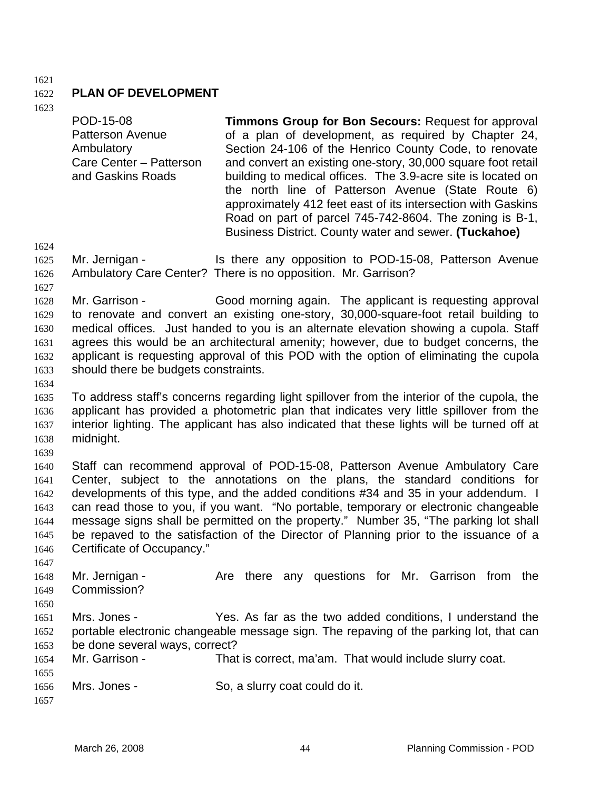### 1621

### 1622 **PLAN OF DEVELOPMENT**

POD-15-08

1623

|      | <b>Patterson Avenue</b><br>Ambulatory<br>Care Center - Patterson<br>and Gaskins Roads | of a plan of development, as required by Chapter 24,<br>Section 24-106 of the Henrico County Code, to renovate<br>and convert an existing one-story, 30,000 square foot retail<br>building to medical offices. The 3.9-acre site is located on<br>the north line of Patterson Avenue (State Route 6)<br>approximately 412 feet east of its intersection with Gaskins<br>Road on part of parcel 745-742-8604. The zoning is B-1,<br>Business District. County water and sewer. (Tuckahoe) |
|------|---------------------------------------------------------------------------------------|------------------------------------------------------------------------------------------------------------------------------------------------------------------------------------------------------------------------------------------------------------------------------------------------------------------------------------------------------------------------------------------------------------------------------------------------------------------------------------------|
| 1624 |                                                                                       |                                                                                                                                                                                                                                                                                                                                                                                                                                                                                          |
| 1625 | Mr. Jernigan -                                                                        | Is there any opposition to POD-15-08, Patterson Avenue                                                                                                                                                                                                                                                                                                                                                                                                                                   |
| 1626 |                                                                                       | Ambulatory Care Center? There is no opposition. Mr. Garrison?                                                                                                                                                                                                                                                                                                                                                                                                                            |
| 1627 |                                                                                       |                                                                                                                                                                                                                                                                                                                                                                                                                                                                                          |
| 1628 | Mr. Garrison -                                                                        | Good morning again. The applicant is requesting approval                                                                                                                                                                                                                                                                                                                                                                                                                                 |
| 1629 |                                                                                       | to renovate and convert an existing one-story, 30,000-square-foot retail building to                                                                                                                                                                                                                                                                                                                                                                                                     |
| 1630 |                                                                                       | medical offices. Just handed to you is an alternate elevation showing a cupola. Staff                                                                                                                                                                                                                                                                                                                                                                                                    |
| 1631 |                                                                                       | agrees this would be an architectural amenity; however, due to budget concerns, the                                                                                                                                                                                                                                                                                                                                                                                                      |
| 1632 |                                                                                       | applicant is requesting approval of this POD with the option of eliminating the cupola                                                                                                                                                                                                                                                                                                                                                                                                   |
| 1633 | should there be budgets constraints.                                                  |                                                                                                                                                                                                                                                                                                                                                                                                                                                                                          |
| 1634 |                                                                                       |                                                                                                                                                                                                                                                                                                                                                                                                                                                                                          |
| 1635 |                                                                                       | To address staff's concerns regarding light spillover from the interior of the cupola, the                                                                                                                                                                                                                                                                                                                                                                                               |
| 1636 |                                                                                       | applicant has provided a photometric plan that indicates very little spillover from the                                                                                                                                                                                                                                                                                                                                                                                                  |
| 1637 |                                                                                       | interior lighting. The applicant has also indicated that these lights will be turned off at                                                                                                                                                                                                                                                                                                                                                                                              |
| 1638 | midnight.                                                                             |                                                                                                                                                                                                                                                                                                                                                                                                                                                                                          |
| 1639 |                                                                                       |                                                                                                                                                                                                                                                                                                                                                                                                                                                                                          |
| 1640 |                                                                                       | Staff can recommend approval of POD-15-08, Patterson Avenue Ambulatory Care                                                                                                                                                                                                                                                                                                                                                                                                              |
| 1641 |                                                                                       | Center, subject to the annotations on the plans, the standard conditions for                                                                                                                                                                                                                                                                                                                                                                                                             |
| 1642 |                                                                                       | developments of this type, and the added conditions #34 and 35 in your addendum. I                                                                                                                                                                                                                                                                                                                                                                                                       |
| 1643 |                                                                                       | can read those to you, if you want. "No portable, temporary or electronic changeable                                                                                                                                                                                                                                                                                                                                                                                                     |
| 1644 |                                                                                       | message signs shall be permitted on the property." Number 35, "The parking lot shall                                                                                                                                                                                                                                                                                                                                                                                                     |
| 1645 |                                                                                       | be repaved to the satisfaction of the Director of Planning prior to the issuance of a                                                                                                                                                                                                                                                                                                                                                                                                    |
| 1646 | Certificate of Occupancy."                                                            |                                                                                                                                                                                                                                                                                                                                                                                                                                                                                          |
| 1647 |                                                                                       |                                                                                                                                                                                                                                                                                                                                                                                                                                                                                          |
| 1648 | Mr. Jernigan -                                                                        | Are there any questions for Mr. Garrison from the                                                                                                                                                                                                                                                                                                                                                                                                                                        |
| 1649 | Commission?                                                                           |                                                                                                                                                                                                                                                                                                                                                                                                                                                                                          |
| 1650 |                                                                                       |                                                                                                                                                                                                                                                                                                                                                                                                                                                                                          |
| 1651 | Mrs. Jones -                                                                          | Yes. As far as the two added conditions, I understand the                                                                                                                                                                                                                                                                                                                                                                                                                                |
| 1652 |                                                                                       | portable electronic changeable message sign. The repaving of the parking lot, that can                                                                                                                                                                                                                                                                                                                                                                                                   |
| 1653 | be done several ways, correct?                                                        |                                                                                                                                                                                                                                                                                                                                                                                                                                                                                          |
| 1654 | Mr. Garrison -                                                                        | That is correct, ma'am. That would include slurry coat.                                                                                                                                                                                                                                                                                                                                                                                                                                  |
| 1655 |                                                                                       |                                                                                                                                                                                                                                                                                                                                                                                                                                                                                          |
| 1656 | Mrs. Jones -                                                                          | So, a slurry coat could do it.                                                                                                                                                                                                                                                                                                                                                                                                                                                           |
| 1657 |                                                                                       |                                                                                                                                                                                                                                                                                                                                                                                                                                                                                          |

**Timmons Group for Bon Secours:** Request for approval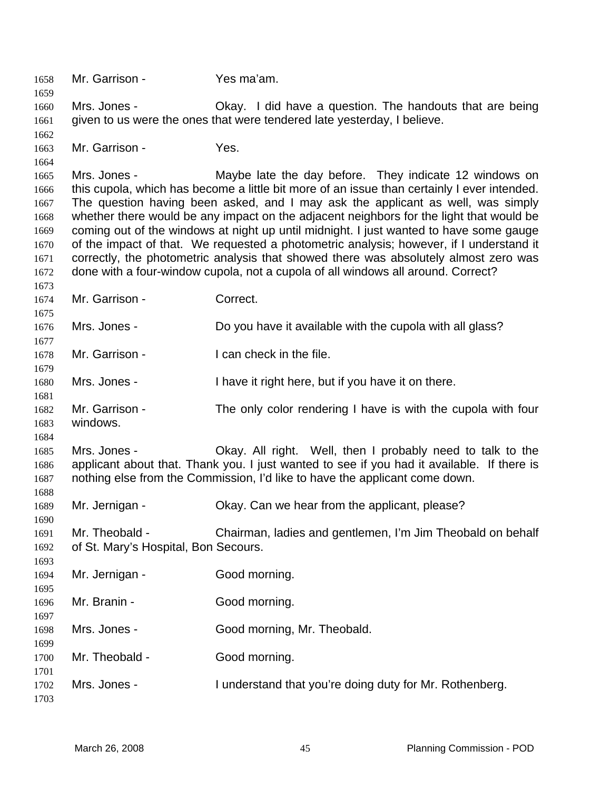Mr. Garrison - Yes ma'am. Mrs. Jones - Okay. I did have a question. The handouts that are being given to us were the ones that were tendered late yesterday, I believe. Mr. Garrison - Yes. Mrs. Jones - They indicate 12 windows on this cupola, which has become a little bit more of an issue than certainly I ever intended. The question having been asked, and I may ask the applicant as well, was simply whether there would be any impact on the adjacent neighbors for the light that would be coming out of the windows at night up until midnight. I just wanted to have some gauge of the impact of that. We requested a photometric analysis; however, if I understand it correctly, the photometric analysis that showed there was absolutely almost zero was done with a four-window cupola, not a cupola of all windows all around. Correct? Mr. Garrison - Correct. Mrs. Jones - Do you have it available with the cupola with all glass? Mr. Garrison - The an check in the file. Mrs. Jones - I have it right here, but if you have it on there. Mr. Garrison - The only color rendering I have is with the cupola with four windows. Mrs. Jones - Ckay. All right. Well, then I probably need to talk to the applicant about that. Thank you. I just wanted to see if you had it available. If there is nothing else from the Commission, I'd like to have the applicant come down. Mr. Jernigan - Okay. Can we hear from the applicant, please? Mr. Theobald - Chairman, ladies and gentlemen, I'm Jim Theobald on behalf of St. Mary's Hospital, Bon Secours. Mr. Jernigan - Good morning. Mr. Branin - Good morning. Mrs. Jones - Good morning, Mr. Theobald. Mr. Theobald - Good morning. Mrs. Jones - I understand that you're doing duty for Mr. Rothenberg.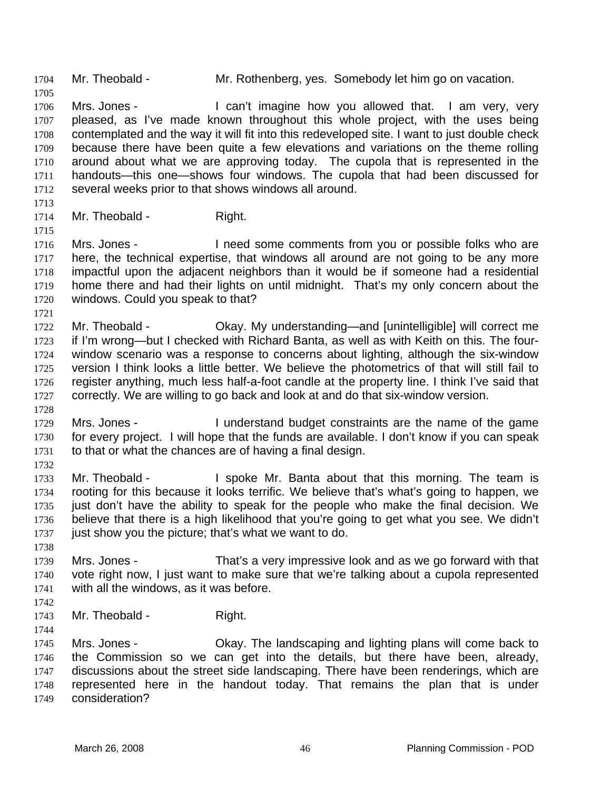1710 1711 1712 1713 1714 1715 1716 1717 1718 1719 1720 1721 1722 1723 1724 1725 1726 1727 1728 1729 1730 1731 1732 1733 1734 1735 1736 1737 1738 1739 1740 1741 1742 1743 1744 1745 1746 around about what we are approving today. The cupola that is represented in the handouts—this one—shows four windows. The cupola that had been discussed for several weeks prior to that shows windows all around. Mr. Theobald - Right. Mrs. Jones - I need some comments from you or possible folks who are here, the technical expertise, that windows all around are not going to be any more impactful upon the adjacent neighbors than it would be if someone had a residential home there and had their lights on until midnight. That's my only concern about the windows. Could you speak to that? Mr. Theobald - Ckay. My understanding—and [unintelligible] will correct me if I'm wrong—but I checked with Richard Banta, as well as with Keith on this. The fourwindow scenario was a response to concerns about lighting, although the six-window version I think looks a little better. We believe the photometrics of that will still fail to register anything, much less half-a-foot candle at the property line. I think I've said that correctly. We are willing to go back and look at and do that six-window version. Mrs. Jones - I understand budget constraints are the name of the game for every project. I will hope that the funds are available. I don't know if you can speak to that or what the chances are of having a final design. Mr. Theobald - I spoke Mr. Banta about that this morning. The team is rooting for this because it looks terrific. We believe that's what's going to happen, we just don't have the ability to speak for the people who make the final decision. We believe that there is a high likelihood that you're going to get what you see. We didn't just show you the picture; that's what we want to do. Mrs. Jones - That's a very impressive look and as we go forward with that vote right now, I just want to make sure that we're talking about a cupola represented with all the windows, as it was before. Mr. Theobald - Right. Mrs. Jones - Ckay. The landscaping and lighting plans will come back to the Commission so we can get into the details, but there have been, already, discussions about the street side landscaping. There have been renderings, which are

1704 Mr. Theobald - Mr. Rothenberg, yes. Somebody let him go on vacation.

Mrs. Jones - I can't imagine how you allowed that. I am very, very pleased, as I've made known throughout this whole project, with the uses being contemplated and the way it will fit into this redeveloped site. I want to just double check because there have been quite a few elevations and variations on the theme rolling

1747 1748 1749 represented here in the handout today. That remains the plan that is under consideration?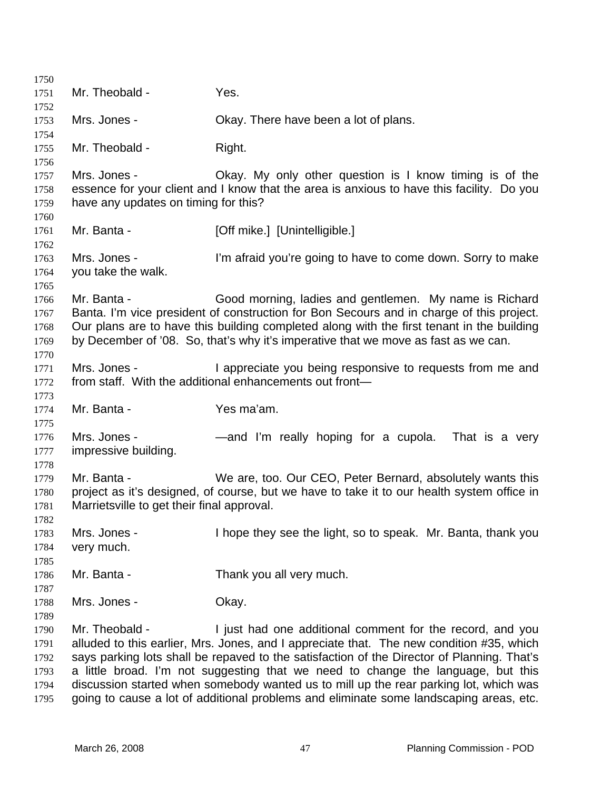| 1750         |                                            |                                                                                            |
|--------------|--------------------------------------------|--------------------------------------------------------------------------------------------|
| 1751         | Mr. Theobald -                             | Yes.                                                                                       |
| 1752         |                                            |                                                                                            |
| 1753         | Mrs. Jones -                               | Okay. There have been a lot of plans.                                                      |
| 1754         | Mr. Theobald -                             | Right.                                                                                     |
| 1755<br>1756 |                                            |                                                                                            |
| 1757         | Mrs. Jones -                               | Okay. My only other question is I know timing is of the                                    |
| 1758         |                                            | essence for your client and I know that the area is anxious to have this facility. Do you  |
| 1759         | have any updates on timing for this?       |                                                                                            |
| 1760         |                                            |                                                                                            |
| 1761         | Mr. Banta -                                | [Off mike.] [Unintelligible.]                                                              |
| 1762         |                                            |                                                                                            |
| 1763         | Mrs. Jones -                               | I'm afraid you're going to have to come down. Sorry to make                                |
| 1764         | you take the walk.                         |                                                                                            |
| 1765         |                                            |                                                                                            |
| 1766         | Mr. Banta -                                | Good morning, ladies and gentlemen. My name is Richard                                     |
| 1767         |                                            | Banta. I'm vice president of construction for Bon Secours and in charge of this project.   |
| 1768         |                                            | Our plans are to have this building completed along with the first tenant in the building  |
| 1769         |                                            | by December of '08. So, that's why it's imperative that we move as fast as we can.         |
| 1770<br>1771 | Mrs. Jones -                               | I appreciate you being responsive to requests from me and                                  |
| 1772         |                                            | from staff. With the additional enhancements out front-                                    |
| 1773         |                                            |                                                                                            |
| 1774         | Mr. Banta -                                | Yes ma'am.                                                                                 |
| 1775         |                                            |                                                                                            |
| 1776         | Mrs. Jones -                               | —and I'm really hoping for a cupola.<br>That is a very                                     |
| 1777         | impressive building.                       |                                                                                            |
| 1778         |                                            |                                                                                            |
| 1779         | Mr. Banta -                                | We are, too. Our CEO, Peter Bernard, absolutely wants this                                 |
| 1780         |                                            | project as it's designed, of course, but we have to take it to our health system office in |
| 1781         | Marrietsville to get their final approval. |                                                                                            |
| 1782         |                                            |                                                                                            |
| 1783         | Mrs. Jones -                               | I hope they see the light, so to speak. Mr. Banta, thank you                               |
| 1784         | very much.                                 |                                                                                            |
| 1785<br>1786 | Mr. Banta -                                | Thank you all very much.                                                                   |
| 1787         |                                            |                                                                                            |
| 1788         | Mrs. Jones -                               | Okay.                                                                                      |
| 1789         |                                            |                                                                                            |
| 1790         | Mr. Theobald -                             | I just had one additional comment for the record, and you                                  |
| 1791         |                                            | alluded to this earlier, Mrs. Jones, and I appreciate that. The new condition #35, which   |
| 1792         |                                            | says parking lots shall be repaved to the satisfaction of the Director of Planning. That's |
| 1793         |                                            | a little broad. I'm not suggesting that we need to change the language, but this           |
| 1794         |                                            | discussion started when somebody wanted us to mill up the rear parking lot, which was      |
| 1795         |                                            | going to cause a lot of additional problems and eliminate some landscaping areas, etc.     |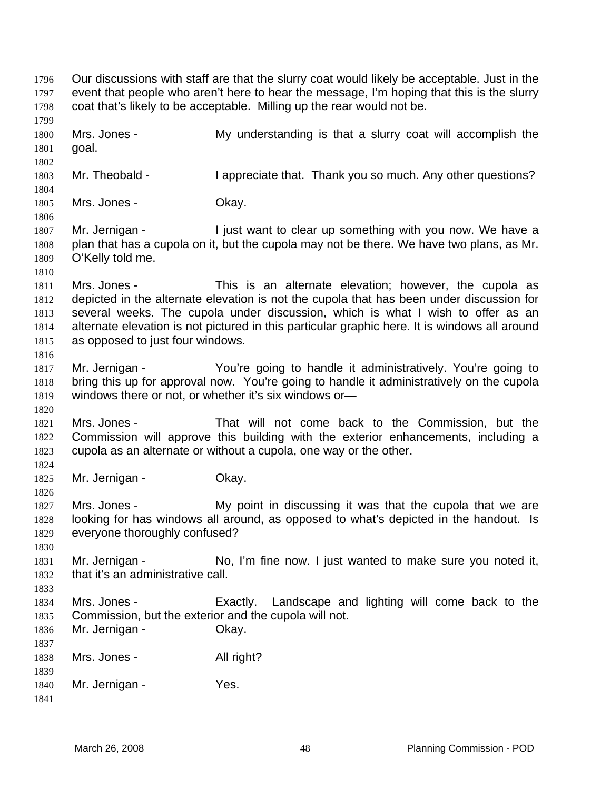Our discussions with staff are that the slurry coat would likely be acceptable. Just in the event that people who aren't here to hear the message, I'm hoping that this is the slurry coat that's likely to be acceptable. Milling up the rear would not be. 1796 1797 1798 1799 1800 1801 1802 1803 1804 1805 1806 1807 1808 1809 1810 1811 1812 1813 1814 1815 1816 1817 1818 1819 1820 1821 1822 1823 1824 1825 1826 1827 1828 1829 1830 1831 1832 1833 1834 1835 1836 1837 1838 1839 1840 1841 Mrs. Jones - The My understanding is that a slurry coat will accomplish the goal. Mr. Theobald - I appreciate that. Thank you so much. Any other questions? Mrs. Jones - Ckay. Mr. Jernigan - I just want to clear up something with you now. We have a plan that has a cupola on it, but the cupola may not be there. We have two plans, as Mr. O'Kelly told me. Mrs. Jones - This is an alternate elevation; however, the cupola as depicted in the alternate elevation is not the cupola that has been under discussion for several weeks. The cupola under discussion, which is what I wish to offer as an alternate elevation is not pictured in this particular graphic here. It is windows all around as opposed to just four windows. Mr. Jernigan - The You're going to handle it administratively. You're going to bring this up for approval now. You're going to handle it administratively on the cupola windows there or not, or whether it's six windows or— Mrs. Jones - That will not come back to the Commission, but the Commission will approve this building with the exterior enhancements, including a cupola as an alternate or without a cupola, one way or the other. Mr. Jernigan - **Okay.** Mrs. Jones - The My point in discussing it was that the cupola that we are looking for has windows all around, as opposed to what's depicted in the handout. Is everyone thoroughly confused? Mr. Jernigan - No, I'm fine now. I just wanted to make sure you noted it, that it's an administrative call. Mrs. Jones - Exactly. Landscape and lighting will come back to the Commission, but the exterior and the cupola will not. Mr. Jernigan - **Okay.** Mrs. Jones - All right? Mr. Jernigan - Yes.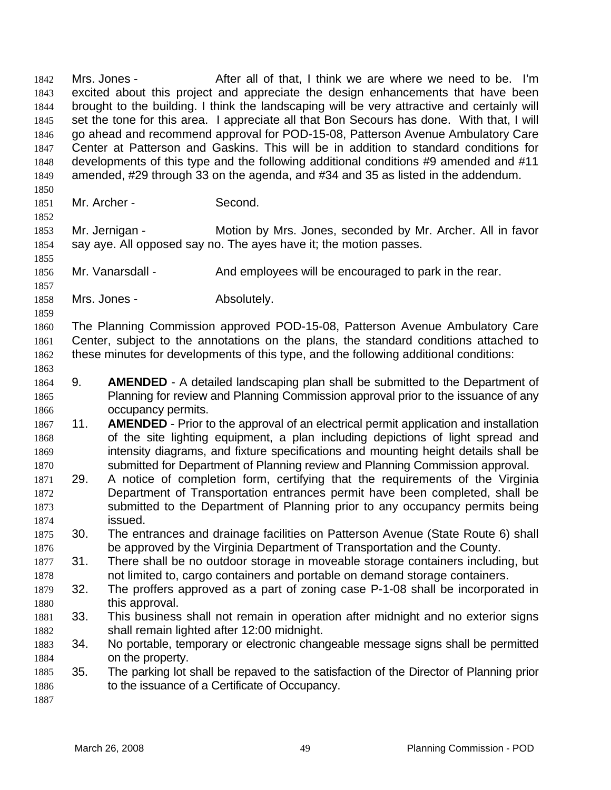Mrs. Jones - The After all of that, I think we are where we need to be. I'm excited about this project and appreciate the design enhancements that have been brought to the building. I think the landscaping will be very attractive and certainly will set the tone for this area. I appreciate all that Bon Secours has done. With that, I will go ahead and recommend approval for POD-15-08, Patterson Avenue Ambulatory Care Center at Patterson and Gaskins. This will be in addition to standard conditions for developments of this type and the following additional conditions #9 amended and #11 amended, #29 through 33 on the agenda, and #34 and 35 as listed in the addendum. 1842 1843 1844 1845 1846 1847 1848 1849 1850 1851 1852 1853 1854 1855 1856 1857 1858 1859 1860 1861 1862 1863 1864 1865 1866 1867 1868 1869 1870 1871 1872 1873 1874 1875 1876 1877 1878 1879 1880 1881 1882 1883 1884 1885 1886 1887 Mr. Archer - Second. Mr. Jernigan - Motion by Mrs. Jones, seconded by Mr. Archer. All in favor say aye. All opposed say no. The ayes have it; the motion passes. Mr. Vanarsdall - And employees will be encouraged to park in the rear. Mrs. Jones - Absolutely. The Planning Commission approved POD-15-08, Patterson Avenue Ambulatory Care Center, subject to the annotations on the plans, the standard conditions attached to these minutes for developments of this type, and the following additional conditions: 9. **AMENDED** - A detailed landscaping plan shall be submitted to the Department of Planning for review and Planning Commission approval prior to the issuance of any occupancy permits. 11. **AMENDED** - Prior to the approval of an electrical permit application and installation of the site lighting equipment, a plan including depictions of light spread and intensity diagrams, and fixture specifications and mounting height details shall be submitted for Department of Planning review and Planning Commission approval. 29. A notice of completion form, certifying that the requirements of the Virginia Department of Transportation entrances permit have been completed, shall be submitted to the Department of Planning prior to any occupancy permits being issued. 30. The entrances and drainage facilities on Patterson Avenue (State Route 6) shall be approved by the Virginia Department of Transportation and the County. 31. There shall be no outdoor storage in moveable storage containers including, but not limited to, cargo containers and portable on demand storage containers. 32. The proffers approved as a part of zoning case P-1-08 shall be incorporated in this approval. 33. This business shall not remain in operation after midnight and no exterior signs shall remain lighted after 12:00 midnight. 34. No portable, temporary or electronic changeable message signs shall be permitted on the property. 35. The parking lot shall be repaved to the satisfaction of the Director of Planning prior to the issuance of a Certificate of Occupancy.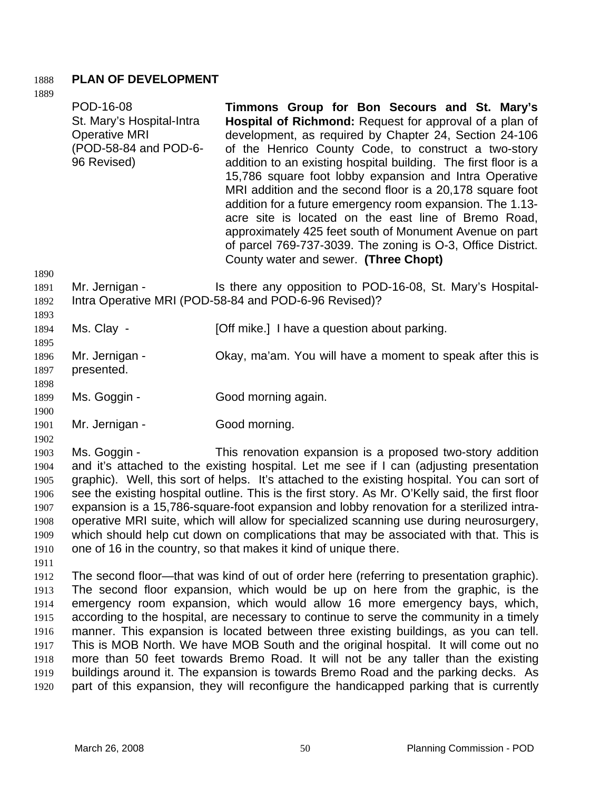## 1888 **PLAN OF DEVELOPMENT**

1889 1890 1891 1892 1893 1894 1895 1896 1897 1898 1899 1900 1901 1902 1903 POD-16-08 St. Mary's Hospital-Intra Operative MRI (POD-58-84 and POD-6- 96 Revised) **Timmons Group for Bon Secours and St. Mary's Hospital of Richmond:** Request for approval of a plan of development, as required by Chapter 24, Section 24-106 of the Henrico County Code, to construct a two-story addition to an existing hospital building. The first floor is a 15,786 square foot lobby expansion and Intra Operative MRI addition and the second floor is a 20,178 square foot addition for a future emergency room expansion. The 1.13 acre site is located on the east line of Bremo Road, approximately 425 feet south of Monument Avenue on part of parcel 769-737-3039. The zoning is O-3, Office District. County water and sewer. **(Three Chopt)**  Mr. Jernigan - The Is there any opposition to POD-16-08, St. Mary's Hospital-Intra Operative MRI (POD-58-84 and POD-6-96 Revised)? Ms. Clay - [Off mike.] I have a question about parking. Mr. Jernigan - Ckay, ma'am. You will have a moment to speak after this is presented. Ms. Goggin - Good morning again. Mr. Jernigan - Good morning. Ms. Goggin - This renovation expansion is a proposed two-story addition

1904 1905 1906 1907 1908 1909 1910 and it's attached to the existing hospital. Let me see if I can (adjusting presentation graphic). Well, this sort of helps. It's attached to the existing hospital. You can sort of see the existing hospital outline. This is the first story. As Mr. O'Kelly said, the first floor expansion is a 15,786-square-foot expansion and lobby renovation for a sterilized intraoperative MRI suite, which will allow for specialized scanning use during neurosurgery, which should help cut down on complications that may be associated with that. This is one of 16 in the country, so that makes it kind of unique there.

1911

1912 1913 1914 1915 1916 1917 1918 1919 1920 The second floor—that was kind of out of order here (referring to presentation graphic). The second floor expansion, which would be up on here from the graphic, is the emergency room expansion, which would allow 16 more emergency bays, which, according to the hospital, are necessary to continue to serve the community in a timely manner. This expansion is located between three existing buildings, as you can tell. This is MOB North. We have MOB South and the original hospital. It will come out no more than 50 feet towards Bremo Road. It will not be any taller than the existing buildings around it. The expansion is towards Bremo Road and the parking decks. As part of this expansion, they will reconfigure the handicapped parking that is currently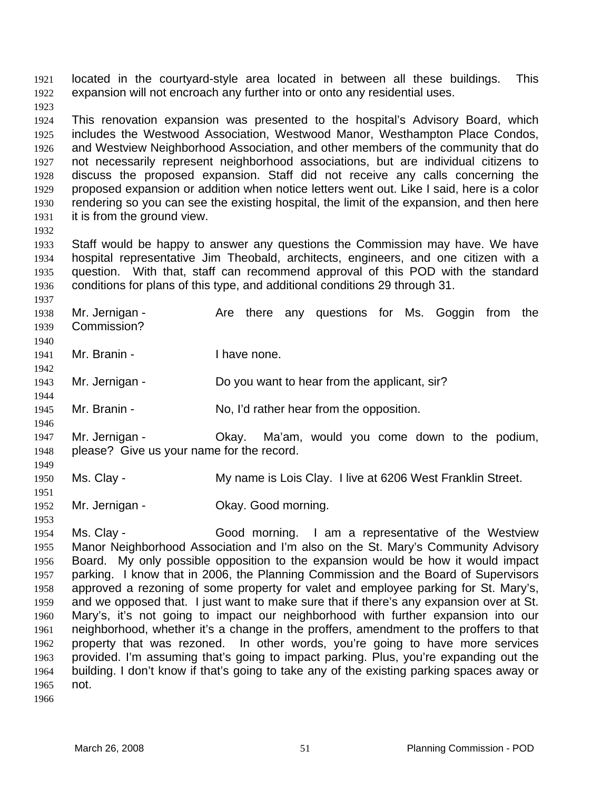located in the courtyard-style area located in between all these buildings. This expansion will not encroach any further into or onto any residential uses. 1921 1922

1924 1925 1926 1927 1928 1929 1930 1931 This renovation expansion was presented to the hospital's Advisory Board, which includes the Westwood Association, Westwood Manor, Westhampton Place Condos, and Westview Neighborhood Association, and other members of the community that do not necessarily represent neighborhood associations, but are individual citizens to discuss the proposed expansion. Staff did not receive any calls concerning the proposed expansion or addition when notice letters went out. Like I said, here is a color rendering so you can see the existing hospital, the limit of the expansion, and then here it is from the ground view.

1932

1937

1944

1946

1949

1951

1953

1923

1933 1934 1935 1936 Staff would be happy to answer any questions the Commission may have. We have hospital representative Jim Theobald, architects, engineers, and one citizen with a question. With that, staff can recommend approval of this POD with the standard conditions for plans of this type, and additional conditions 29 through 31.

1938 1939 1940 Mr. Jernigan - The Are there any questions for Ms. Goggin from the Commission?

- 1941 1942 Mr. Branin - Thave none.
- 1943 Mr. Jernigan - **Do you want to hear from the applicant**, sir?
- 1945 Mr. Branin - No, I'd rather hear from the opposition.
- 1947 1948 Mr. Jernigan - Ckay. Ma'am, would you come down to the podium, please? Give us your name for the record.
- 1950 Ms. Clay - My name is Lois Clay. I live at 6206 West Franklin Street.
- 1952 Mr. Jernigan - Ckay. Good morning.
- 1954 1955 1956 1957 1958 1959 1960 1961 1962 1963 1964 1965 Ms. Clay - The Good morning. I am a representative of the Westview Manor Neighborhood Association and I'm also on the St. Mary's Community Advisory Board. My only possible opposition to the expansion would be how it would impact parking. I know that in 2006, the Planning Commission and the Board of Supervisors approved a rezoning of some property for valet and employee parking for St. Mary's, and we opposed that. I just want to make sure that if there's any expansion over at St. Mary's, it's not going to impact our neighborhood with further expansion into our neighborhood, whether it's a change in the proffers, amendment to the proffers to that property that was rezoned. In other words, you're going to have more services provided. I'm assuming that's going to impact parking. Plus, you're expanding out the building. I don't know if that's going to take any of the existing parking spaces away or not.
- 1966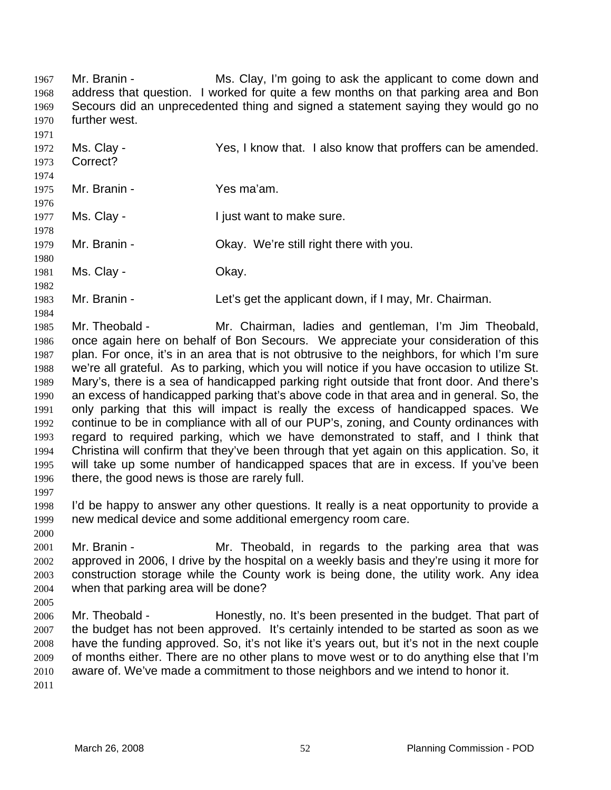Mr. Branin - The Ms. Clay, I'm going to ask the applicant to come down and address that question. I worked for quite a few months on that parking area and Bon Secours did an unprecedented thing and signed a statement saying they would go no further west. 1967 1968 1969 1970

1971 1972 1973 1974 1975 1976 1977 1978 1979 1980 Ms. Clay - Yes, I know that. I also know that proffers can be amended. Correct? Mr. Branin - Yes ma'am. Ms. Clay - The Must want to make sure. Mr. Branin - Ckay. We're still right there with you.

1981 Ms. Clay - Chay.

1983 Mr. Branin - Let's get the applicant down, if I may, Mr. Chairman.

1985 1986 1987 1988 1989 1990 1991 1992 1993 1994 1995 1996 Mr. Theobald - Mr. Chairman, ladies and gentleman, I'm Jim Theobald, once again here on behalf of Bon Secours. We appreciate your consideration of this plan. For once, it's in an area that is not obtrusive to the neighbors, for which I'm sure we're all grateful. As to parking, which you will notice if you have occasion to utilize St. Mary's, there is a sea of handicapped parking right outside that front door. And there's an excess of handicapped parking that's above code in that area and in general. So, the only parking that this will impact is really the excess of handicapped spaces. We continue to be in compliance with all of our PUP's, zoning, and County ordinances with regard to required parking, which we have demonstrated to staff, and I think that Christina will confirm that they've been through that yet again on this application. So, it will take up some number of handicapped spaces that are in excess. If you've been there, the good news is those are rarely full.

1998 1999 I'd be happy to answer any other questions. It really is a neat opportunity to provide a new medical device and some additional emergency room care.

2001 2002 2003 2004 Mr. Branin - Mr. Theobald, in regards to the parking area that was approved in 2006, I drive by the hospital on a weekly basis and they're using it more for construction storage while the County work is being done, the utility work. Any idea when that parking area will be done?

2005

1997

2000

1982

1984

2006 2007 2008 2009 2010 2011 Mr. Theobald - Honestly, no. It's been presented in the budget. That part of the budget has not been approved. It's certainly intended to be started as soon as we have the funding approved. So, it's not like it's years out, but it's not in the next couple of months either. There are no other plans to move west or to do anything else that I'm aware of. We've made a commitment to those neighbors and we intend to honor it.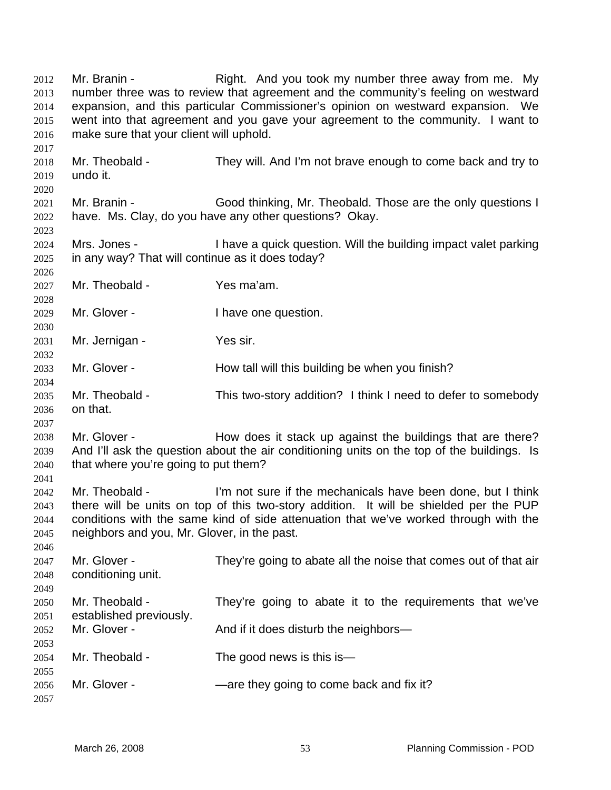Mr. Branin - The Right. And you took my number three away from me. My number three was to review that agreement and the community's feeling on westward expansion, and this particular Commissioner's opinion on westward expansion. We went into that agreement and you gave your agreement to the community. I want to make sure that your client will uphold. 2012 2013 2014 2015 2016 2017 2018 2019 2020 2021 2022 2023 2024 2025 2026 2027 2028 2029 2030 2031 2032 2033 2034 2035 2036 2037 2038 2039 2040 2041 2042 2043 2044 2045 2046 2047 2048 2049 2050 2051 2052 2053 2054 2055 2056 2057 Mr. Theobald - They will. And I'm not brave enough to come back and try to undo it. Mr. Branin - Good thinking, Mr. Theobald. Those are the only questions I have. Ms. Clay, do you have any other questions? Okay. Mrs. Jones - I have a quick question. Will the building impact valet parking in any way? That will continue as it does today? Mr. Theobald - Yes ma'am. Mr. Glover - Thave one question. Mr. Jernigan - Yes sir. Mr. Glover - **How tall will this building be when you finish?** Mr. Theobald - This two-story addition? I think I need to defer to somebody on that. Mr. Glover - The How does it stack up against the buildings that are there? And I'll ask the question about the air conditioning units on the top of the buildings. Is that where you're going to put them? Mr. Theobald - I'm not sure if the mechanicals have been done, but I think there will be units on top of this two-story addition. It will be shielded per the PUP conditions with the same kind of side attenuation that we've worked through with the neighbors and you, Mr. Glover, in the past. Mr. Glover - They're going to abate all the noise that comes out of that air conditioning unit. Mr. Theobald - They're going to abate it to the requirements that we've established previously. Mr. Glover - And if it does disturb the neighbors— Mr. Theobald - The good news is this is— Mr. Glover - — — — — — — — — are they going to come back and fix it?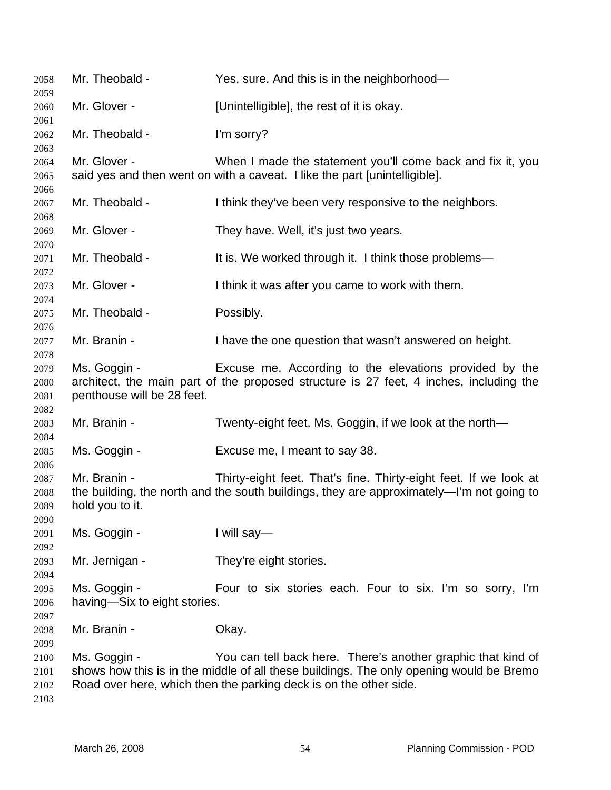| 2058                                 | Mr. Theobald -                               | Yes, sure. And this is in the neighborhood—                                                                                                                                                                                  |
|--------------------------------------|----------------------------------------------|------------------------------------------------------------------------------------------------------------------------------------------------------------------------------------------------------------------------------|
| 2059<br>2060                         | Mr. Glover -                                 | [Unintelligible], the rest of it is okay.                                                                                                                                                                                    |
| 2061<br>2062                         | Mr. Theobald -                               | I'm sorry?                                                                                                                                                                                                                   |
| 2063<br>2064<br>2065                 | Mr. Glover -                                 | When I made the statement you'll come back and fix it, you<br>said yes and then went on with a caveat. I like the part [unintelligible].                                                                                     |
| 2066<br>2067                         | Mr. Theobald -                               | I think they've been very responsive to the neighbors.                                                                                                                                                                       |
| 2068<br>2069                         | Mr. Glover -                                 | They have. Well, it's just two years.                                                                                                                                                                                        |
| 2070<br>2071                         | Mr. Theobald -                               | It is. We worked through it. I think those problems—                                                                                                                                                                         |
| 2072<br>2073                         | Mr. Glover -                                 | I think it was after you came to work with them.                                                                                                                                                                             |
| 2074<br>2075                         | Mr. Theobald -                               | Possibly.                                                                                                                                                                                                                    |
| 2076<br>2077                         | Mr. Branin -                                 | I have the one question that wasn't answered on height.                                                                                                                                                                      |
| 2078<br>2079<br>2080<br>2081         | Ms. Goggin -<br>penthouse will be 28 feet.   | Excuse me. According to the elevations provided by the<br>architect, the main part of the proposed structure is 27 feet, 4 inches, including the                                                                             |
| 2082<br>2083                         | Mr. Branin -                                 | Twenty-eight feet. Ms. Goggin, if we look at the north-                                                                                                                                                                      |
| 2084<br>2085                         | Ms. Goggin -                                 | Excuse me, I meant to say 38.                                                                                                                                                                                                |
| 2086<br>2087<br>2088<br>2089         | Mr. Branin -<br>hold you to it.              | Thirty-eight feet. That's fine. Thirty-eight feet. If we look at<br>the building, the north and the south buildings, they are approximately—I'm not going to                                                                 |
| 2090<br>2091                         | Ms. Goggin -                                 | I will say-                                                                                                                                                                                                                  |
| 2092<br>2093<br>2094                 | Mr. Jernigan -                               | They're eight stories.                                                                                                                                                                                                       |
| 2095<br>2096                         | Ms. Goggin -<br>having-Six to eight stories. | Four to six stories each. Four to six. I'm so sorry, I'm                                                                                                                                                                     |
| 2097<br>2098                         | Mr. Branin -                                 | Okay.                                                                                                                                                                                                                        |
| 2099<br>2100<br>2101<br>2102<br>2103 | Ms. Goggin -                                 | You can tell back here. There's another graphic that kind of<br>shows how this is in the middle of all these buildings. The only opening would be Bremo<br>Road over here, which then the parking deck is on the other side. |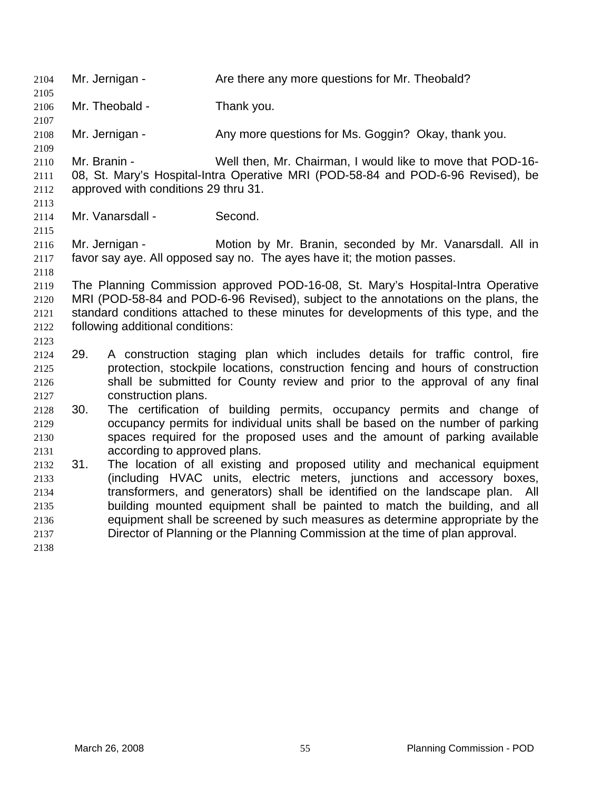2104 Mr. Jernigan - Are there any more questions for Mr. Theobald? 2105 2106 2107 2108 2109 2110 2111 2112 2113 2114 2115 2116 2117 2118 2119 2120 2121 2122 2123 2125 2126 2127 2129 2130 2131 2132 2133 2134 2135 2136 2137 2138 Mr. Theobald - Thank you. Mr. Jernigan - Any more questions for Ms. Goggin? Okay, thank you. Mr. Branin - Well then, Mr. Chairman, I would like to move that POD-16- 08, St. Mary's Hospital-Intra Operative MRI (POD-58-84 and POD-6-96 Revised), be approved with conditions 29 thru 31. Mr. Vanarsdall - Second. Mr. Jernigan - **Motion by Mr. Branin, seconded by Mr. Vanarsdall. All in** favor say aye. All opposed say no. The ayes have it; the motion passes. The Planning Commission approved POD-16-08, St. Mary's Hospital-Intra Operative MRI (POD-58-84 and POD-6-96 Revised), subject to the annotations on the plans, the standard conditions attached to these minutes for developments of this type, and the following additional conditions: 2124 29. A construction staging plan which includes details for traffic control, fire protection, stockpile locations, construction fencing and hours of construction shall be submitted for County review and prior to the approval of any final construction plans. 2128 30. The certification of building permits, occupancy permits and change of occupancy permits for individual units shall be based on the number of parking spaces required for the proposed uses and the amount of parking available according to approved plans. 31. The location of all existing and proposed utility and mechanical equipment (including HVAC units, electric meters, junctions and accessory boxes, transformers, and generators) shall be identified on the landscape plan. All building mounted equipment shall be painted to match the building, and all equipment shall be screened by such measures as determine appropriate by the Director of Planning or the Planning Commission at the time of plan approval.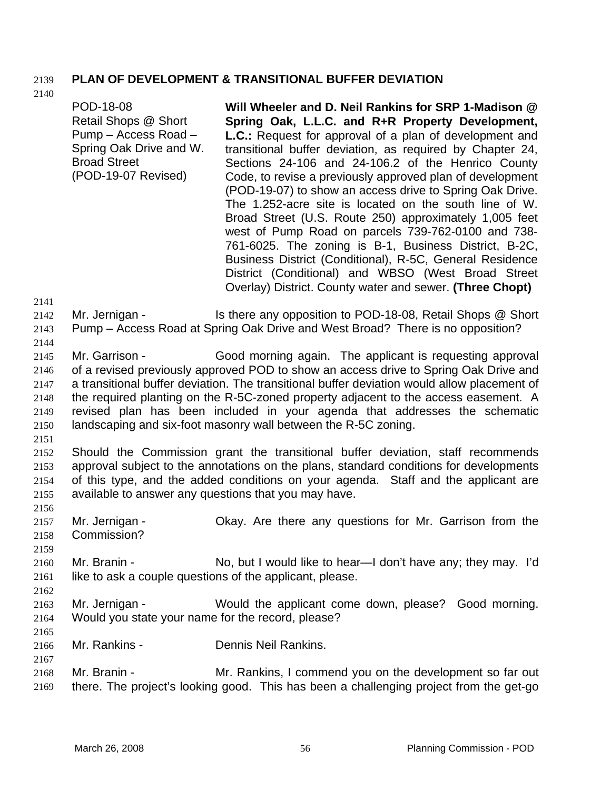## 2139 **PLAN OF DEVELOPMENT & TRANSITIONAL BUFFER DEVIATION**

2140

POD-18-08 Retail Shops @ Short Pump – Access Road – Spring Oak Drive and W. Broad Street (POD-19-07 Revised) **Will Wheeler and D. Neil Rankins for SRP 1-Madison @ Spring Oak, L.L.C. and R+R Property Development, L.C.:** Request for approval of a plan of development and transitional buffer deviation, as required by Chapter 24, Sections 24-106 and 24-106.2 of the Henrico County Code, to revise a previously approved plan of development (POD-19-07) to show an access drive to Spring Oak Drive. The 1.252-acre site is located on the south line of W. Broad Street (U.S. Route 250) approximately 1,005 feet west of Pump Road on parcels 739-762-0100 and 738- 761-6025. The zoning is B-1, Business District, B-2C, Business District (Conditional), R-5C, General Residence District (Conditional) and WBSO (West Broad Street Overlay) District. County water and sewer. **(Three Chopt)** 

2141

2144

2142 2143 Mr. Jernigan - Is there any opposition to POD-18-08, Retail Shops @ Short Pump – Access Road at Spring Oak Drive and West Broad? There is no opposition?

2145 2146 2147 2148 2149 2150 Mr. Garrison - Good morning again. The applicant is requesting approval of a revised previously approved POD to show an access drive to Spring Oak Drive and a transitional buffer deviation. The transitional buffer deviation would allow placement of the required planting on the R-5C-zoned property adjacent to the access easement. A revised plan has been included in your agenda that addresses the schematic landscaping and six-foot masonry wall between the R-5C zoning.

2151

2156

2159

2152 2153 2154 2155 Should the Commission grant the transitional buffer deviation, staff recommends approval subject to the annotations on the plans, standard conditions for developments of this type, and the added conditions on your agenda. Staff and the applicant are available to answer any questions that you may have.

2157 2158 Mr. Jernigan - Ckay. Are there any questions for Mr. Garrison from the Commission?

- 2160 2161 Mr. Branin - No, but I would like to hear—I don't have any; they may. I'd like to ask a couple questions of the applicant, please.
- 2163 2164 Mr. Jernigan - Would the applicant come down, please? Good morning. Would you state your name for the record, please?
- 2165

2167

2162

2166 Mr. Rankins - Dennis Neil Rankins.

2168 2169 Mr. Branin - Mr. Rankins, I commend you on the development so far out there. The project's looking good. This has been a challenging project from the get-go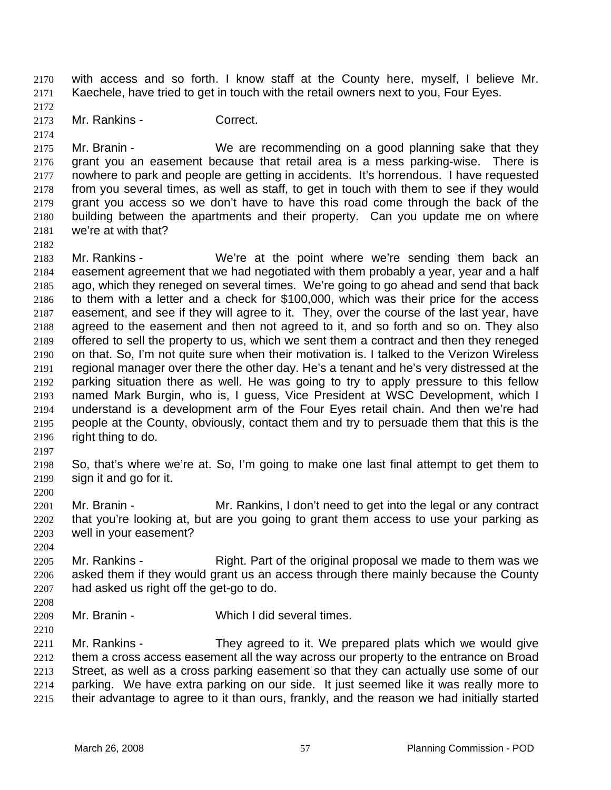with access and so forth. I know staff at the County here, myself, I believe Mr. Kaechele, have tried to get in touch with the retail owners next to you, Four Eyes. 2170 2171

- 2172 2173
- Mr. Rankins Correct.

2174

2175 2176 2177 2178 2179 2180 2181 Mr. Branin - We are recommending on a good planning sake that they grant you an easement because that retail area is a mess parking-wise. There is nowhere to park and people are getting in accidents. It's horrendous. I have requested from you several times, as well as staff, to get in touch with them to see if they would grant you access so we don't have to have this road come through the back of the building between the apartments and their property. Can you update me on where we're at with that?

2182

2183 2184 2185 2186 2187 2188 2189 2190 2191 2192 2193 2194 2195 2196 Mr. Rankins - We're at the point where we're sending them back an easement agreement that we had negotiated with them probably a year, year and a half ago, which they reneged on several times. We're going to go ahead and send that back to them with a letter and a check for \$100,000, which was their price for the access easement, and see if they will agree to it. They, over the course of the last year, have agreed to the easement and then not agreed to it, and so forth and so on. They also offered to sell the property to us, which we sent them a contract and then they reneged on that. So, I'm not quite sure when their motivation is. I talked to the Verizon Wireless regional manager over there the other day. He's a tenant and he's very distressed at the parking situation there as well. He was going to try to apply pressure to this fellow named Mark Burgin, who is, I guess, Vice President at WSC Development, which I understand is a development arm of the Four Eyes retail chain. And then we're had people at the County, obviously, contact them and try to persuade them that this is the right thing to do.

2197

2200

2198 2199 So, that's where we're at. So, I'm going to make one last final attempt to get them to sign it and go for it.

2201 2202 2203 Mr. Branin - Mr. Rankins, I don't need to get into the legal or any contract that you're looking at, but are you going to grant them access to use your parking as well in your easement?

2204

2205 2206 2207 Mr. Rankins - Right. Part of the original proposal we made to them was we asked them if they would grant us an access through there mainly because the County had asked us right off the get-go to do.

2208

2209 Mr. Branin - Which I did several times.

2210

2211 2212 2213 2214 2215 Mr. Rankins - They agreed to it. We prepared plats which we would give them a cross access easement all the way across our property to the entrance on Broad Street, as well as a cross parking easement so that they can actually use some of our parking. We have extra parking on our side. It just seemed like it was really more to their advantage to agree to it than ours, frankly, and the reason we had initially started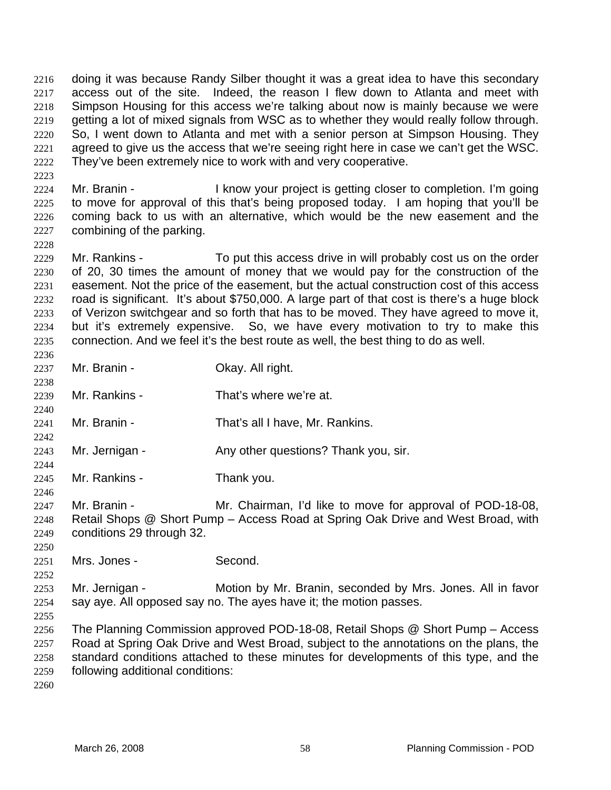doing it was because Randy Silber thought it was a great idea to have this secondary access out of the site. Indeed, the reason I flew down to Atlanta and meet with Simpson Housing for this access we're talking about now is mainly because we were getting a lot of mixed signals from WSC as to whether they would really follow through. So, I went down to Atlanta and met with a senior person at Simpson Housing. They agreed to give us the access that we're seeing right here in case we can't get the WSC. They've been extremely nice to work with and very cooperative. 2216 2217 2218 2219 2220 2221 2222

- 2224 2225 2226 2227 Mr. Branin - The I know your project is getting closer to completion. I'm going to move for approval of this that's being proposed today. I am hoping that you'll be coming back to us with an alternative, which would be the new easement and the combining of the parking.
- 2229 2230 2231 2232 2233 2234 2235 Mr. Rankins - To put this access drive in will probably cost us on the order of 20, 30 times the amount of money that we would pay for the construction of the easement. Not the price of the easement, but the actual construction cost of this access road is significant. It's about \$750,000. A large part of that cost is there's a huge block of Verizon switchgear and so forth that has to be moved. They have agreed to move it, but it's extremely expensive. So, we have every motivation to try to make this connection. And we feel it's the best route as well, the best thing to do as well.
- 2237 Mr. Branin - **Okay. All right.**
- 2239 Mr. Rankins - That's where we're at.
- 2241 Mr. Branin - That's all I have, Mr. Rankins.
- 2243 Mr. Jernigan - Any other questions? Thank you, sir.
- 2245 Mr. Rankins - Thank you.
- 2247 2248 2249 Mr. Branin - The Mr. Chairman, I'd like to move for approval of POD-18-08, Retail Shops @ Short Pump – Access Road at Spring Oak Drive and West Broad, with conditions 29 through 32.
- 2251 Mrs. Jones - Second.
- 2253 2254 Mr. Jernigan - **Motion by Mr. Branin, seconded by Mrs. Jones. All in favor** say aye. All opposed say no. The ayes have it; the motion passes.
- 2256 2257 2258 2259 The Planning Commission approved POD-18-08, Retail Shops @ Short Pump – Access Road at Spring Oak Drive and West Broad, subject to the annotations on the plans, the standard conditions attached to these minutes for developments of this type, and the following additional conditions:
- 2260

2223

2228

2236

2238

2240

2242

2244

2246

2250

2252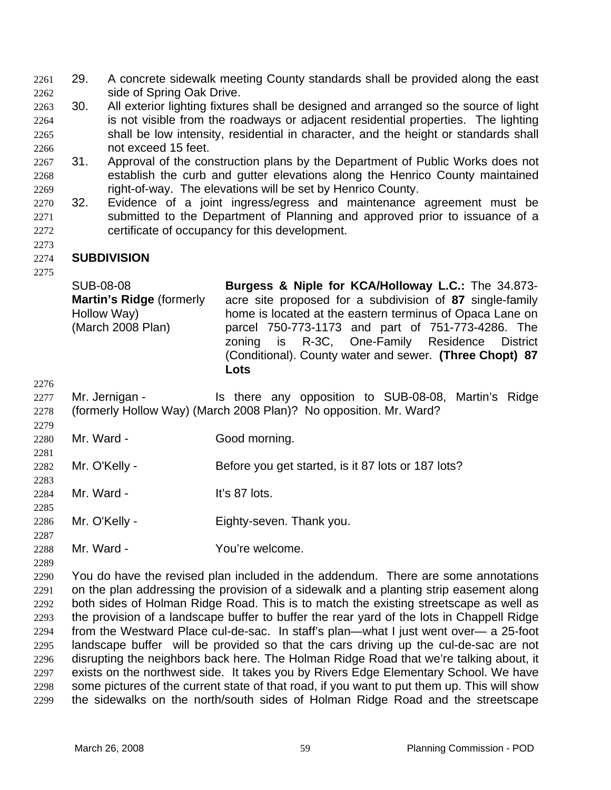29. A concrete sidewalk meeting County standards shall be provided along the east side of Spring Oak Drive. 2261 2262

- 2263 2264 2265 2266 30. All exterior lighting fixtures shall be designed and arranged so the source of light is not visible from the roadways or adjacent residential properties. The lighting shall be low intensity, residential in character, and the height or standards shall not exceed 15 feet.
- 2267 2268 2269 31. Approval of the construction plans by the Department of Public Works does not establish the curb and gutter elevations along the Henrico County maintained right-of-way. The elevations will be set by Henrico County.
- 2270 2271 2272 32. Evidence of a joint ingress/egress and maintenance agreement must be submitted to the Department of Planning and approved prior to issuance of a certificate of occupancy for this development.

### 2274 **SUBDIVISION**

2275

2276

2279

2281

2283

2285

2287

2273

SUB-08-08 **Martin's Ridge** (formerly Hollow Way) (March 2008 Plan) **Burgess & Niple for KCA/Holloway L.C.:** The 34.873 acre site proposed for a subdivision of **87** single-family home is located at the eastern terminus of Opaca Lane on parcel 750-773-1173 and part of 751-773-4286. The zoning is R-3C, One-Family Residence District (Conditional). County water and sewer. **(Three Chopt) 87 Lots** 

- 2277 2278 Mr. Jernigan - The Is there any opposition to SUB-08-08, Martin's Ridge (formerly Hollow Way) (March 2008 Plan)? No opposition. Mr. Ward?
- 2280 Mr. Ward - Good morning.
- 2282 Mr. O'Kelly - Before you get started, is it 87 lots or 187 lots?
- 2284 Mr. Ward - It's 87 lots.
- 2286 Mr. O'Kelly - Eighty-seven. Thank you.
- 2288 Mr. Ward - The You're welcome.
- 2289

2290 2291 2292 2293 2294 2295 2296 2297 2298 2299 You do have the revised plan included in the addendum. There are some annotations on the plan addressing the provision of a sidewalk and a planting strip easement along both sides of Holman Ridge Road. This is to match the existing streetscape as well as the provision of a landscape buffer to buffer the rear yard of the lots in Chappell Ridge from the Westward Place cul-de-sac. In staff's plan—what I just went over— a 25-foot landscape buffer will be provided so that the cars driving up the cul-de-sac are not disrupting the neighbors back here. The Holman Ridge Road that we're talking about, it exists on the northwest side. It takes you by Rivers Edge Elementary School. We have some pictures of the current state of that road, if you want to put them up. This will show the sidewalks on the north/south sides of Holman Ridge Road and the streetscape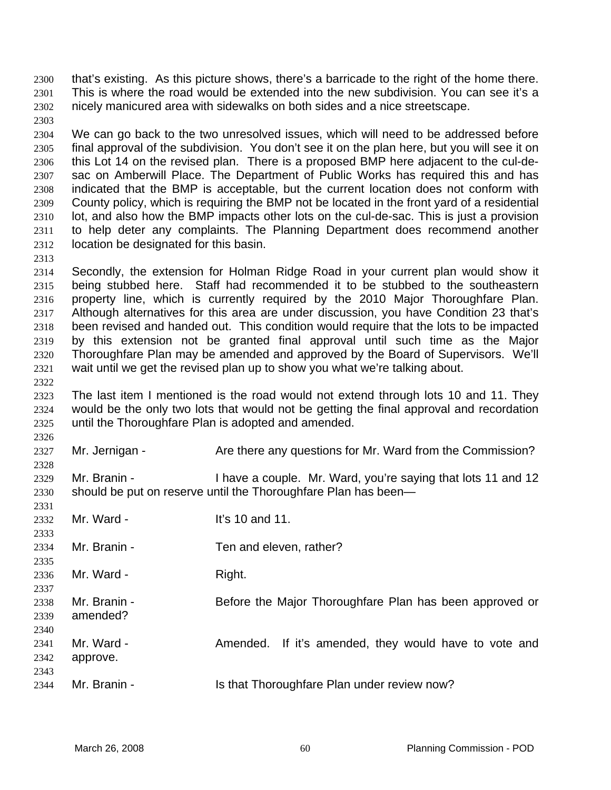that's existing. As this picture shows, there's a barricade to the right of the home there. This is where the road would be extended into the new subdivision. You can see it's a nicely manicured area with sidewalks on both sides and a nice streetscape. 2300 2301 2302

- 2304 2305 2306 2307 2308 2309 2310 2311 2312 We can go back to the two unresolved issues, which will need to be addressed before final approval of the subdivision. You don't see it on the plan here, but you will see it on this Lot 14 on the revised plan. There is a proposed BMP here adjacent to the cul-desac on Amberwill Place. The Department of Public Works has required this and has indicated that the BMP is acceptable, but the current location does not conform with County policy, which is requiring the BMP not be located in the front yard of a residential lot, and also how the BMP impacts other lots on the cul-de-sac. This is just a provision to help deter any complaints. The Planning Department does recommend another location be designated for this basin.
- 2314 2315 2316 2317 2318 2319 2320 2321 Secondly, the extension for Holman Ridge Road in your current plan would show it being stubbed here. Staff had recommended it to be stubbed to the southeastern property line, which is currently required by the 2010 Major Thoroughfare Plan. Although alternatives for this area are under discussion, you have Condition 23 that's been revised and handed out. This condition would require that the lots to be impacted by this extension not be granted final approval until such time as the Major Thoroughfare Plan may be amended and approved by the Board of Supervisors. We'll wait until we get the revised plan up to show you what we're talking about.
- 2323 2324 2325 The last item I mentioned is the road would not extend through lots 10 and 11. They would be the only two lots that would not be getting the final approval and recordation until the Thoroughfare Plan is adopted and amended.
- 2326 2327 2328 Mr. Jernigan - Are there any questions for Mr. Ward from the Commission?
- 2329 2330 Mr. Branin - I have a couple. Mr. Ward, you're saying that lots 11 and 12 should be put on reserve until the Thoroughfare Plan has been—
- 2332 2333 Mr. Ward - It's 10 and 11.
- 2334 Mr. Branin - Ten and eleven, rather?
- 2336 Mr. Ward - Right.

2303

2313

2322

2331

2335

2337

2342

- 2338 2339 Mr. Branin - **Before the Major Thoroughfare Plan has been approved or** amended?
- 2340 2341 Mr. Ward - The Amended. If it's amended, they would have to vote and
- 2343 2344 Mr. Branin - Is that Thoroughfare Plan under review now?

approve.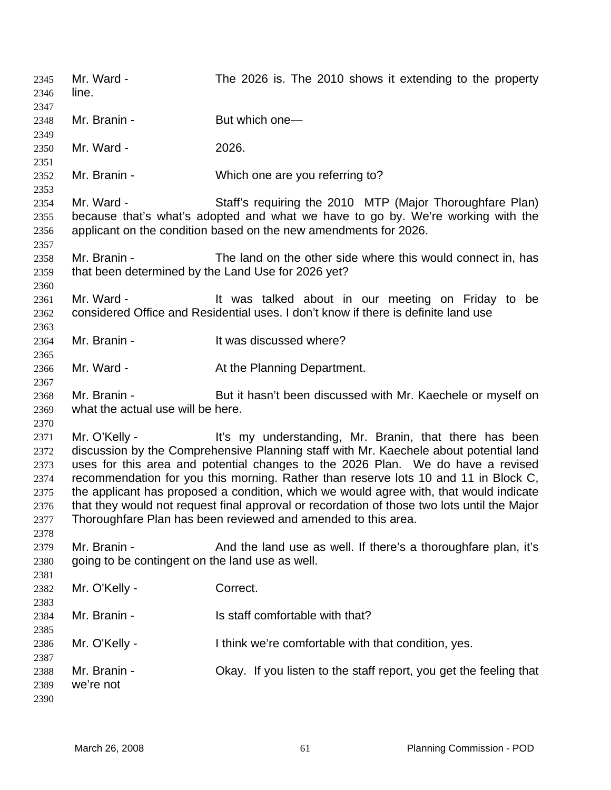Mr. Ward - The 2026 is. The 2010 shows it extending to the property line. 2345 2346 2347 2348 2349 2350 2351 2352 2353 2354 2355 2356 2357 2358 2359 2360 2361 2362 2363 2364 2365 2366 2367 2368 2369 2370 2371 2372 2373 2374 2375 2376 2377 2378 2379 2380 2381 2382 2383 2384 2385 2386 2387 2388 2389 2390 Mr. Branin - But which one— Mr. Ward - 2026. Mr. Branin - Which one are you referring to? Mr. Ward - Staff's requiring the 2010 MTP (Major Thoroughfare Plan) because that's what's adopted and what we have to go by. We're working with the applicant on the condition based on the new amendments for 2026. Mr. Branin - The land on the other side where this would connect in, has that been determined by the Land Use for 2026 yet? Mr. Ward - The Mustalked about in our meeting on Friday to be considered Office and Residential uses. I don't know if there is definite land use Mr. Branin - The Music Hi was discussed where? Mr. Ward - The At the Planning Department. Mr. Branin - But it hasn't been discussed with Mr. Kaechele or myself on what the actual use will be here. Mr. O'Kelly - It's my understanding, Mr. Branin, that there has been discussion by the Comprehensive Planning staff with Mr. Kaechele about potential land uses for this area and potential changes to the 2026 Plan. We do have a revised recommendation for you this morning. Rather than reserve lots 10 and 11 in Block C, the applicant has proposed a condition, which we would agree with, that would indicate that they would not request final approval or recordation of those two lots until the Major Thoroughfare Plan has been reviewed and amended to this area. Mr. Branin - And the land use as well. If there's a thoroughfare plan, it's going to be contingent on the land use as well. Mr. O'Kelly - Correct. Mr. Branin - Is staff comfortable with that? Mr. O'Kelly - Think we're comfortable with that condition, yes. Mr. Branin - Okay. If you listen to the staff report, you get the feeling that we're not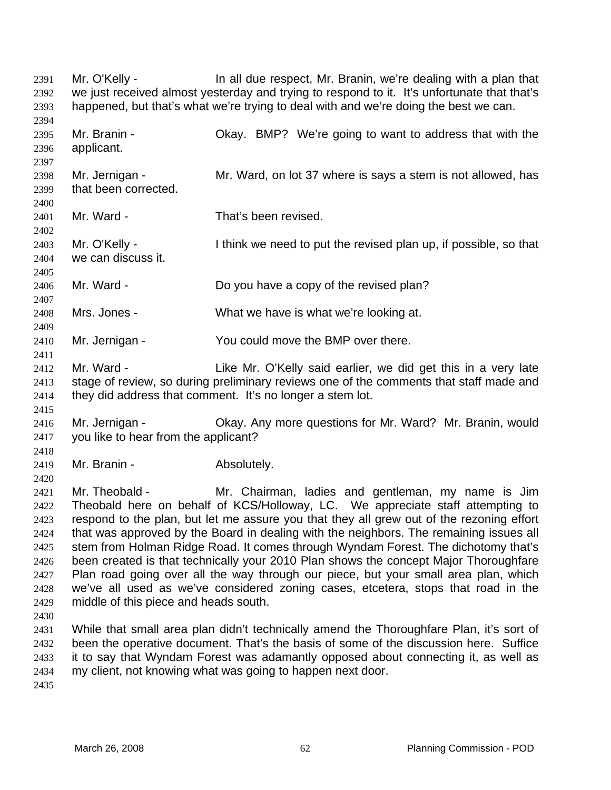Mr. O'Kelly - The all due respect, Mr. Branin, we're dealing with a plan that we just received almost yesterday and trying to respond to it. It's unfortunate that that's happened, but that's what we're trying to deal with and we're doing the best we can. 2391 2392 2393 2394 2395 2396 2397 2398 2399 2400 2401 2402 2403 2404 2405 2406 2407 2408 2409 2410 2411 2412 2413 2414 2415 2416 2417 2418 2419 2420 2421 2422 2423 2424 2425 2426 2427 2428 2429 2430 2431 2432 2433 2434 2435 Mr. Branin - Ckay. BMP? We're going to want to address that with the applicant. Mr. Jernigan - Mr. Ward, on lot 37 where is says a stem is not allowed, has that been corrected. Mr. Ward - That's been revised. Mr. O'Kelly - I think we need to put the revised plan up, if possible, so that we can discuss it. Mr. Ward - Do you have a copy of the revised plan? Mrs. Jones - What we have is what we're looking at. Mr. Jernigan - You could move the BMP over there. Mr. Ward - The Like Mr. O'Kelly said earlier, we did get this in a very late stage of review, so during preliminary reviews one of the comments that staff made and they did address that comment. It's no longer a stem lot. Mr. Jernigan - Ckay. Any more questions for Mr. Ward? Mr. Branin, would you like to hear from the applicant? Mr. Branin - The Absolutely. Mr. Theobald - Mr. Chairman, ladies and gentleman, my name is Jim Theobald here on behalf of KCS/Holloway, LC. We appreciate staff attempting to respond to the plan, but let me assure you that they all grew out of the rezoning effort that was approved by the Board in dealing with the neighbors. The remaining issues all stem from Holman Ridge Road. It comes through Wyndam Forest. The dichotomy that's been created is that technically your 2010 Plan shows the concept Major Thoroughfare Plan road going over all the way through our piece, but your small area plan, which we've all used as we've considered zoning cases, etcetera, stops that road in the middle of this piece and heads south. While that small area plan didn't technically amend the Thoroughfare Plan, it's sort of been the operative document. That's the basis of some of the discussion here. Suffice it to say that Wyndam Forest was adamantly opposed about connecting it, as well as my client, not knowing what was going to happen next door.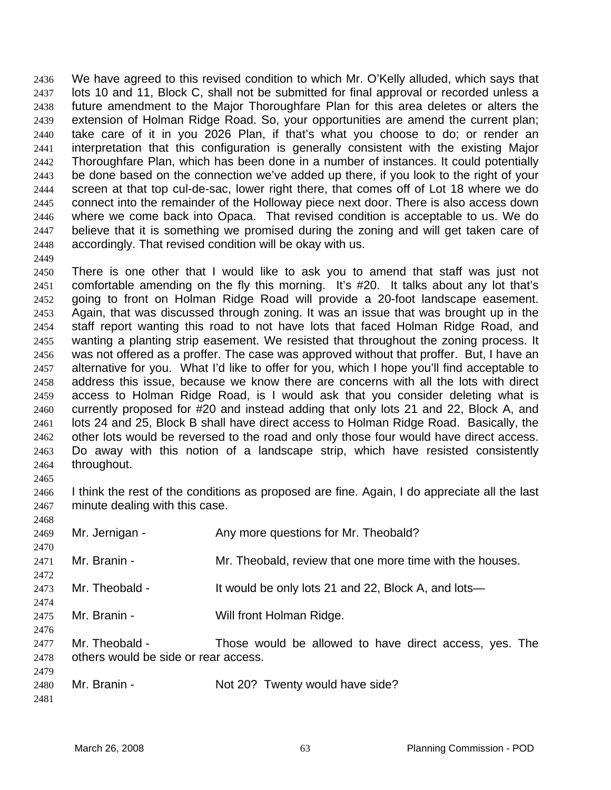We have agreed to this revised condition to which Mr. O'Kelly alluded, which says that lots 10 and 11, Block C, shall not be submitted for final approval or recorded unless a future amendment to the Major Thoroughfare Plan for this area deletes or alters the extension of Holman Ridge Road. So, your opportunities are amend the current plan; take care of it in you 2026 Plan, if that's what you choose to do; or render an interpretation that this configuration is generally consistent with the existing Major Thoroughfare Plan, which has been done in a number of instances. It could potentially be done based on the connection we've added up there, if you look to the right of your screen at that top cul-de-sac, lower right there, that comes off of Lot 18 where we do connect into the remainder of the Holloway piece next door. There is also access down where we come back into Opaca. That revised condition is acceptable to us. We do believe that it is something we promised during the zoning and will get taken care of accordingly. That revised condition will be okay with us. 2436 2437 2438 2439 2440 2441 2442 2443 2444 2445 2446 2447 2448

- 2450 2451 2452 2453 2454 2455 2456 2457 2458 2459 2460 2461 2462 2463 2464 2465 There is one other that I would like to ask you to amend that staff was just not comfortable amending on the fly this morning. It's #20. It talks about any lot that's going to front on Holman Ridge Road will provide a 20-foot landscape easement. Again, that was discussed through zoning. It was an issue that was brought up in the staff report wanting this road to not have lots that faced Holman Ridge Road, and wanting a planting strip easement. We resisted that throughout the zoning process. It was not offered as a proffer. The case was approved without that proffer. But, I have an alternative for you. What I'd like to offer for you, which I hope you'll find acceptable to address this issue, because we know there are concerns with all the lots with direct access to Holman Ridge Road, is I would ask that you consider deleting what is currently proposed for #20 and instead adding that only lots 21 and 22, Block A, and lots 24 and 25, Block B shall have direct access to Holman Ridge Road. Basically, the other lots would be reversed to the road and only those four would have direct access. Do away with this notion of a landscape strip, which have resisted consistently throughout.
- 2466 2467 I think the rest of the conditions as proposed are fine. Again, I do appreciate all the last minute dealing with this case.

| 2468 |                                      |                                                          |
|------|--------------------------------------|----------------------------------------------------------|
| 2469 | Mr. Jernigan -                       | Any more questions for Mr. Theobald?                     |
| 2470 |                                      |                                                          |
| 2471 | Mr. Branin -                         | Mr. Theobald, review that one more time with the houses. |
| 2472 |                                      |                                                          |
| 2473 | Mr. Theobald -                       | It would be only lots 21 and 22, Block A, and lots—      |
| 2474 |                                      |                                                          |
| 2475 | Mr. Branin -                         | Will front Holman Ridge.                                 |
| 2476 |                                      |                                                          |
| 2477 | Mr. Theobald -                       | Those would be allowed to have direct access, yes. The   |
| 2478 | others would be side or rear access. |                                                          |
| 2479 |                                      |                                                          |
| 2480 | Mr. Branin -                         | Not 20? Twenty would have side?                          |
| 2481 |                                      |                                                          |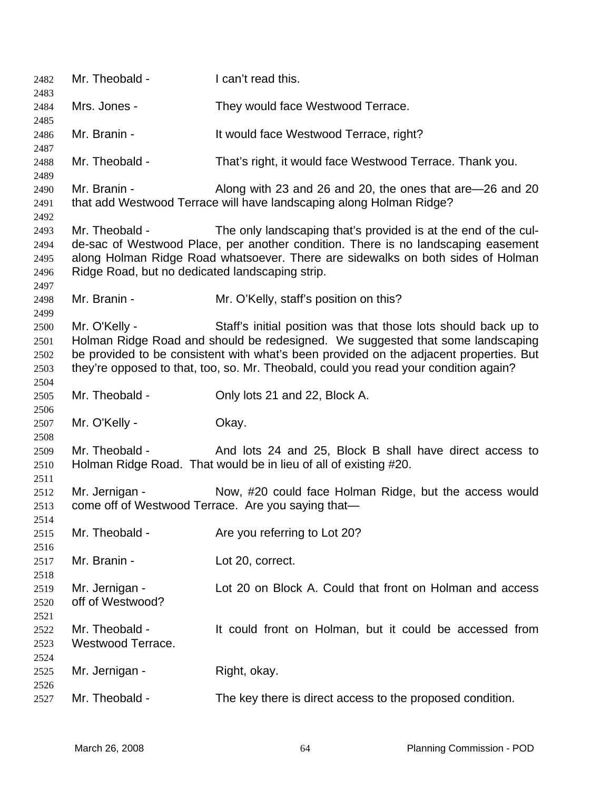| 2482<br>2483                         | Mr. Theobald -                                                    | I can't read this.                                                                                                                                                                                                                                                                                                                 |
|--------------------------------------|-------------------------------------------------------------------|------------------------------------------------------------------------------------------------------------------------------------------------------------------------------------------------------------------------------------------------------------------------------------------------------------------------------------|
| 2484<br>2485                         | Mrs. Jones -                                                      | They would face Westwood Terrace.                                                                                                                                                                                                                                                                                                  |
| 2486<br>2487                         | Mr. Branin -                                                      | It would face Westwood Terrace, right?                                                                                                                                                                                                                                                                                             |
| 2488<br>2489                         | Mr. Theobald -                                                    | That's right, it would face Westwood Terrace. Thank you.                                                                                                                                                                                                                                                                           |
| 2490<br>2491<br>2492                 | Mr. Branin -                                                      | Along with 23 and 26 and 20, the ones that are -26 and 20<br>that add Westwood Terrace will have landscaping along Holman Ridge?                                                                                                                                                                                                   |
| 2493<br>2494<br>2495<br>2496<br>2497 | Mr. Theobald -<br>Ridge Road, but no dedicated landscaping strip. | The only landscaping that's provided is at the end of the cul-<br>de-sac of Westwood Place, per another condition. There is no landscaping easement<br>along Holman Ridge Road whatsoever. There are sidewalks on both sides of Holman                                                                                             |
| 2498<br>2499                         | Mr. Branin -                                                      | Mr. O'Kelly, staff's position on this?                                                                                                                                                                                                                                                                                             |
| 2500<br>2501<br>2502<br>2503         | Mr. O'Kelly -                                                     | Staff's initial position was that those lots should back up to<br>Holman Ridge Road and should be redesigned. We suggested that some landscaping<br>be provided to be consistent with what's been provided on the adjacent properties. But<br>they're opposed to that, too, so. Mr. Theobald, could you read your condition again? |
| 2504<br>2505                         | Mr. Theobald -                                                    | Only lots 21 and 22, Block A.                                                                                                                                                                                                                                                                                                      |
| 2506<br>2507<br>2508                 | Mr. O'Kelly -                                                     | Okay.                                                                                                                                                                                                                                                                                                                              |
| 2509<br>2510<br>2511                 | Mr. Theobald -                                                    | And lots 24 and 25, Block B shall have direct access to<br>Holman Ridge Road. That would be in lieu of all of existing #20.                                                                                                                                                                                                        |
| 2512<br>2513<br>2514                 | Mr. Jernigan -                                                    | Now, #20 could face Holman Ridge, but the access would<br>come off of Westwood Terrace. Are you saying that-                                                                                                                                                                                                                       |
| 2515<br>2516                         | Mr. Theobald -                                                    | Are you referring to Lot 20?                                                                                                                                                                                                                                                                                                       |
| 2517<br>2518                         | Mr. Branin -                                                      | Lot 20, correct.                                                                                                                                                                                                                                                                                                                   |
| 2519<br>2520<br>2521                 | Mr. Jernigan -<br>off of Westwood?                                | Lot 20 on Block A. Could that front on Holman and access                                                                                                                                                                                                                                                                           |
| 2522<br>2523<br>2524                 | Mr. Theobald -<br>Westwood Terrace.                               | It could front on Holman, but it could be accessed from                                                                                                                                                                                                                                                                            |
| 2525<br>2526                         | Mr. Jernigan -                                                    | Right, okay.                                                                                                                                                                                                                                                                                                                       |
| 2527                                 | Mr. Theobald -                                                    | The key there is direct access to the proposed condition.                                                                                                                                                                                                                                                                          |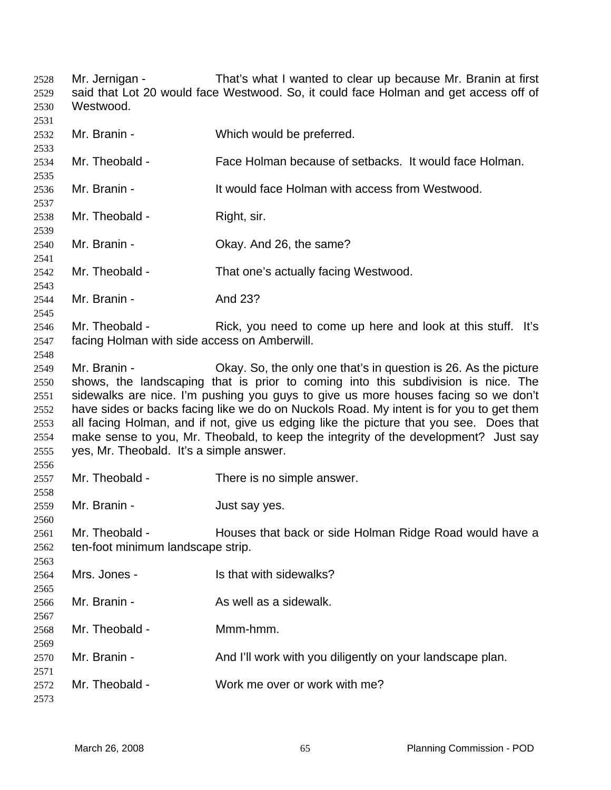Mr. Jernigan - That's what I wanted to clear up because Mr. Branin at first said that Lot 20 would face Westwood. So, it could face Holman and get access off of Westwood. Mr. Branin - Which would be preferred. Mr. Theobald - Face Holman because of setbacks. It would face Holman. Mr. Branin - The State Holman with access from Westwood. Mr. Theobald - Right, sir. Mr. Branin - Ckay. And 26, the same? Mr. Theobald - That one's actually facing Westwood. Mr. Branin - And 23? Mr. Theobald - Rick, you need to come up here and look at this stuff. It's facing Holman with side access on Amberwill. Mr. Branin - Ckay. So, the only one that's in question is 26. As the picture shows, the landscaping that is prior to coming into this subdivision is nice. The sidewalks are nice. I'm pushing you guys to give us more houses facing so we don't have sides or backs facing like we do on Nuckols Road. My intent is for you to get them all facing Holman, and if not, give us edging like the picture that you see. Does that make sense to you, Mr. Theobald, to keep the integrity of the development? Just say yes, Mr. Theobald. It's a simple answer. Mr. Theobald - There is no simple answer. Mr. Branin - The Solution of Just say yes. Mr. Theobald - Houses that back or side Holman Ridge Road would have a ten-foot minimum landscape strip. Mrs. Jones - Is that with sidewalks? Mr. Branin - As well as a sidewalk. Mr. Theobald - Mmm-hmm. Mr. Branin - And I'll work with you diligently on your landscape plan. Mr. Theobald - Work me over or work with me?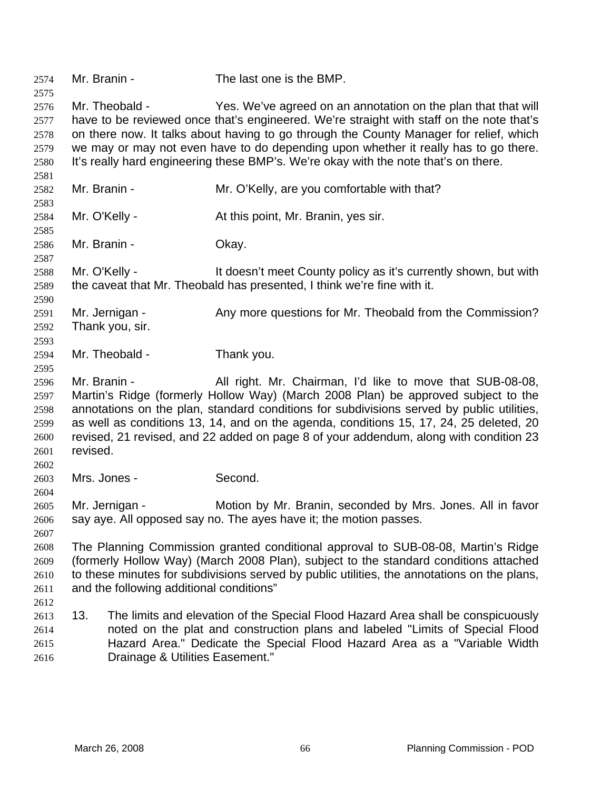| 2574                                                 | Mr. Branin -                                                                                                                                                                                                                                                                                                         | The last one is the BMP.                                                                                                                                                                                                                                                                                                                                                                                                          |
|------------------------------------------------------|----------------------------------------------------------------------------------------------------------------------------------------------------------------------------------------------------------------------------------------------------------------------------------------------------------------------|-----------------------------------------------------------------------------------------------------------------------------------------------------------------------------------------------------------------------------------------------------------------------------------------------------------------------------------------------------------------------------------------------------------------------------------|
| 2575<br>2576<br>2577<br>2578<br>2579<br>2580<br>2581 | Mr. Theobald -                                                                                                                                                                                                                                                                                                       | Yes. We've agreed on an annotation on the plan that that will<br>have to be reviewed once that's engineered. We're straight with staff on the note that's<br>on there now. It talks about having to go through the County Manager for relief, which<br>we may or may not even have to do depending upon whether it really has to go there.<br>It's really hard engineering these BMP's. We're okay with the note that's on there. |
| 2582<br>2583                                         | Mr. Branin -                                                                                                                                                                                                                                                                                                         | Mr. O'Kelly, are you comfortable with that?                                                                                                                                                                                                                                                                                                                                                                                       |
| 2584<br>2585                                         | Mr. O'Kelly -                                                                                                                                                                                                                                                                                                        | At this point, Mr. Branin, yes sir.                                                                                                                                                                                                                                                                                                                                                                                               |
| 2586<br>2587                                         | Mr. Branin -                                                                                                                                                                                                                                                                                                         | Okay.                                                                                                                                                                                                                                                                                                                                                                                                                             |
| 2588<br>2589<br>2590                                 | Mr. O'Kelly -                                                                                                                                                                                                                                                                                                        | It doesn't meet County policy as it's currently shown, but with<br>the caveat that Mr. Theobald has presented, I think we're fine with it.                                                                                                                                                                                                                                                                                        |
| 2591<br>2592<br>2593                                 | Mr. Jernigan -<br>Thank you, sir.                                                                                                                                                                                                                                                                                    | Any more questions for Mr. Theobald from the Commission?                                                                                                                                                                                                                                                                                                                                                                          |
| 2594<br>2595                                         | Mr. Theobald -                                                                                                                                                                                                                                                                                                       | Thank you.                                                                                                                                                                                                                                                                                                                                                                                                                        |
| 2596<br>2597<br>2598<br>2599<br>2600<br>2601<br>2602 | Mr. Branin -<br>revised.                                                                                                                                                                                                                                                                                             | All right. Mr. Chairman, I'd like to move that SUB-08-08,<br>Martin's Ridge (formerly Hollow Way) (March 2008 Plan) be approved subject to the<br>annotations on the plan, standard conditions for subdivisions served by public utilities,<br>as well as conditions 13, 14, and on the agenda, conditions 15, 17, 24, 25 deleted, 20<br>revised, 21 revised, and 22 added on page 8 of your addendum, along with condition 23    |
| 2603<br>2604                                         | Mrs. Jones -                                                                                                                                                                                                                                                                                                         | Second.                                                                                                                                                                                                                                                                                                                                                                                                                           |
| 2605<br>2606<br>2607                                 | Mr. Jernigan -                                                                                                                                                                                                                                                                                                       | Motion by Mr. Branin, seconded by Mrs. Jones. All in favor<br>say aye. All opposed say no. The ayes have it; the motion passes.                                                                                                                                                                                                                                                                                                   |
| 2608<br>2609<br>2610<br>2611<br>2612                 | The Planning Commission granted conditional approval to SUB-08-08, Martin's Ridge<br>(formerly Hollow Way) (March 2008 Plan), subject to the standard conditions attached<br>to these minutes for subdivisions served by public utilities, the annotations on the plans,<br>and the following additional conditions" |                                                                                                                                                                                                                                                                                                                                                                                                                                   |
| 2613<br>2614<br>2615<br>2616                         | 13.<br>Drainage & Utilities Easement."                                                                                                                                                                                                                                                                               | The limits and elevation of the Special Flood Hazard Area shall be conspicuously<br>noted on the plat and construction plans and labeled "Limits of Special Flood<br>Hazard Area." Dedicate the Special Flood Hazard Area as a "Variable Width                                                                                                                                                                                    |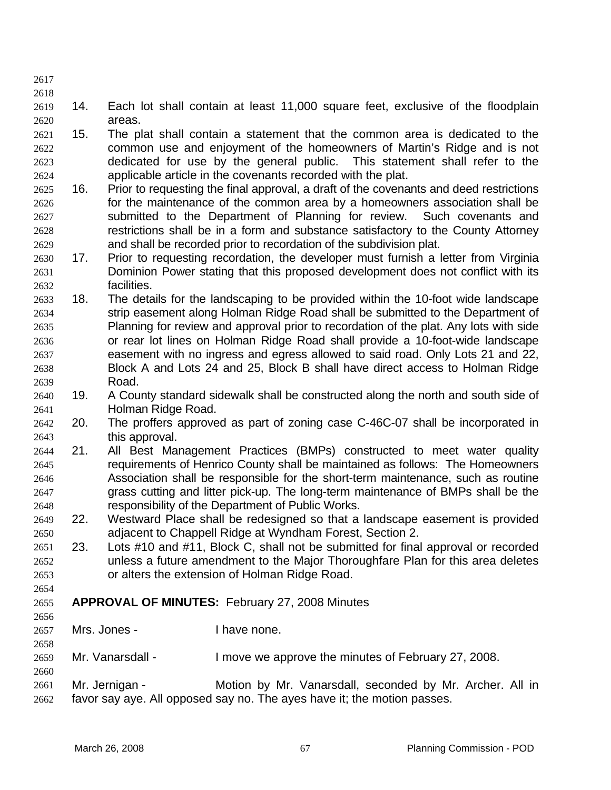- 2617
- 2618
- 2619 2620 14. Each lot shall contain at least 11,000 square feet, exclusive of the floodplain areas.
- 2621 2622 2623 2624 15. The plat shall contain a statement that the common area is dedicated to the common use and enjoyment of the homeowners of Martin's Ridge and is not dedicated for use by the general public. This statement shall refer to the applicable article in the covenants recorded with the plat.
- 2625 2626 2627 2628 2629 16. Prior to requesting the final approval, a draft of the covenants and deed restrictions for the maintenance of the common area by a homeowners association shall be submitted to the Department of Planning for review. Such covenants and restrictions shall be in a form and substance satisfactory to the County Attorney and shall be recorded prior to recordation of the subdivision plat.
- 2630 2631 2632 17. Prior to requesting recordation, the developer must furnish a letter from Virginia Dominion Power stating that this proposed development does not conflict with its facilities.
- 2633 2634 2635 2636 2637 2638 2639 18. The details for the landscaping to be provided within the 10-foot wide landscape strip easement along Holman Ridge Road shall be submitted to the Department of Planning for review and approval prior to recordation of the plat. Any lots with side or rear lot lines on Holman Ridge Road shall provide a 10-foot-wide landscape easement with no ingress and egress allowed to said road. Only Lots 21 and 22, Block A and Lots 24 and 25, Block B shall have direct access to Holman Ridge Road.
- 2640 2641 19. A County standard sidewalk shall be constructed along the north and south side of Holman Ridge Road.
- 2642 2643 20. The proffers approved as part of zoning case C-46C-07 shall be incorporated in this approval.
- 2644 2645 2646 2647 2648 21. All Best Management Practices (BMPs) constructed to meet water quality requirements of Henrico County shall be maintained as follows: The Homeowners Association shall be responsible for the short-term maintenance, such as routine grass cutting and litter pick-up. The long-term maintenance of BMPs shall be the responsibility of the Department of Public Works.
- 2649 2650 22. Westward Place shall be redesigned so that a landscape easement is provided adjacent to Chappell Ridge at Wyndham Forest, Section 2.
- 2651 2652 2653 23. Lots #10 and #11, Block C, shall not be submitted for final approval or recorded unless a future amendment to the Major Thoroughfare Plan for this area deletes or alters the extension of Holman Ridge Road.
- 2655 **APPROVAL OF MINUTES:** February 27, 2008 Minutes
- 2656

2658

2660

- 2657 Mrs. Jones - I have none.
- 2659 Mr. Vanarsdall - I move we approve the minutes of February 27, 2008.
- 2661 2662 Mr. Jernigan - **Motion by Mr. Vanarsdall, seconded by Mr. Archer.** All in favor say aye. All opposed say no. The ayes have it; the motion passes.